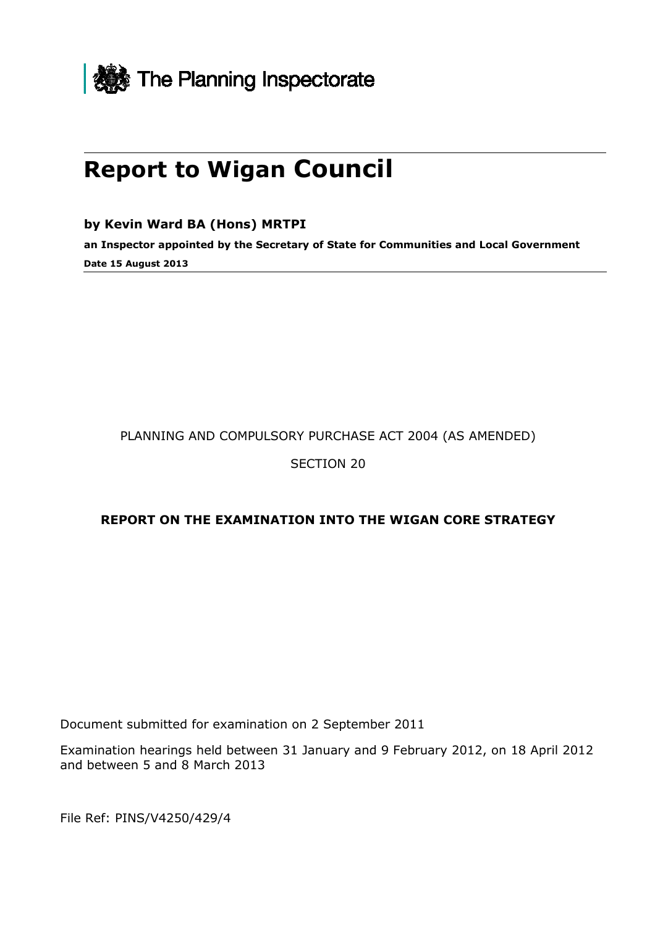

# **Report to Wigan Council**

**by Kevin Ward BA (Hons) MRTPI** 

**an Inspector appointed by the Secretary of State for Communities and Local Government Date 15 August 2013** 

PLANNING AND COMPULSORY PURCHASE ACT 2004 (AS AMENDED)

SECTION 20

#### **REPORT ON THE EXAMINATION INTO THE WIGAN CORE STRATEGY**

Document submitted for examination on 2 September 2011

Examination hearings held between 31 January and 9 February 2012, on 18 April 2012 and between 5 and 8 March 2013

File Ref: PINS/V4250/429/4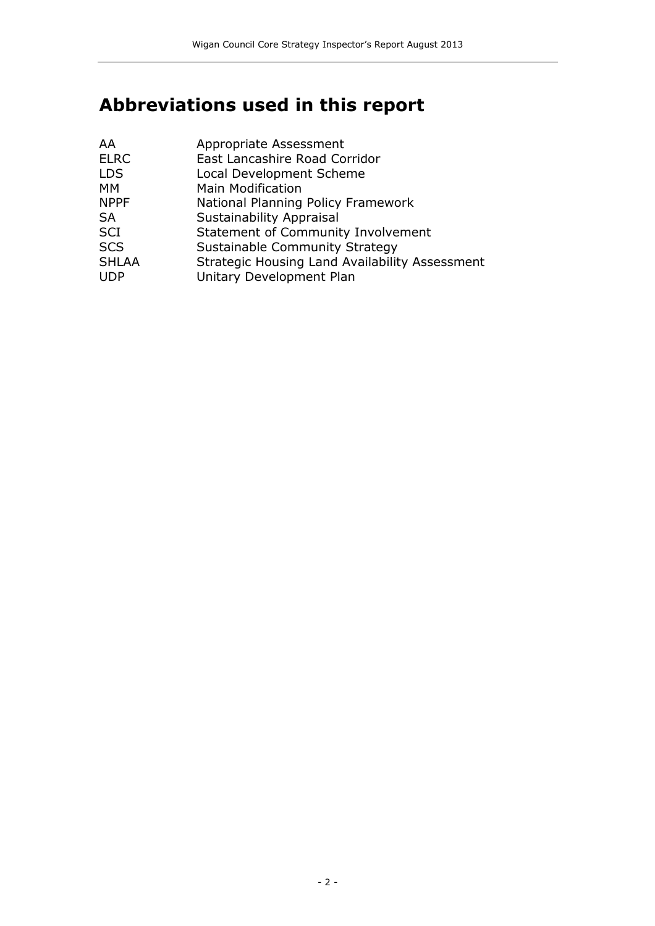# **Abbreviations used in this report**

| AA           | Appropriate Assessment                         |
|--------------|------------------------------------------------|
| <b>ELRC</b>  | East Lancashire Road Corridor                  |
| <b>LDS</b>   | Local Development Scheme                       |
| MM           | <b>Main Modification</b>                       |
| <b>NPPF</b>  | National Planning Policy Framework             |
| <b>SA</b>    | <b>Sustainability Appraisal</b>                |
| <b>SCI</b>   | <b>Statement of Community Involvement</b>      |
| <b>SCS</b>   | Sustainable Community Strategy                 |
| <b>SHLAA</b> | Strategic Housing Land Availability Assessment |
| <b>UDP</b>   | Unitary Development Plan                       |
|              |                                                |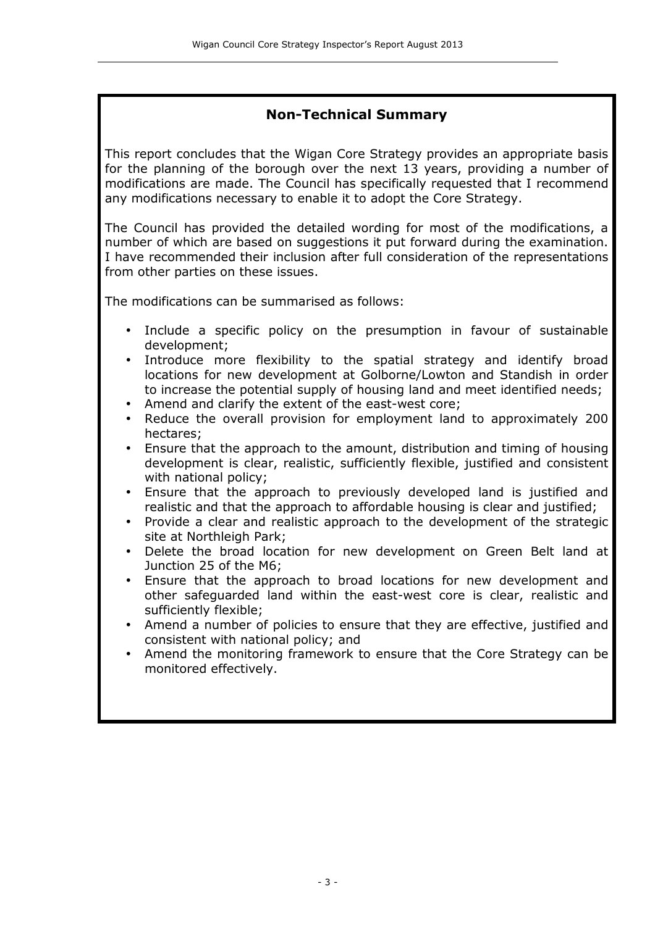#### **Non-Technical Summary**

This report concludes that the Wigan Core Strategy provides an appropriate basis for the planning of the borough over the next 13 years, providing a number of modifications are made. The Council has specifically requested that I recommend any modifications necessary to enable it to adopt the Core Strategy.

The Council has provided the detailed wording for most of the modifications, a number of which are based on suggestions it put forward during the examination. I have recommended their inclusion after full consideration of the representations from other parties on these issues.

The modifications can be summarised as follows:

- Include a specific policy on the presumption in favour of sustainable development;
- Introduce more flexibility to the spatial strategy and identify broad locations for new development at Golborne/Lowton and Standish in order to increase the potential supply of housing land and meet identified needs;
- Amend and clarify the extent of the east-west core;
- Reduce the overall provision for employment land to approximately 200 hectares;
- Ensure that the approach to the amount, distribution and timing of housing development is clear, realistic, sufficiently flexible, justified and consistent with national policy;
- Ensure that the approach to previously developed land is justified and realistic and that the approach to affordable housing is clear and justified;
- Provide a clear and realistic approach to the development of the strategic site at Northleigh Park;
- Delete the broad location for new development on Green Belt land at Junction 25 of the M6;
- Ensure that the approach to broad locations for new development and other safeguarded land within the east-west core is clear, realistic and sufficiently flexible;
- Amend a number of policies to ensure that they are effective, justified and consistent with national policy; and
- Amend the monitoring framework to ensure that the Core Strategy can be monitored effectively.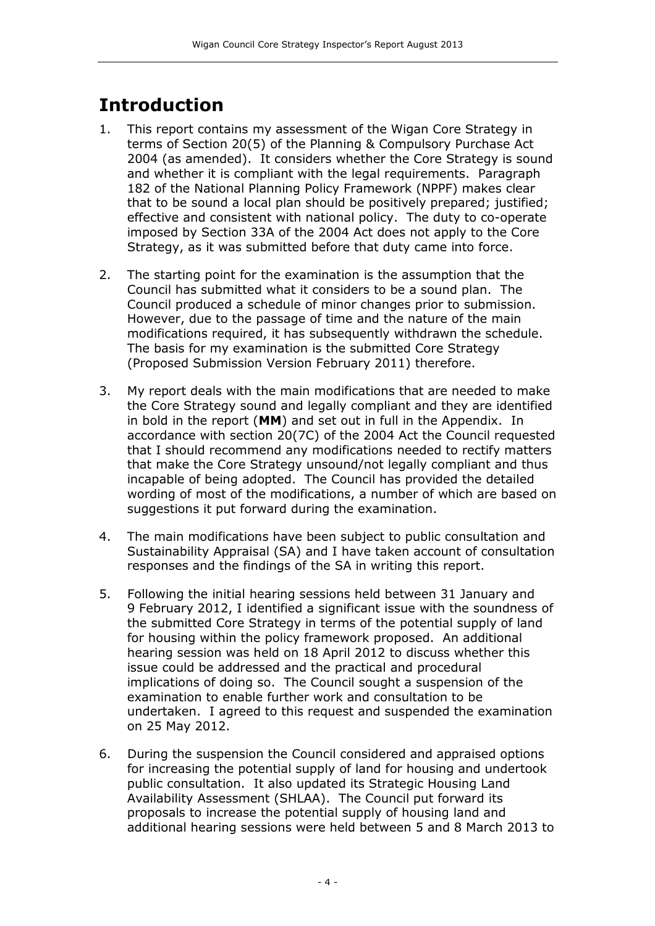## **Introduction**

- 1. This report contains my assessment of the Wigan Core Strategy in terms of Section 20(5) of the Planning & Compulsory Purchase Act 2004 (as amended). It considers whether the Core Strategy is sound and whether it is compliant with the legal requirements. Paragraph 182 of the National Planning Policy Framework (NPPF) makes clear that to be sound a local plan should be positively prepared; justified; effective and consistent with national policy. The duty to co-operate imposed by Section 33A of the 2004 Act does not apply to the Core Strategy, as it was submitted before that duty came into force.
- 2. The starting point for the examination is the assumption that the Council has submitted what it considers to be a sound plan. The Council produced a schedule of minor changes prior to submission. However, due to the passage of time and the nature of the main modifications required, it has subsequently withdrawn the schedule. The basis for my examination is the submitted Core Strategy (Proposed Submission Version February 2011) therefore.
- 3. My report deals with the main modifications that are needed to make the Core Strategy sound and legally compliant and they are identified in bold in the report (**MM**) and set out in full in the Appendix. In accordance with section 20(7C) of the 2004 Act the Council requested that I should recommend any modifications needed to rectify matters that make the Core Strategy unsound/not legally compliant and thus incapable of being adopted. The Council has provided the detailed wording of most of the modifications, a number of which are based on suggestions it put forward during the examination.
- 4. The main modifications have been subject to public consultation and Sustainability Appraisal (SA) and I have taken account of consultation responses and the findings of the SA in writing this report.
- 5. Following the initial hearing sessions held between 31 January and 9 February 2012, I identified a significant issue with the soundness of the submitted Core Strategy in terms of the potential supply of land for housing within the policy framework proposed. An additional hearing session was held on 18 April 2012 to discuss whether this issue could be addressed and the practical and procedural implications of doing so. The Council sought a suspension of the examination to enable further work and consultation to be undertaken. I agreed to this request and suspended the examination on 25 May 2012.
- 6. During the suspension the Council considered and appraised options for increasing the potential supply of land for housing and undertook public consultation. It also updated its Strategic Housing Land Availability Assessment (SHLAA). The Council put forward its proposals to increase the potential supply of housing land and additional hearing sessions were held between 5 and 8 March 2013 to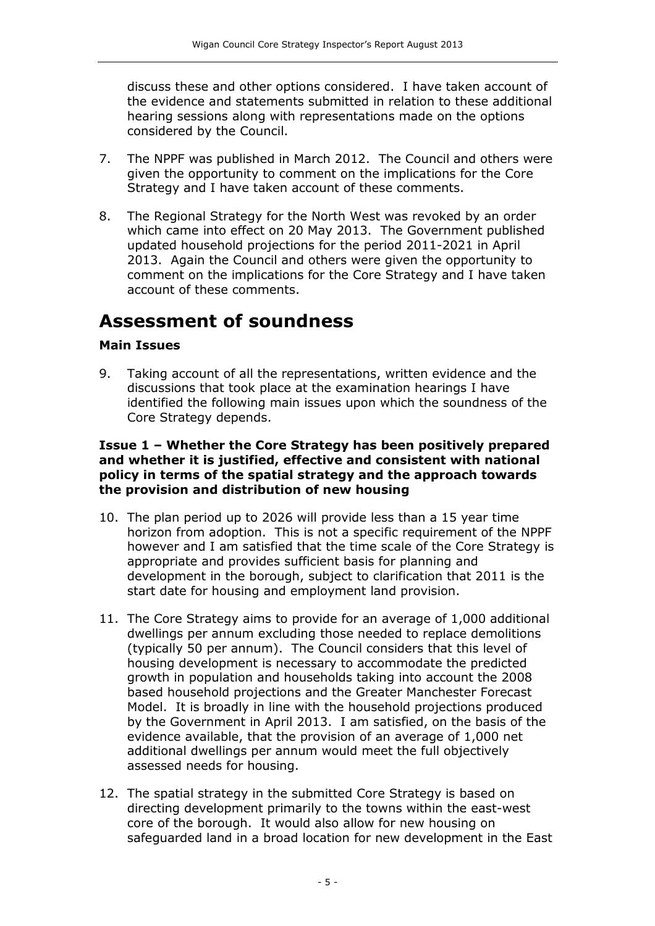discuss these and other options considered. I have taken account of the evidence and statements submitted in relation to these additional hearing sessions along with representations made on the options considered by the Council.

- 7. The NPPF was published in March 2012. The Council and others were given the opportunity to comment on the implications for the Core Strategy and I have taken account of these comments.
- 8. The Regional Strategy for the North West was revoked by an order which came into effect on 20 May 2013. The Government published updated household projections for the period 2011-2021 in April 2013. Again the Council and others were given the opportunity to comment on the implications for the Core Strategy and I have taken account of these comments.

### **Assessment of soundness**

#### **Main Issues**

9. Taking account of all the representations, written evidence and the discussions that took place at the examination hearings I have identified the following main issues upon which the soundness of the Core Strategy depends.

#### **Issue 1 – Whether the Core Strategy has been positively prepared and whether it is justified, effective and consistent with national policy in terms of the spatial strategy and the approach towards the provision and distribution of new housing**

- 10. The plan period up to 2026 will provide less than a 15 year time horizon from adoption. This is not a specific requirement of the NPPF however and I am satisfied that the time scale of the Core Strategy is appropriate and provides sufficient basis for planning and development in the borough, subject to clarification that 2011 is the start date for housing and employment land provision.
- 11. The Core Strategy aims to provide for an average of 1,000 additional dwellings per annum excluding those needed to replace demolitions (typically 50 per annum). The Council considers that this level of housing development is necessary to accommodate the predicted growth in population and households taking into account the 2008 based household projections and the Greater Manchester Forecast Model. It is broadly in line with the household projections produced by the Government in April 2013. I am satisfied, on the basis of the evidence available, that the provision of an average of 1,000 net additional dwellings per annum would meet the full objectively assessed needs for housing.
- 12. The spatial strategy in the submitted Core Strategy is based on directing development primarily to the towns within the east-west core of the borough. It would also allow for new housing on safeguarded land in a broad location for new development in the East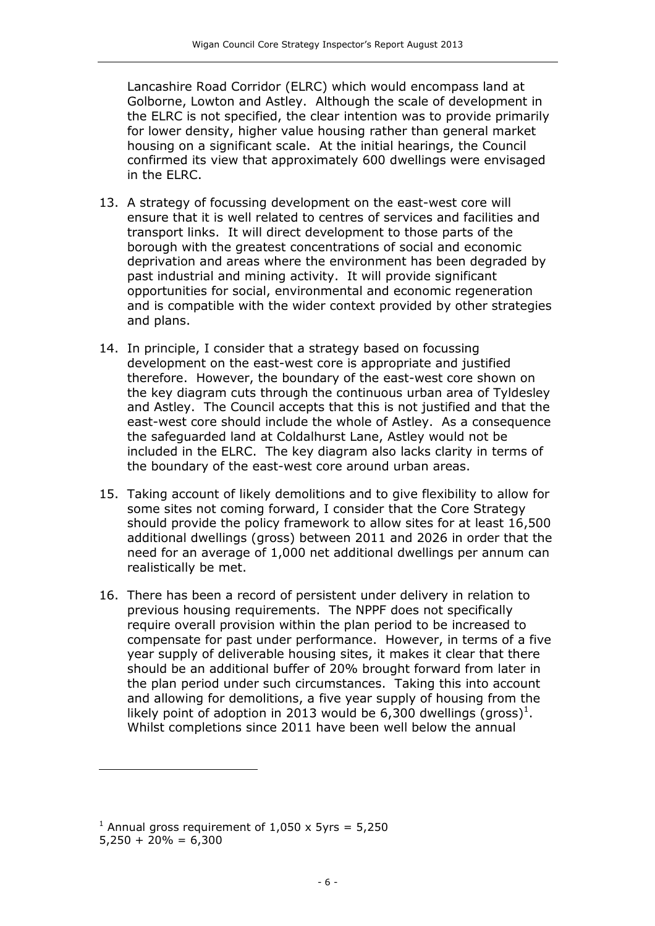Lancashire Road Corridor (ELRC) which would encompass land at Golborne, Lowton and Astley. Although the scale of development in the ELRC is not specified, the clear intention was to provide primarily for lower density, higher value housing rather than general market housing on a significant scale. At the initial hearings, the Council confirmed its view that approximately 600 dwellings were envisaged in the ELRC.

- 13. A strategy of focussing development on the east-west core will ensure that it is well related to centres of services and facilities and transport links. It will direct development to those parts of the borough with the greatest concentrations of social and economic deprivation and areas where the environment has been degraded by past industrial and mining activity. It will provide significant opportunities for social, environmental and economic regeneration and is compatible with the wider context provided by other strategies and plans.
- 14. In principle, I consider that a strategy based on focussing development on the east-west core is appropriate and justified therefore. However, the boundary of the east-west core shown on the key diagram cuts through the continuous urban area of Tyldesley and Astley. The Council accepts that this is not justified and that the east-west core should include the whole of Astley. As a consequence the safeguarded land at Coldalhurst Lane, Astley would not be included in the ELRC. The key diagram also lacks clarity in terms of the boundary of the east-west core around urban areas.
- 15. Taking account of likely demolitions and to give flexibility to allow for some sites not coming forward, I consider that the Core Strategy should provide the policy framework to allow sites for at least 16,500 additional dwellings (gross) between 2011 and 2026 in order that the need for an average of 1,000 net additional dwellings per annum can realistically be met.
- 16. There has been a record of persistent under delivery in relation to previous housing requirements. The NPPF does not specifically require overall provision within the plan period to be increased to compensate for past under performance. However, in terms of a five year supply of deliverable housing sites, it makes it clear that there should be an additional buffer of 20% brought forward from later in the plan period under such circumstances. Taking this into account and allowing for demolitions, a five year supply of housing from the likely point of adoption in 2013 would be 6,300 dwellings (gross)<sup>1</sup>. Whilst completions since 2011 have been well below the annual

1

<sup>&</sup>lt;sup>1</sup> Annual gross requirement of  $1,050 \times 5$ yrs = 5,250

 $5,250 + 20\% = 6,300$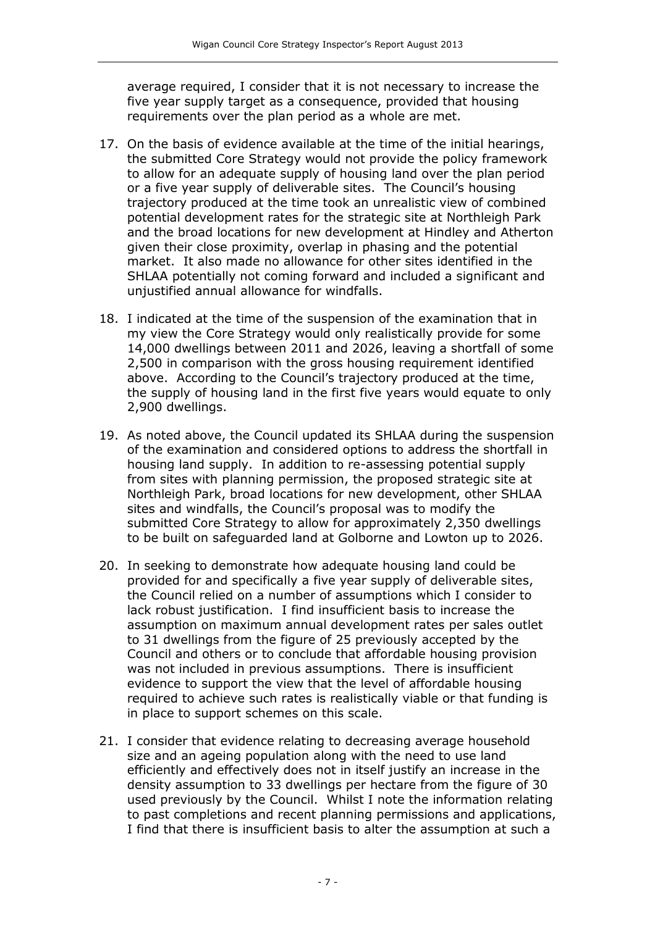average required, I consider that it is not necessary to increase the five year supply target as a consequence, provided that housing requirements over the plan period as a whole are met.

- 17. On the basis of evidence available at the time of the initial hearings, the submitted Core Strategy would not provide the policy framework to allow for an adequate supply of housing land over the plan period or a five year supply of deliverable sites. The Council's housing trajectory produced at the time took an unrealistic view of combined potential development rates for the strategic site at Northleigh Park and the broad locations for new development at Hindley and Atherton given their close proximity, overlap in phasing and the potential market. It also made no allowance for other sites identified in the SHLAA potentially not coming forward and included a significant and unjustified annual allowance for windfalls.
- 18. I indicated at the time of the suspension of the examination that in my view the Core Strategy would only realistically provide for some 14,000 dwellings between 2011 and 2026, leaving a shortfall of some 2,500 in comparison with the gross housing requirement identified above. According to the Council's trajectory produced at the time, the supply of housing land in the first five years would equate to only 2,900 dwellings.
- 19. As noted above, the Council updated its SHLAA during the suspension of the examination and considered options to address the shortfall in housing land supply. In addition to re-assessing potential supply from sites with planning permission, the proposed strategic site at Northleigh Park, broad locations for new development, other SHLAA sites and windfalls, the Council's proposal was to modify the submitted Core Strategy to allow for approximately 2,350 dwellings to be built on safeguarded land at Golborne and Lowton up to 2026.
- 20. In seeking to demonstrate how adequate housing land could be provided for and specifically a five year supply of deliverable sites, the Council relied on a number of assumptions which I consider to lack robust justification. I find insufficient basis to increase the assumption on maximum annual development rates per sales outlet to 31 dwellings from the figure of 25 previously accepted by the Council and others or to conclude that affordable housing provision was not included in previous assumptions. There is insufficient evidence to support the view that the level of affordable housing required to achieve such rates is realistically viable or that funding is in place to support schemes on this scale.
- 21. I consider that evidence relating to decreasing average household size and an ageing population along with the need to use land efficiently and effectively does not in itself justify an increase in the density assumption to 33 dwellings per hectare from the figure of 30 used previously by the Council. Whilst I note the information relating to past completions and recent planning permissions and applications, I find that there is insufficient basis to alter the assumption at such a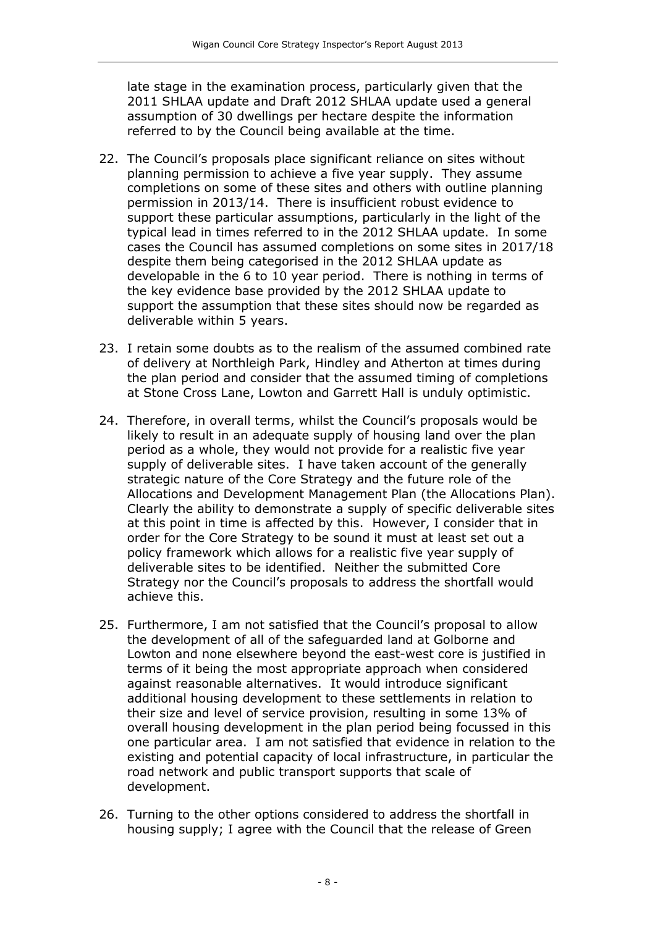late stage in the examination process, particularly given that the 2011 SHLAA update and Draft 2012 SHLAA update used a general assumption of 30 dwellings per hectare despite the information referred to by the Council being available at the time.

- 22. The Council's proposals place significant reliance on sites without planning permission to achieve a five year supply. They assume completions on some of these sites and others with outline planning permission in 2013/14. There is insufficient robust evidence to support these particular assumptions, particularly in the light of the typical lead in times referred to in the 2012 SHLAA update. In some cases the Council has assumed completions on some sites in 2017/18 despite them being categorised in the 2012 SHLAA update as developable in the 6 to 10 year period. There is nothing in terms of the key evidence base provided by the 2012 SHLAA update to support the assumption that these sites should now be regarded as deliverable within 5 years.
- 23. I retain some doubts as to the realism of the assumed combined rate of delivery at Northleigh Park, Hindley and Atherton at times during the plan period and consider that the assumed timing of completions at Stone Cross Lane, Lowton and Garrett Hall is unduly optimistic.
- 24. Therefore, in overall terms, whilst the Council's proposals would be likely to result in an adequate supply of housing land over the plan period as a whole, they would not provide for a realistic five year supply of deliverable sites. I have taken account of the generally strategic nature of the Core Strategy and the future role of the Allocations and Development Management Plan (the Allocations Plan). Clearly the ability to demonstrate a supply of specific deliverable sites at this point in time is affected by this. However, I consider that in order for the Core Strategy to be sound it must at least set out a policy framework which allows for a realistic five year supply of deliverable sites to be identified. Neither the submitted Core Strategy nor the Council's proposals to address the shortfall would achieve this.
- 25. Furthermore, I am not satisfied that the Council's proposal to allow the development of all of the safeguarded land at Golborne and Lowton and none elsewhere beyond the east-west core is justified in terms of it being the most appropriate approach when considered against reasonable alternatives. It would introduce significant additional housing development to these settlements in relation to their size and level of service provision, resulting in some 13% of overall housing development in the plan period being focussed in this one particular area. I am not satisfied that evidence in relation to the existing and potential capacity of local infrastructure, in particular the road network and public transport supports that scale of development.
- 26. Turning to the other options considered to address the shortfall in housing supply; I agree with the Council that the release of Green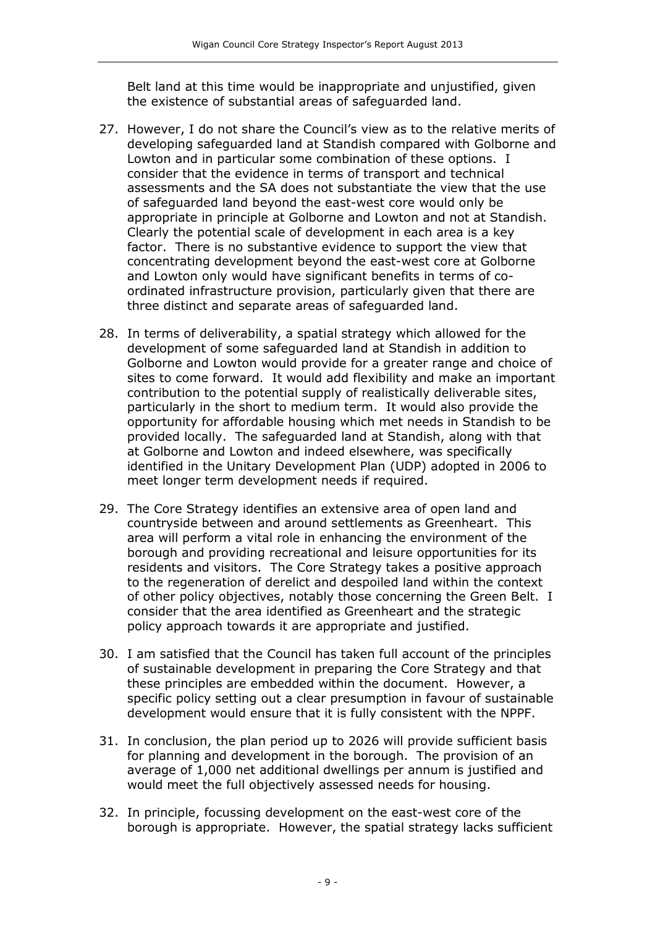Belt land at this time would be inappropriate and unjustified, given the existence of substantial areas of safeguarded land.

- 27. However, I do not share the Council's view as to the relative merits of developing safeguarded land at Standish compared with Golborne and Lowton and in particular some combination of these options. I consider that the evidence in terms of transport and technical assessments and the SA does not substantiate the view that the use of safeguarded land beyond the east-west core would only be appropriate in principle at Golborne and Lowton and not at Standish. Clearly the potential scale of development in each area is a key factor. There is no substantive evidence to support the view that concentrating development beyond the east-west core at Golborne and Lowton only would have significant benefits in terms of coordinated infrastructure provision, particularly given that there are three distinct and separate areas of safeguarded land.
- 28. In terms of deliverability, a spatial strategy which allowed for the development of some safeguarded land at Standish in addition to Golborne and Lowton would provide for a greater range and choice of sites to come forward. It would add flexibility and make an important contribution to the potential supply of realistically deliverable sites, particularly in the short to medium term. It would also provide the opportunity for affordable housing which met needs in Standish to be provided locally. The safeguarded land at Standish, along with that at Golborne and Lowton and indeed elsewhere, was specifically identified in the Unitary Development Plan (UDP) adopted in 2006 to meet longer term development needs if required.
- 29. The Core Strategy identifies an extensive area of open land and countryside between and around settlements as Greenheart. This area will perform a vital role in enhancing the environment of the borough and providing recreational and leisure opportunities for its residents and visitors. The Core Strategy takes a positive approach to the regeneration of derelict and despoiled land within the context of other policy objectives, notably those concerning the Green Belt. I consider that the area identified as Greenheart and the strategic policy approach towards it are appropriate and justified.
- 30. I am satisfied that the Council has taken full account of the principles of sustainable development in preparing the Core Strategy and that these principles are embedded within the document. However, a specific policy setting out a clear presumption in favour of sustainable development would ensure that it is fully consistent with the NPPF.
- 31. In conclusion, the plan period up to 2026 will provide sufficient basis for planning and development in the borough. The provision of an average of 1,000 net additional dwellings per annum is justified and would meet the full objectively assessed needs for housing.
- 32. In principle, focussing development on the east-west core of the borough is appropriate. However, the spatial strategy lacks sufficient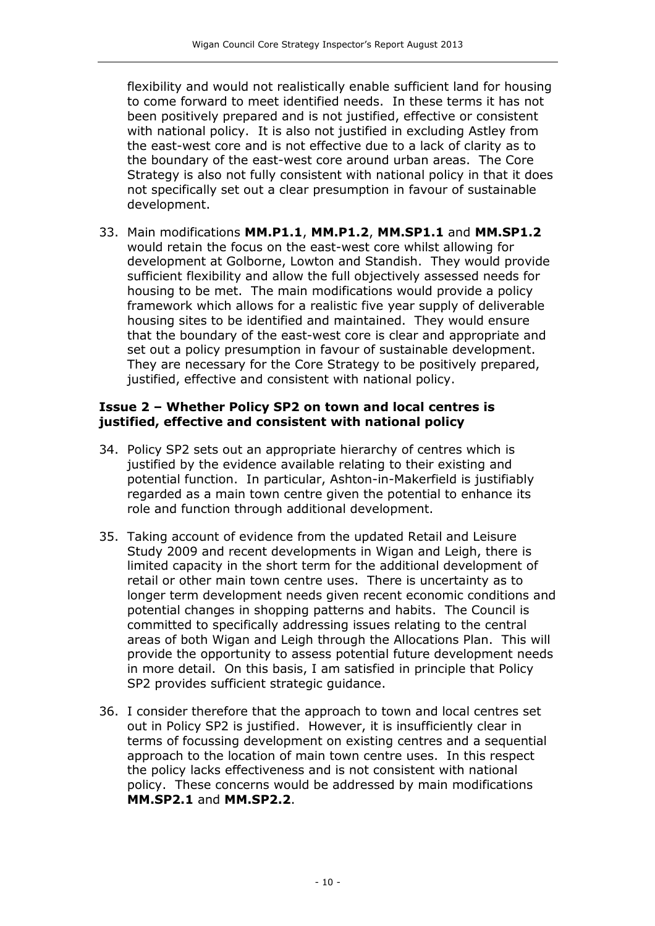flexibility and would not realistically enable sufficient land for housing to come forward to meet identified needs. In these terms it has not been positively prepared and is not justified, effective or consistent with national policy. It is also not justified in excluding Astley from the east-west core and is not effective due to a lack of clarity as to the boundary of the east-west core around urban areas. The Core Strategy is also not fully consistent with national policy in that it does not specifically set out a clear presumption in favour of sustainable development.

33. Main modifications **MM.P1.1**, **MM.P1.2**, **MM.SP1.1** and **MM.SP1.2** would retain the focus on the east-west core whilst allowing for development at Golborne, Lowton and Standish. They would provide sufficient flexibility and allow the full objectively assessed needs for housing to be met. The main modifications would provide a policy framework which allows for a realistic five year supply of deliverable housing sites to be identified and maintained. They would ensure that the boundary of the east-west core is clear and appropriate and set out a policy presumption in favour of sustainable development. They are necessary for the Core Strategy to be positively prepared, justified, effective and consistent with national policy.

#### **Issue 2 – Whether Policy SP2 on town and local centres is justified, effective and consistent with national policy**

- 34. Policy SP2 sets out an appropriate hierarchy of centres which is justified by the evidence available relating to their existing and potential function. In particular, Ashton-in-Makerfield is justifiably regarded as a main town centre given the potential to enhance its role and function through additional development.
- 35. Taking account of evidence from the updated Retail and Leisure Study 2009 and recent developments in Wigan and Leigh, there is limited capacity in the short term for the additional development of retail or other main town centre uses. There is uncertainty as to longer term development needs given recent economic conditions and potential changes in shopping patterns and habits. The Council is committed to specifically addressing issues relating to the central areas of both Wigan and Leigh through the Allocations Plan. This will provide the opportunity to assess potential future development needs in more detail. On this basis, I am satisfied in principle that Policy SP2 provides sufficient strategic guidance.
- 36. I consider therefore that the approach to town and local centres set out in Policy SP2 is justified. However, it is insufficiently clear in terms of focussing development on existing centres and a sequential approach to the location of main town centre uses. In this respect the policy lacks effectiveness and is not consistent with national policy. These concerns would be addressed by main modifications **MM.SP2.1** and **MM.SP2.2**.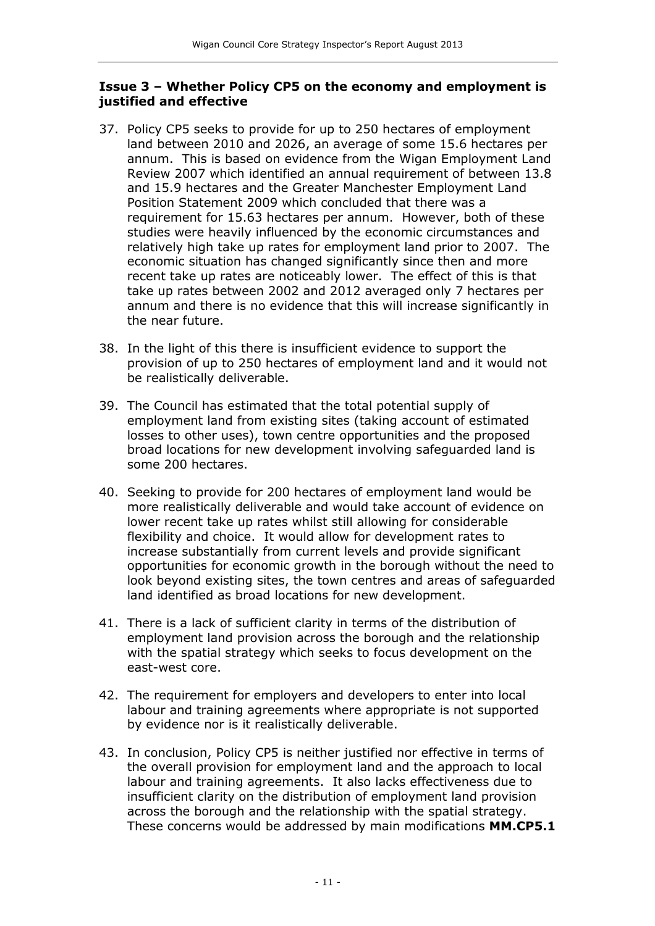#### **Issue 3 – Whether Policy CP5 on the economy and employment is justified and effective**

- 37. Policy CP5 seeks to provide for up to 250 hectares of employment land between 2010 and 2026, an average of some 15.6 hectares per annum. This is based on evidence from the Wigan Employment Land Review 2007 which identified an annual requirement of between 13.8 and 15.9 hectares and the Greater Manchester Employment Land Position Statement 2009 which concluded that there was a requirement for 15.63 hectares per annum. However, both of these studies were heavily influenced by the economic circumstances and relatively high take up rates for employment land prior to 2007. The economic situation has changed significantly since then and more recent take up rates are noticeably lower. The effect of this is that take up rates between 2002 and 2012 averaged only 7 hectares per annum and there is no evidence that this will increase significantly in the near future.
- 38. In the light of this there is insufficient evidence to support the provision of up to 250 hectares of employment land and it would not be realistically deliverable.
- 39. The Council has estimated that the total potential supply of employment land from existing sites (taking account of estimated losses to other uses), town centre opportunities and the proposed broad locations for new development involving safeguarded land is some 200 hectares.
- 40. Seeking to provide for 200 hectares of employment land would be more realistically deliverable and would take account of evidence on lower recent take up rates whilst still allowing for considerable flexibility and choice. It would allow for development rates to increase substantially from current levels and provide significant opportunities for economic growth in the borough without the need to look beyond existing sites, the town centres and areas of safeguarded land identified as broad locations for new development.
- 41. There is a lack of sufficient clarity in terms of the distribution of employment land provision across the borough and the relationship with the spatial strategy which seeks to focus development on the east-west core.
- 42. The requirement for employers and developers to enter into local labour and training agreements where appropriate is not supported by evidence nor is it realistically deliverable.
- 43. In conclusion, Policy CP5 is neither justified nor effective in terms of the overall provision for employment land and the approach to local labour and training agreements. It also lacks effectiveness due to insufficient clarity on the distribution of employment land provision across the borough and the relationship with the spatial strategy. These concerns would be addressed by main modifications **MM.CP5.1**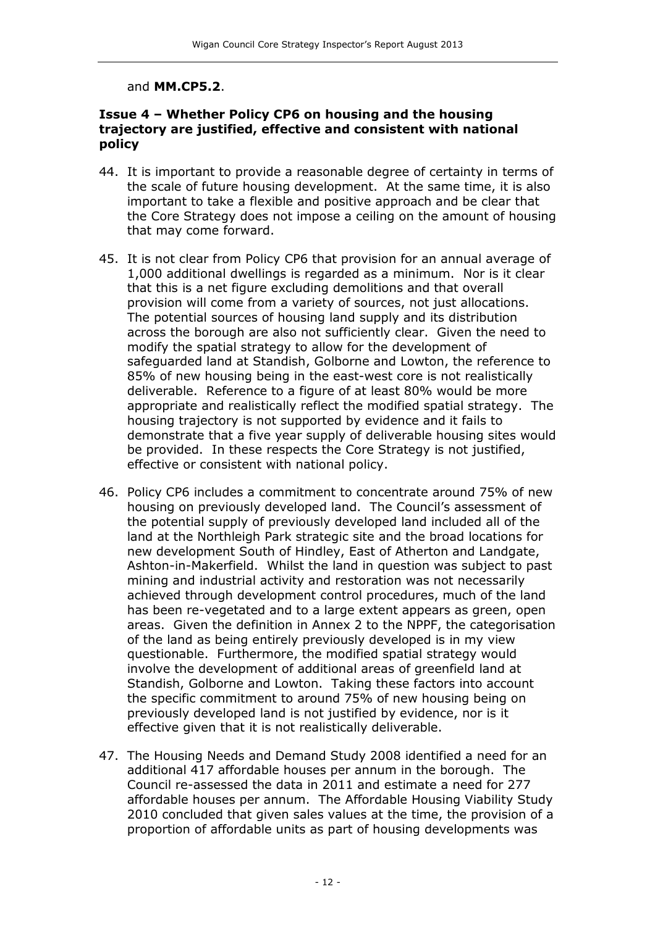#### and **MM.CP5.2**.

#### **Issue 4 – Whether Policy CP6 on housing and the housing trajectory are justified, effective and consistent with national policy**

- 44. It is important to provide a reasonable degree of certainty in terms of the scale of future housing development. At the same time, it is also important to take a flexible and positive approach and be clear that the Core Strategy does not impose a ceiling on the amount of housing that may come forward.
- 45. It is not clear from Policy CP6 that provision for an annual average of 1,000 additional dwellings is regarded as a minimum. Nor is it clear that this is a net figure excluding demolitions and that overall provision will come from a variety of sources, not just allocations. The potential sources of housing land supply and its distribution across the borough are also not sufficiently clear. Given the need to modify the spatial strategy to allow for the development of safeguarded land at Standish, Golborne and Lowton, the reference to 85% of new housing being in the east-west core is not realistically deliverable. Reference to a figure of at least 80% would be more appropriate and realistically reflect the modified spatial strategy. The housing trajectory is not supported by evidence and it fails to demonstrate that a five year supply of deliverable housing sites would be provided. In these respects the Core Strategy is not justified, effective or consistent with national policy.
- 46. Policy CP6 includes a commitment to concentrate around 75% of new housing on previously developed land. The Council's assessment of the potential supply of previously developed land included all of the land at the Northleigh Park strategic site and the broad locations for new development South of Hindley, East of Atherton and Landgate, Ashton-in-Makerfield. Whilst the land in question was subject to past mining and industrial activity and restoration was not necessarily achieved through development control procedures, much of the land has been re-vegetated and to a large extent appears as green, open areas. Given the definition in Annex 2 to the NPPF, the categorisation of the land as being entirely previously developed is in my view questionable. Furthermore, the modified spatial strategy would involve the development of additional areas of greenfield land at Standish, Golborne and Lowton. Taking these factors into account the specific commitment to around 75% of new housing being on previously developed land is not justified by evidence, nor is it effective given that it is not realistically deliverable.
- 47. The Housing Needs and Demand Study 2008 identified a need for an additional 417 affordable houses per annum in the borough. The Council re-assessed the data in 2011 and estimate a need for 277 affordable houses per annum. The Affordable Housing Viability Study 2010 concluded that given sales values at the time, the provision of a proportion of affordable units as part of housing developments was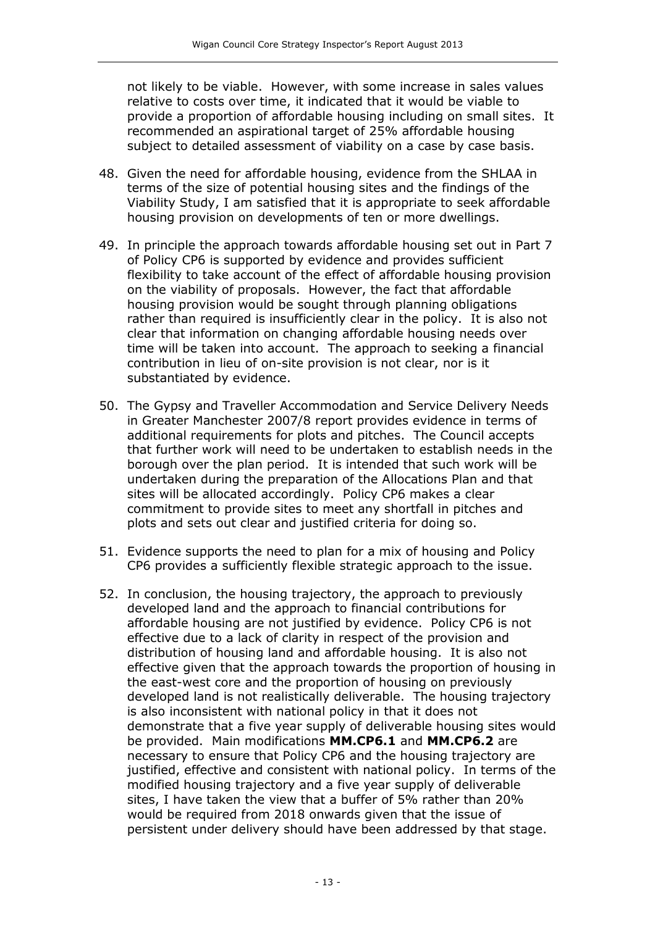not likely to be viable. However, with some increase in sales values relative to costs over time, it indicated that it would be viable to provide a proportion of affordable housing including on small sites. It recommended an aspirational target of 25% affordable housing subject to detailed assessment of viability on a case by case basis.

- 48. Given the need for affordable housing, evidence from the SHLAA in terms of the size of potential housing sites and the findings of the Viability Study, I am satisfied that it is appropriate to seek affordable housing provision on developments of ten or more dwellings.
- 49. In principle the approach towards affordable housing set out in Part 7 of Policy CP6 is supported by evidence and provides sufficient flexibility to take account of the effect of affordable housing provision on the viability of proposals. However, the fact that affordable housing provision would be sought through planning obligations rather than required is insufficiently clear in the policy. It is also not clear that information on changing affordable housing needs over time will be taken into account. The approach to seeking a financial contribution in lieu of on-site provision is not clear, nor is it substantiated by evidence.
- 50. The Gypsy and Traveller Accommodation and Service Delivery Needs in Greater Manchester 2007/8 report provides evidence in terms of additional requirements for plots and pitches. The Council accepts that further work will need to be undertaken to establish needs in the borough over the plan period. It is intended that such work will be undertaken during the preparation of the Allocations Plan and that sites will be allocated accordingly. Policy CP6 makes a clear commitment to provide sites to meet any shortfall in pitches and plots and sets out clear and justified criteria for doing so.
- 51. Evidence supports the need to plan for a mix of housing and Policy CP6 provides a sufficiently flexible strategic approach to the issue.
- 52. In conclusion, the housing trajectory, the approach to previously developed land and the approach to financial contributions for affordable housing are not justified by evidence. Policy CP6 is not effective due to a lack of clarity in respect of the provision and distribution of housing land and affordable housing. It is also not effective given that the approach towards the proportion of housing in the east-west core and the proportion of housing on previously developed land is not realistically deliverable. The housing trajectory is also inconsistent with national policy in that it does not demonstrate that a five year supply of deliverable housing sites would be provided. Main modifications **MM.CP6.1** and **MM.CP6.2** are necessary to ensure that Policy CP6 and the housing trajectory are justified, effective and consistent with national policy. In terms of the modified housing trajectory and a five year supply of deliverable sites, I have taken the view that a buffer of 5% rather than 20% would be required from 2018 onwards given that the issue of persistent under delivery should have been addressed by that stage.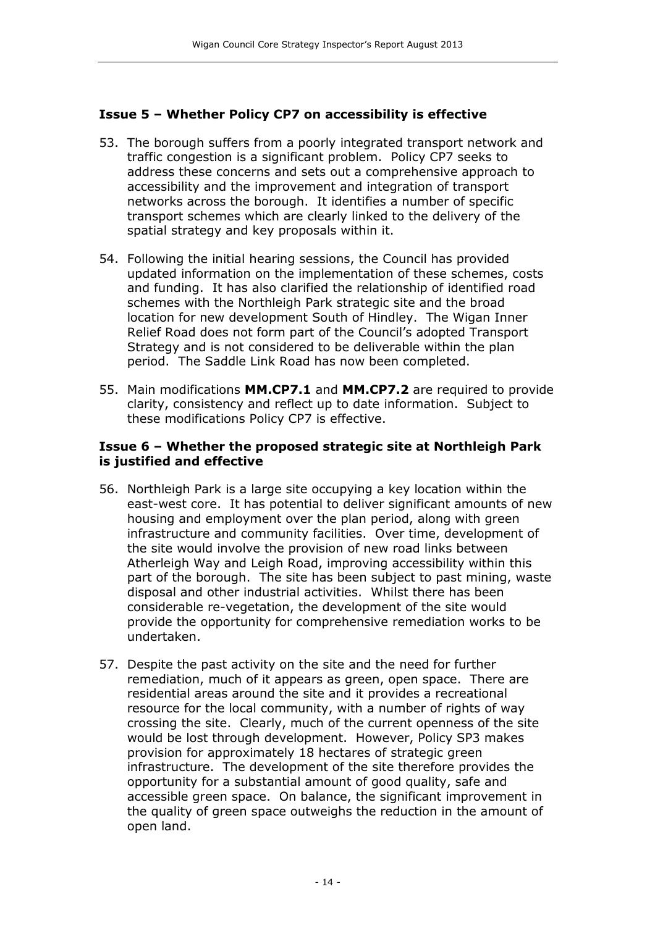#### **Issue 5 – Whether Policy CP7 on accessibility is effective**

- 53. The borough suffers from a poorly integrated transport network and traffic congestion is a significant problem. Policy CP7 seeks to address these concerns and sets out a comprehensive approach to accessibility and the improvement and integration of transport networks across the borough. It identifies a number of specific transport schemes which are clearly linked to the delivery of the spatial strategy and key proposals within it.
- 54. Following the initial hearing sessions, the Council has provided updated information on the implementation of these schemes, costs and funding. It has also clarified the relationship of identified road schemes with the Northleigh Park strategic site and the broad location for new development South of Hindley. The Wigan Inner Relief Road does not form part of the Council's adopted Transport Strategy and is not considered to be deliverable within the plan period. The Saddle Link Road has now been completed.
- 55. Main modifications **MM.CP7.1** and **MM.CP7.2** are required to provide clarity, consistency and reflect up to date information. Subject to these modifications Policy CP7 is effective.

#### **Issue 6 – Whether the proposed strategic site at Northleigh Park is justified and effective**

- 56. Northleigh Park is a large site occupying a key location within the east-west core. It has potential to deliver significant amounts of new housing and employment over the plan period, along with green infrastructure and community facilities. Over time, development of the site would involve the provision of new road links between Atherleigh Way and Leigh Road, improving accessibility within this part of the borough. The site has been subject to past mining, waste disposal and other industrial activities. Whilst there has been considerable re-vegetation, the development of the site would provide the opportunity for comprehensive remediation works to be undertaken.
- 57. Despite the past activity on the site and the need for further remediation, much of it appears as green, open space. There are residential areas around the site and it provides a recreational resource for the local community, with a number of rights of way crossing the site. Clearly, much of the current openness of the site would be lost through development. However, Policy SP3 makes provision for approximately 18 hectares of strategic green infrastructure. The development of the site therefore provides the opportunity for a substantial amount of good quality, safe and accessible green space. On balance, the significant improvement in the quality of green space outweighs the reduction in the amount of open land.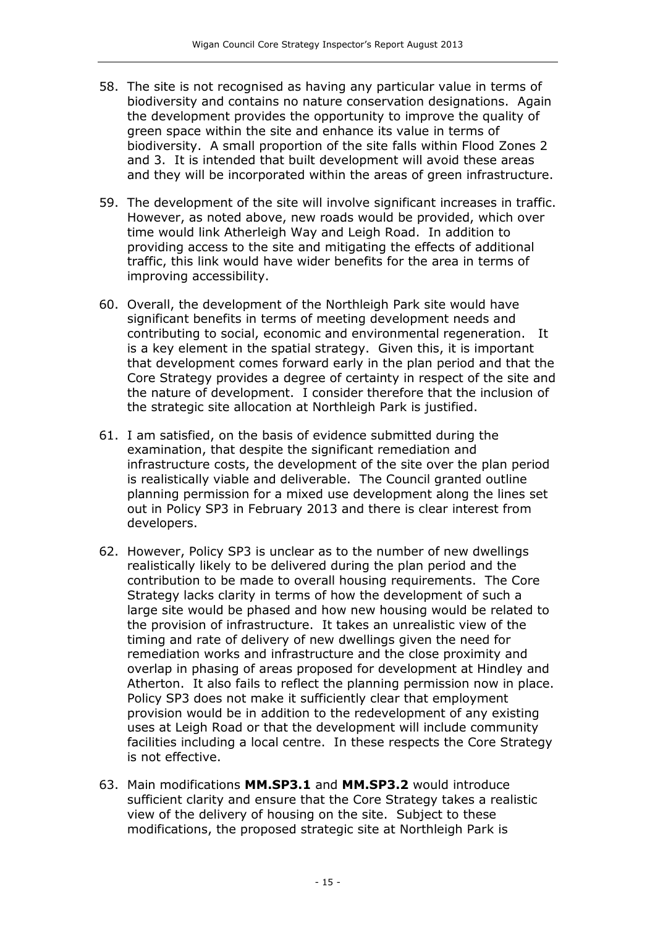- 58. The site is not recognised as having any particular value in terms of biodiversity and contains no nature conservation designations. Again the development provides the opportunity to improve the quality of green space within the site and enhance its value in terms of biodiversity. A small proportion of the site falls within Flood Zones 2 and 3. It is intended that built development will avoid these areas and they will be incorporated within the areas of green infrastructure.
- 59. The development of the site will involve significant increases in traffic. However, as noted above, new roads would be provided, which over time would link Atherleigh Way and Leigh Road. In addition to providing access to the site and mitigating the effects of additional traffic, this link would have wider benefits for the area in terms of improving accessibility.
- 60. Overall, the development of the Northleigh Park site would have significant benefits in terms of meeting development needs and contributing to social, economic and environmental regeneration. It is a key element in the spatial strategy. Given this, it is important that development comes forward early in the plan period and that the Core Strategy provides a degree of certainty in respect of the site and the nature of development. I consider therefore that the inclusion of the strategic site allocation at Northleigh Park is justified.
- 61. I am satisfied, on the basis of evidence submitted during the examination, that despite the significant remediation and infrastructure costs, the development of the site over the plan period is realistically viable and deliverable. The Council granted outline planning permission for a mixed use development along the lines set out in Policy SP3 in February 2013 and there is clear interest from developers.
- 62. However, Policy SP3 is unclear as to the number of new dwellings realistically likely to be delivered during the plan period and the contribution to be made to overall housing requirements. The Core Strategy lacks clarity in terms of how the development of such a large site would be phased and how new housing would be related to the provision of infrastructure. It takes an unrealistic view of the timing and rate of delivery of new dwellings given the need for remediation works and infrastructure and the close proximity and overlap in phasing of areas proposed for development at Hindley and Atherton. It also fails to reflect the planning permission now in place. Policy SP3 does not make it sufficiently clear that employment provision would be in addition to the redevelopment of any existing uses at Leigh Road or that the development will include community facilities including a local centre. In these respects the Core Strategy is not effective.
- 63. Main modifications **MM.SP3.1** and **MM.SP3.2** would introduce sufficient clarity and ensure that the Core Strategy takes a realistic view of the delivery of housing on the site. Subject to these modifications, the proposed strategic site at Northleigh Park is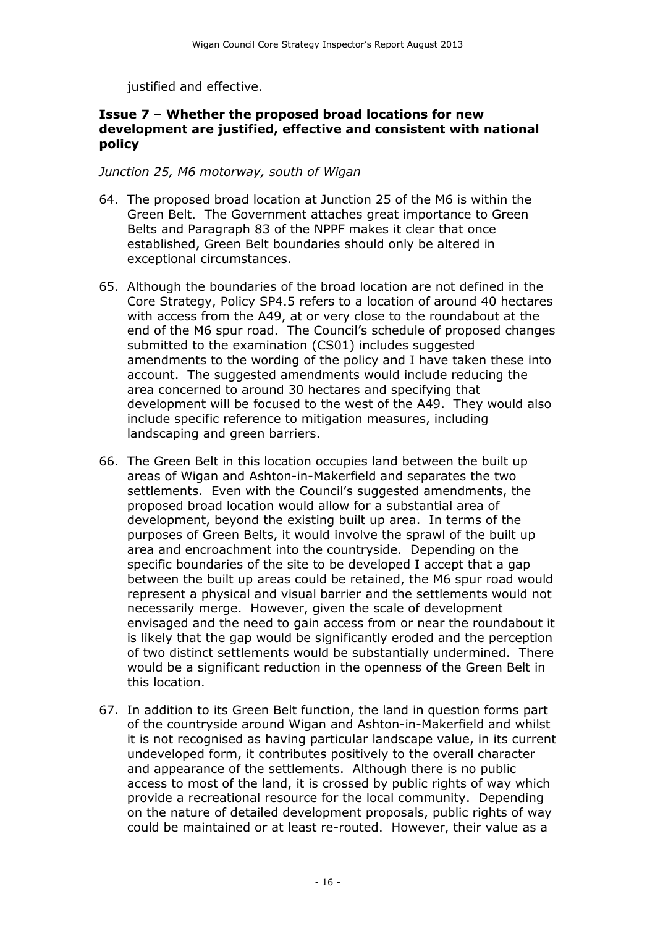justified and effective.

#### **Issue 7 – Whether the proposed broad locations for new development are justified, effective and consistent with national policy**

#### *Junction 25, M6 motorway, south of Wigan*

- 64. The proposed broad location at Junction 25 of the M6 is within the Green Belt. The Government attaches great importance to Green Belts and Paragraph 83 of the NPPF makes it clear that once established, Green Belt boundaries should only be altered in exceptional circumstances.
- 65. Although the boundaries of the broad location are not defined in the Core Strategy, Policy SP4.5 refers to a location of around 40 hectares with access from the A49, at or very close to the roundabout at the end of the M6 spur road. The Council's schedule of proposed changes submitted to the examination (CS01) includes suggested amendments to the wording of the policy and I have taken these into account. The suggested amendments would include reducing the area concerned to around 30 hectares and specifying that development will be focused to the west of the A49. They would also include specific reference to mitigation measures, including landscaping and green barriers.
- 66. The Green Belt in this location occupies land between the built up areas of Wigan and Ashton-in-Makerfield and separates the two settlements. Even with the Council's suggested amendments, the proposed broad location would allow for a substantial area of development, beyond the existing built up area. In terms of the purposes of Green Belts, it would involve the sprawl of the built up area and encroachment into the countryside. Depending on the specific boundaries of the site to be developed I accept that a gap between the built up areas could be retained, the M6 spur road would represent a physical and visual barrier and the settlements would not necessarily merge. However, given the scale of development envisaged and the need to gain access from or near the roundabout it is likely that the gap would be significantly eroded and the perception of two distinct settlements would be substantially undermined. There would be a significant reduction in the openness of the Green Belt in this location.
- 67. In addition to its Green Belt function, the land in question forms part of the countryside around Wigan and Ashton-in-Makerfield and whilst it is not recognised as having particular landscape value, in its current undeveloped form, it contributes positively to the overall character and appearance of the settlements. Although there is no public access to most of the land, it is crossed by public rights of way which provide a recreational resource for the local community. Depending on the nature of detailed development proposals, public rights of way could be maintained or at least re-routed. However, their value as a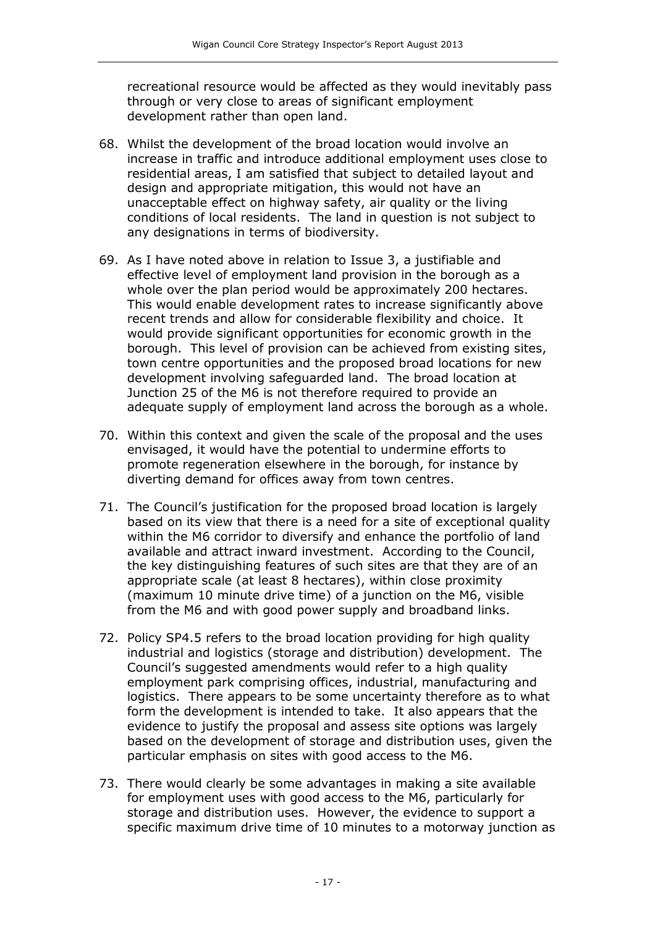recreational resource would be affected as they would inevitably pass through or very close to areas of significant employment development rather than open land.

- 68. Whilst the development of the broad location would involve an increase in traffic and introduce additional employment uses close to residential areas, I am satisfied that subject to detailed layout and design and appropriate mitigation, this would not have an unacceptable effect on highway safety, air quality or the living conditions of local residents. The land in question is not subject to any designations in terms of biodiversity.
- 69. As I have noted above in relation to Issue 3, a justifiable and effective level of employment land provision in the borough as a whole over the plan period would be approximately 200 hectares. This would enable development rates to increase significantly above recent trends and allow for considerable flexibility and choice. It would provide significant opportunities for economic growth in the borough. This level of provision can be achieved from existing sites, town centre opportunities and the proposed broad locations for new development involving safeguarded land. The broad location at Junction 25 of the M6 is not therefore required to provide an adequate supply of employment land across the borough as a whole.
- 70. Within this context and given the scale of the proposal and the uses envisaged, it would have the potential to undermine efforts to promote regeneration elsewhere in the borough, for instance by diverting demand for offices away from town centres.
- 71. The Council's justification for the proposed broad location is largely based on its view that there is a need for a site of exceptional quality within the M6 corridor to diversify and enhance the portfolio of land available and attract inward investment. According to the Council, the key distinguishing features of such sites are that they are of an appropriate scale (at least 8 hectares), within close proximity (maximum 10 minute drive time) of a junction on the M6, visible from the M6 and with good power supply and broadband links.
- 72. Policy SP4.5 refers to the broad location providing for high quality industrial and logistics (storage and distribution) development. The Council's suggested amendments would refer to a high quality employment park comprising offices, industrial, manufacturing and logistics. There appears to be some uncertainty therefore as to what form the development is intended to take. It also appears that the evidence to justify the proposal and assess site options was largely based on the development of storage and distribution uses, given the particular emphasis on sites with good access to the M6.
- 73. There would clearly be some advantages in making a site available for employment uses with good access to the M6, particularly for storage and distribution uses. However, the evidence to support a specific maximum drive time of 10 minutes to a motorway junction as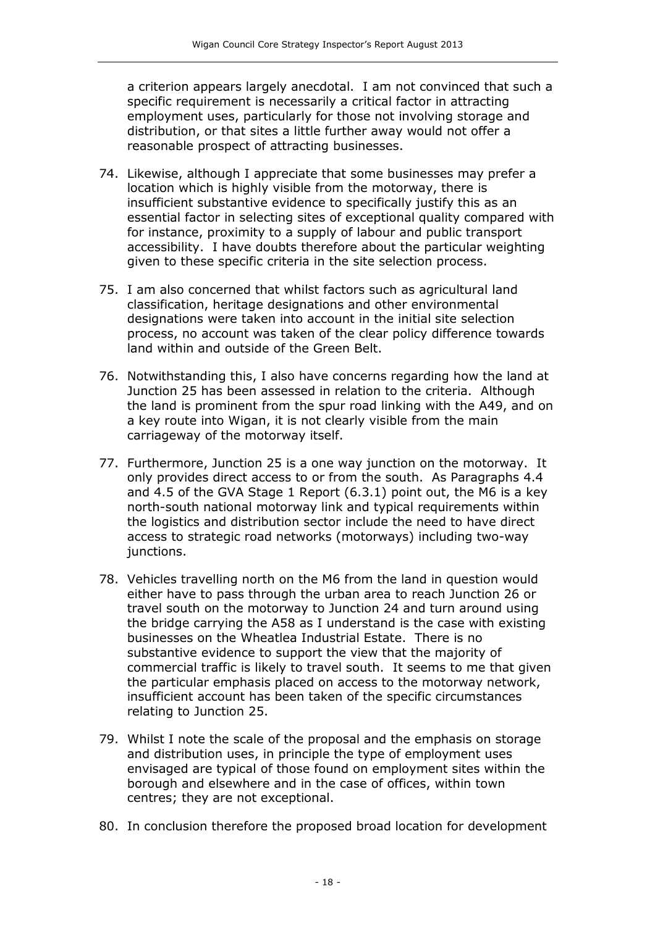a criterion appears largely anecdotal. I am not convinced that such a specific requirement is necessarily a critical factor in attracting employment uses, particularly for those not involving storage and distribution, or that sites a little further away would not offer a reasonable prospect of attracting businesses.

- 74. Likewise, although I appreciate that some businesses may prefer a location which is highly visible from the motorway, there is insufficient substantive evidence to specifically justify this as an essential factor in selecting sites of exceptional quality compared with for instance, proximity to a supply of labour and public transport accessibility. I have doubts therefore about the particular weighting given to these specific criteria in the site selection process.
- 75. I am also concerned that whilst factors such as agricultural land classification, heritage designations and other environmental designations were taken into account in the initial site selection process, no account was taken of the clear policy difference towards land within and outside of the Green Belt.
- 76. Notwithstanding this, I also have concerns regarding how the land at Junction 25 has been assessed in relation to the criteria. Although the land is prominent from the spur road linking with the A49, and on a key route into Wigan, it is not clearly visible from the main carriageway of the motorway itself.
- 77. Furthermore, Junction 25 is a one way junction on the motorway. It only provides direct access to or from the south. As Paragraphs 4.4 and 4.5 of the GVA Stage 1 Report (6.3.1) point out, the M6 is a key north-south national motorway link and typical requirements within the logistics and distribution sector include the need to have direct access to strategic road networks (motorways) including two-way junctions.
- 78. Vehicles travelling north on the M6 from the land in question would either have to pass through the urban area to reach Junction 26 or travel south on the motorway to Junction 24 and turn around using the bridge carrying the A58 as I understand is the case with existing businesses on the Wheatlea Industrial Estate. There is no substantive evidence to support the view that the majority of commercial traffic is likely to travel south. It seems to me that given the particular emphasis placed on access to the motorway network, insufficient account has been taken of the specific circumstances relating to Junction 25.
- 79. Whilst I note the scale of the proposal and the emphasis on storage and distribution uses, in principle the type of employment uses envisaged are typical of those found on employment sites within the borough and elsewhere and in the case of offices, within town centres; they are not exceptional.
- 80. In conclusion therefore the proposed broad location for development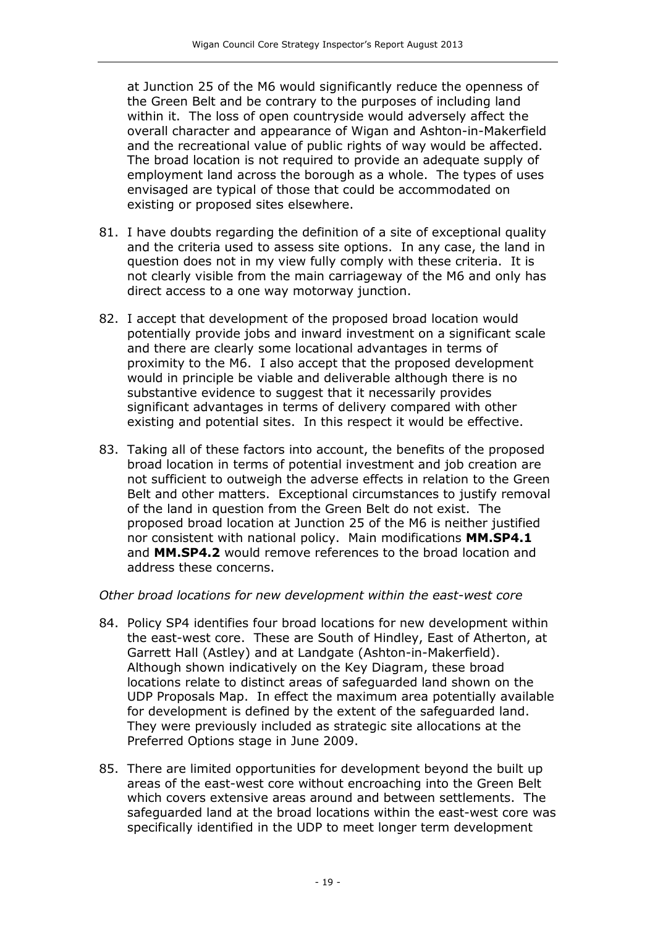at Junction 25 of the M6 would significantly reduce the openness of the Green Belt and be contrary to the purposes of including land within it. The loss of open countryside would adversely affect the overall character and appearance of Wigan and Ashton-in-Makerfield and the recreational value of public rights of way would be affected. The broad location is not required to provide an adequate supply of employment land across the borough as a whole. The types of uses envisaged are typical of those that could be accommodated on existing or proposed sites elsewhere.

- 81. I have doubts regarding the definition of a site of exceptional quality and the criteria used to assess site options. In any case, the land in question does not in my view fully comply with these criteria. It is not clearly visible from the main carriageway of the M6 and only has direct access to a one way motorway junction.
- 82. I accept that development of the proposed broad location would potentially provide jobs and inward investment on a significant scale and there are clearly some locational advantages in terms of proximity to the M6. I also accept that the proposed development would in principle be viable and deliverable although there is no substantive evidence to suggest that it necessarily provides significant advantages in terms of delivery compared with other existing and potential sites. In this respect it would be effective.
- 83. Taking all of these factors into account, the benefits of the proposed broad location in terms of potential investment and job creation are not sufficient to outweigh the adverse effects in relation to the Green Belt and other matters. Exceptional circumstances to justify removal of the land in question from the Green Belt do not exist. The proposed broad location at Junction 25 of the M6 is neither justified nor consistent with national policy. Main modifications **MM.SP4.1** and **MM.SP4.2** would remove references to the broad location and address these concerns.

#### *Other broad locations for new development within the east-west core*

- 84. Policy SP4 identifies four broad locations for new development within the east-west core. These are South of Hindley, East of Atherton, at Garrett Hall (Astley) and at Landgate (Ashton-in-Makerfield). Although shown indicatively on the Key Diagram, these broad locations relate to distinct areas of safeguarded land shown on the UDP Proposals Map. In effect the maximum area potentially available for development is defined by the extent of the safeguarded land. They were previously included as strategic site allocations at the Preferred Options stage in June 2009.
- 85. There are limited opportunities for development beyond the built up areas of the east-west core without encroaching into the Green Belt which covers extensive areas around and between settlements. The safeguarded land at the broad locations within the east-west core was specifically identified in the UDP to meet longer term development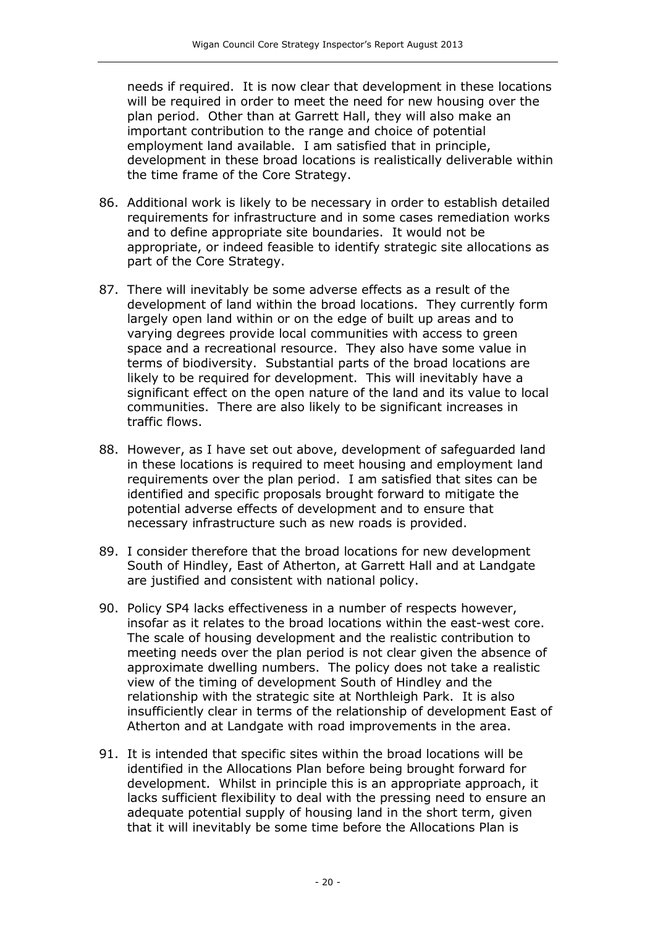needs if required. It is now clear that development in these locations will be required in order to meet the need for new housing over the plan period. Other than at Garrett Hall, they will also make an important contribution to the range and choice of potential employment land available. I am satisfied that in principle, development in these broad locations is realistically deliverable within the time frame of the Core Strategy.

- 86. Additional work is likely to be necessary in order to establish detailed requirements for infrastructure and in some cases remediation works and to define appropriate site boundaries. It would not be appropriate, or indeed feasible to identify strategic site allocations as part of the Core Strategy.
- 87. There will inevitably be some adverse effects as a result of the development of land within the broad locations. They currently form largely open land within or on the edge of built up areas and to varying degrees provide local communities with access to green space and a recreational resource. They also have some value in terms of biodiversity. Substantial parts of the broad locations are likely to be required for development. This will inevitably have a significant effect on the open nature of the land and its value to local communities. There are also likely to be significant increases in traffic flows.
- 88. However, as I have set out above, development of safeguarded land in these locations is required to meet housing and employment land requirements over the plan period. I am satisfied that sites can be identified and specific proposals brought forward to mitigate the potential adverse effects of development and to ensure that necessary infrastructure such as new roads is provided.
- 89. I consider therefore that the broad locations for new development South of Hindley, East of Atherton, at Garrett Hall and at Landgate are justified and consistent with national policy.
- 90. Policy SP4 lacks effectiveness in a number of respects however, insofar as it relates to the broad locations within the east-west core. The scale of housing development and the realistic contribution to meeting needs over the plan period is not clear given the absence of approximate dwelling numbers. The policy does not take a realistic view of the timing of development South of Hindley and the relationship with the strategic site at Northleigh Park. It is also insufficiently clear in terms of the relationship of development East of Atherton and at Landgate with road improvements in the area.
- 91. It is intended that specific sites within the broad locations will be identified in the Allocations Plan before being brought forward for development. Whilst in principle this is an appropriate approach, it lacks sufficient flexibility to deal with the pressing need to ensure an adequate potential supply of housing land in the short term, given that it will inevitably be some time before the Allocations Plan is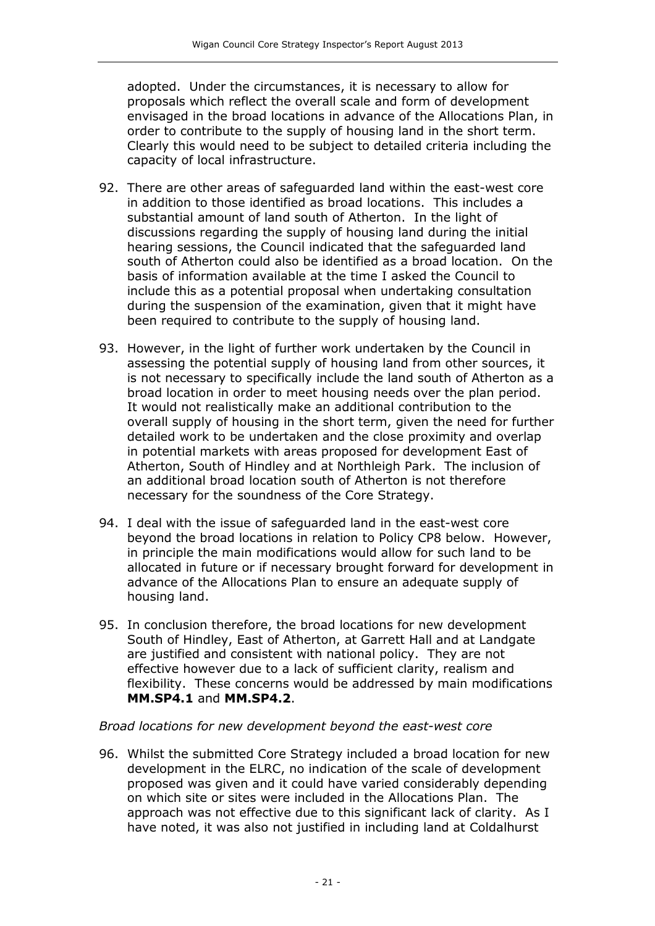adopted. Under the circumstances, it is necessary to allow for proposals which reflect the overall scale and form of development envisaged in the broad locations in advance of the Allocations Plan, in order to contribute to the supply of housing land in the short term. Clearly this would need to be subject to detailed criteria including the capacity of local infrastructure.

- 92. There are other areas of safeguarded land within the east-west core in addition to those identified as broad locations. This includes a substantial amount of land south of Atherton. In the light of discussions regarding the supply of housing land during the initial hearing sessions, the Council indicated that the safeguarded land south of Atherton could also be identified as a broad location. On the basis of information available at the time I asked the Council to include this as a potential proposal when undertaking consultation during the suspension of the examination, given that it might have been required to contribute to the supply of housing land.
- 93. However, in the light of further work undertaken by the Council in assessing the potential supply of housing land from other sources, it is not necessary to specifically include the land south of Atherton as a broad location in order to meet housing needs over the plan period. It would not realistically make an additional contribution to the overall supply of housing in the short term, given the need for further detailed work to be undertaken and the close proximity and overlap in potential markets with areas proposed for development East of Atherton, South of Hindley and at Northleigh Park. The inclusion of an additional broad location south of Atherton is not therefore necessary for the soundness of the Core Strategy.
- 94. I deal with the issue of safeguarded land in the east-west core beyond the broad locations in relation to Policy CP8 below. However, in principle the main modifications would allow for such land to be allocated in future or if necessary brought forward for development in advance of the Allocations Plan to ensure an adequate supply of housing land.
- 95. In conclusion therefore, the broad locations for new development South of Hindley, East of Atherton, at Garrett Hall and at Landgate are justified and consistent with national policy. They are not effective however due to a lack of sufficient clarity, realism and flexibility. These concerns would be addressed by main modifications **MM.SP4.1** and **MM.SP4.2**.

#### *Broad locations for new development beyond the east-west core*

96. Whilst the submitted Core Strategy included a broad location for new development in the ELRC, no indication of the scale of development proposed was given and it could have varied considerably depending on which site or sites were included in the Allocations Plan. The approach was not effective due to this significant lack of clarity. As I have noted, it was also not justified in including land at Coldalhurst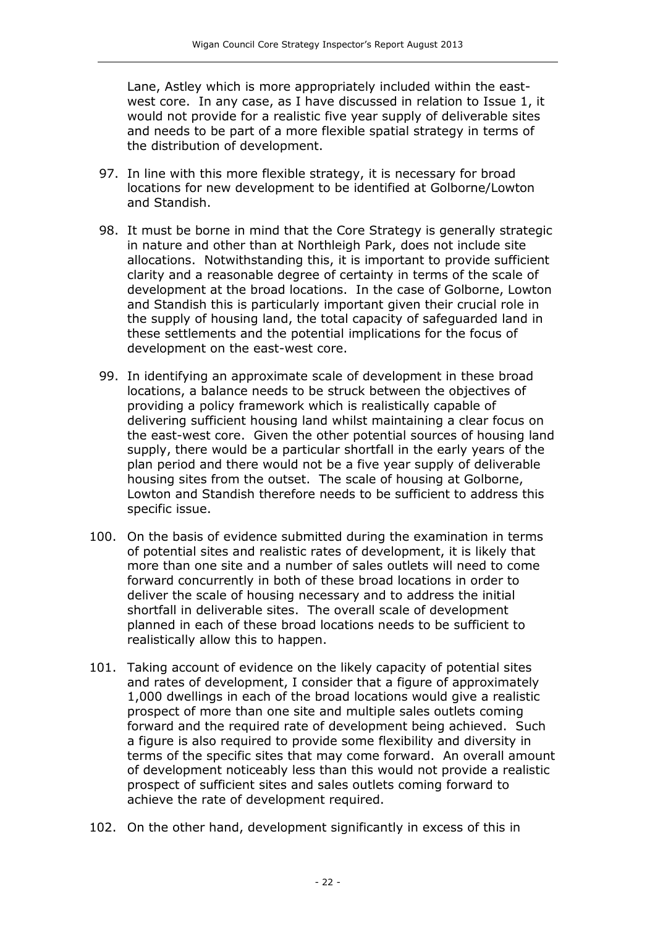Lane, Astley which is more appropriately included within the eastwest core. In any case, as I have discussed in relation to Issue 1, it would not provide for a realistic five year supply of deliverable sites and needs to be part of a more flexible spatial strategy in terms of the distribution of development.

- 97. In line with this more flexible strategy, it is necessary for broad locations for new development to be identified at Golborne/Lowton and Standish.
- 98. It must be borne in mind that the Core Strategy is generally strategic in nature and other than at Northleigh Park, does not include site allocations. Notwithstanding this, it is important to provide sufficient clarity and a reasonable degree of certainty in terms of the scale of development at the broad locations. In the case of Golborne, Lowton and Standish this is particularly important given their crucial role in the supply of housing land, the total capacity of safeguarded land in these settlements and the potential implications for the focus of development on the east-west core.
- 99. In identifying an approximate scale of development in these broad locations, a balance needs to be struck between the objectives of providing a policy framework which is realistically capable of delivering sufficient housing land whilst maintaining a clear focus on the east-west core. Given the other potential sources of housing land supply, there would be a particular shortfall in the early years of the plan period and there would not be a five year supply of deliverable housing sites from the outset. The scale of housing at Golborne, Lowton and Standish therefore needs to be sufficient to address this specific issue.
- 100. On the basis of evidence submitted during the examination in terms of potential sites and realistic rates of development, it is likely that more than one site and a number of sales outlets will need to come forward concurrently in both of these broad locations in order to deliver the scale of housing necessary and to address the initial shortfall in deliverable sites. The overall scale of development planned in each of these broad locations needs to be sufficient to realistically allow this to happen.
- 101. Taking account of evidence on the likely capacity of potential sites and rates of development, I consider that a figure of approximately 1,000 dwellings in each of the broad locations would give a realistic prospect of more than one site and multiple sales outlets coming forward and the required rate of development being achieved. Such a figure is also required to provide some flexibility and diversity in terms of the specific sites that may come forward. An overall amount of development noticeably less than this would not provide a realistic prospect of sufficient sites and sales outlets coming forward to achieve the rate of development required.
- 102. On the other hand, development significantly in excess of this in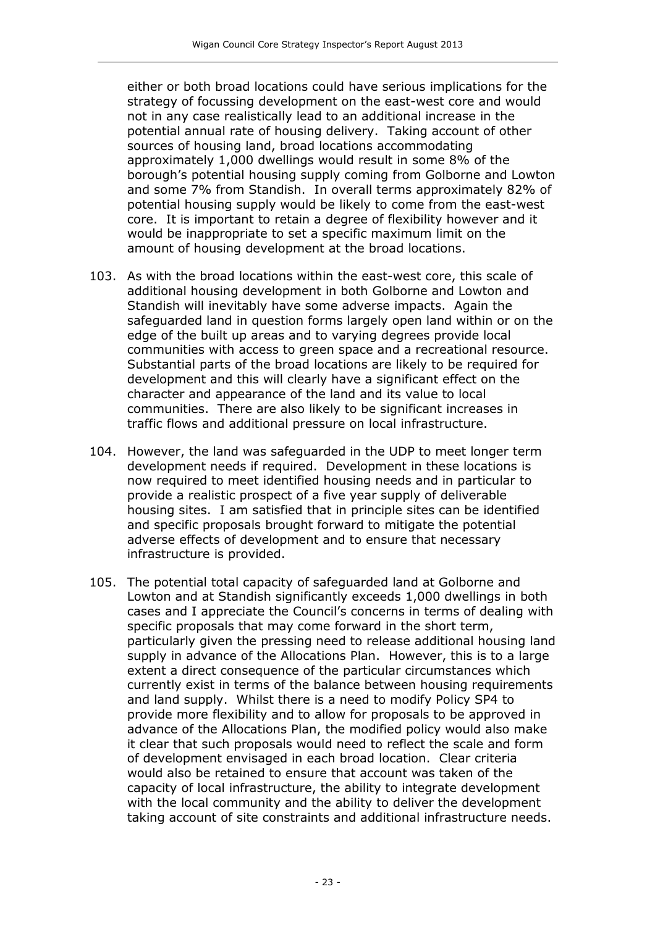either or both broad locations could have serious implications for the strategy of focussing development on the east-west core and would not in any case realistically lead to an additional increase in the potential annual rate of housing delivery. Taking account of other sources of housing land, broad locations accommodating approximately 1,000 dwellings would result in some 8% of the borough's potential housing supply coming from Golborne and Lowton and some 7% from Standish. In overall terms approximately 82% of potential housing supply would be likely to come from the east-west core. It is important to retain a degree of flexibility however and it would be inappropriate to set a specific maximum limit on the amount of housing development at the broad locations.

- 103. As with the broad locations within the east-west core, this scale of additional housing development in both Golborne and Lowton and Standish will inevitably have some adverse impacts. Again the safeguarded land in question forms largely open land within or on the edge of the built up areas and to varying degrees provide local communities with access to green space and a recreational resource. Substantial parts of the broad locations are likely to be required for development and this will clearly have a significant effect on the character and appearance of the land and its value to local communities. There are also likely to be significant increases in traffic flows and additional pressure on local infrastructure.
- 104. However, the land was safeguarded in the UDP to meet longer term development needs if required. Development in these locations is now required to meet identified housing needs and in particular to provide a realistic prospect of a five year supply of deliverable housing sites. I am satisfied that in principle sites can be identified and specific proposals brought forward to mitigate the potential adverse effects of development and to ensure that necessary infrastructure is provided.
- 105. The potential total capacity of safeguarded land at Golborne and Lowton and at Standish significantly exceeds 1,000 dwellings in both cases and I appreciate the Council's concerns in terms of dealing with specific proposals that may come forward in the short term, particularly given the pressing need to release additional housing land supply in advance of the Allocations Plan. However, this is to a large extent a direct consequence of the particular circumstances which currently exist in terms of the balance between housing requirements and land supply. Whilst there is a need to modify Policy SP4 to provide more flexibility and to allow for proposals to be approved in advance of the Allocations Plan, the modified policy would also make it clear that such proposals would need to reflect the scale and form of development envisaged in each broad location. Clear criteria would also be retained to ensure that account was taken of the capacity of local infrastructure, the ability to integrate development with the local community and the ability to deliver the development taking account of site constraints and additional infrastructure needs.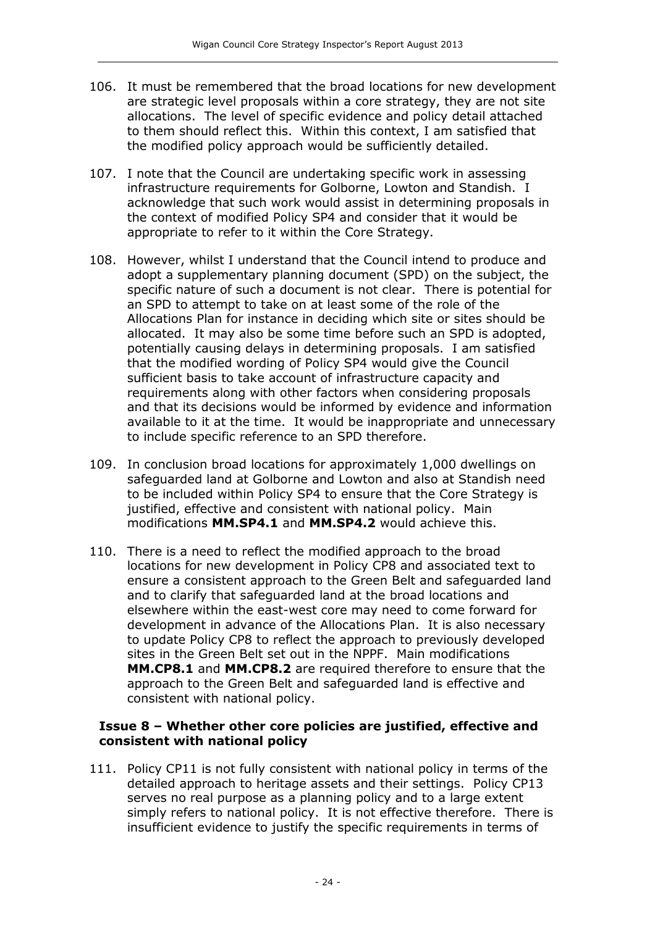- 106. It must be remembered that the broad locations for new development are strategic level proposals within a core strategy, they are not site allocations. The level of specific evidence and policy detail attached to them should reflect this. Within this context, I am satisfied that the modified policy approach would be sufficiently detailed.
- 107. I note that the Council are undertaking specific work in assessing infrastructure requirements for Golborne, Lowton and Standish. I acknowledge that such work would assist in determining proposals in the context of modified Policy SP4 and consider that it would be appropriate to refer to it within the Core Strategy.
- 108. However, whilst I understand that the Council intend to produce and adopt a supplementary planning document (SPD) on the subject, the specific nature of such a document is not clear. There is potential for an SPD to attempt to take on at least some of the role of the Allocations Plan for instance in deciding which site or sites should be allocated. It may also be some time before such an SPD is adopted, potentially causing delays in determining proposals. I am satisfied that the modified wording of Policy SP4 would give the Council sufficient basis to take account of infrastructure capacity and requirements along with other factors when considering proposals and that its decisions would be informed by evidence and information available to it at the time. It would be inappropriate and unnecessary to include specific reference to an SPD therefore.
- 109. In conclusion broad locations for approximately 1,000 dwellings on safeguarded land at Golborne and Lowton and also at Standish need to be included within Policy SP4 to ensure that the Core Strategy is justified, effective and consistent with national policy. Main modifications **MM.SP4.1** and **MM.SP4.2** would achieve this.
- 110. There is a need to reflect the modified approach to the broad locations for new development in Policy CP8 and associated text to ensure a consistent approach to the Green Belt and safeguarded land and to clarify that safeguarded land at the broad locations and elsewhere within the east-west core may need to come forward for development in advance of the Allocations Plan. It is also necessary to update Policy CP8 to reflect the approach to previously developed sites in the Green Belt set out in the NPPF. Main modifications **MM.CP8.1** and **MM.CP8.2** are required therefore to ensure that the approach to the Green Belt and safeguarded land is effective and consistent with national policy.

#### **Issue 8 – Whether other core policies are justified, effective and consistent with national policy**

111. Policy CP11 is not fully consistent with national policy in terms of the detailed approach to heritage assets and their settings. Policy CP13 serves no real purpose as a planning policy and to a large extent simply refers to national policy. It is not effective therefore. There is insufficient evidence to justify the specific requirements in terms of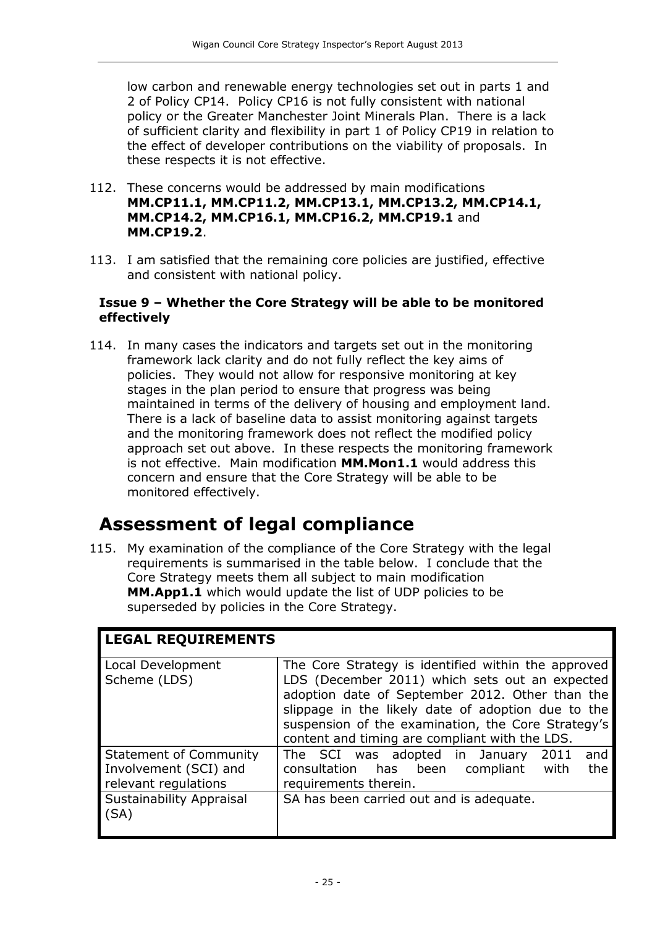low carbon and renewable energy technologies set out in parts 1 and 2 of Policy CP14. Policy CP16 is not fully consistent with national policy or the Greater Manchester Joint Minerals Plan. There is a lack of sufficient clarity and flexibility in part 1 of Policy CP19 in relation to the effect of developer contributions on the viability of proposals. In these respects it is not effective.

- 112. These concerns would be addressed by main modifications **MM.CP11.1, MM.CP11.2, MM.CP13.1, MM.CP13.2, MM.CP14.1, MM.CP14.2, MM.CP16.1, MM.CP16.2, MM.CP19.1** and **MM.CP19.2**.
- 113. I am satisfied that the remaining core policies are justified, effective and consistent with national policy.

#### **Issue 9 – Whether the Core Strategy will be able to be monitored effectively**

114. In many cases the indicators and targets set out in the monitoring framework lack clarity and do not fully reflect the key aims of policies. They would not allow for responsive monitoring at key stages in the plan period to ensure that progress was being maintained in terms of the delivery of housing and employment land. There is a lack of baseline data to assist monitoring against targets and the monitoring framework does not reflect the modified policy approach set out above. In these respects the monitoring framework is not effective. Main modification **MM.Mon1.1** would address this concern and ensure that the Core Strategy will be able to be monitored effectively.

### **Assessment of legal compliance**

115. My examination of the compliance of the Core Strategy with the legal requirements is summarised in the table below. I conclude that the Core Strategy meets them all subject to main modification **MM.App1.1** which would update the list of UDP policies to be superseded by policies in the Core Strategy.

| <b>LEGAL REQUIREMENTS</b>                                                      |                                                                                                                                                                                                                                                                                                                        |
|--------------------------------------------------------------------------------|------------------------------------------------------------------------------------------------------------------------------------------------------------------------------------------------------------------------------------------------------------------------------------------------------------------------|
| Local Development<br>Scheme (LDS)                                              | The Core Strategy is identified within the approved<br>LDS (December 2011) which sets out an expected<br>adoption date of September 2012. Other than the<br>slippage in the likely date of adoption due to the<br>suspension of the examination, the Core Strategy's<br>content and timing are compliant with the LDS. |
| <b>Statement of Community</b><br>Involvement (SCI) and<br>relevant regulations | The SCI was adopted in January<br>2011<br>and<br>the<br>consultation has been compliant<br>with<br>requirements therein.                                                                                                                                                                                               |
| Sustainability Appraisal<br>(SA)                                               | SA has been carried out and is adequate.                                                                                                                                                                                                                                                                               |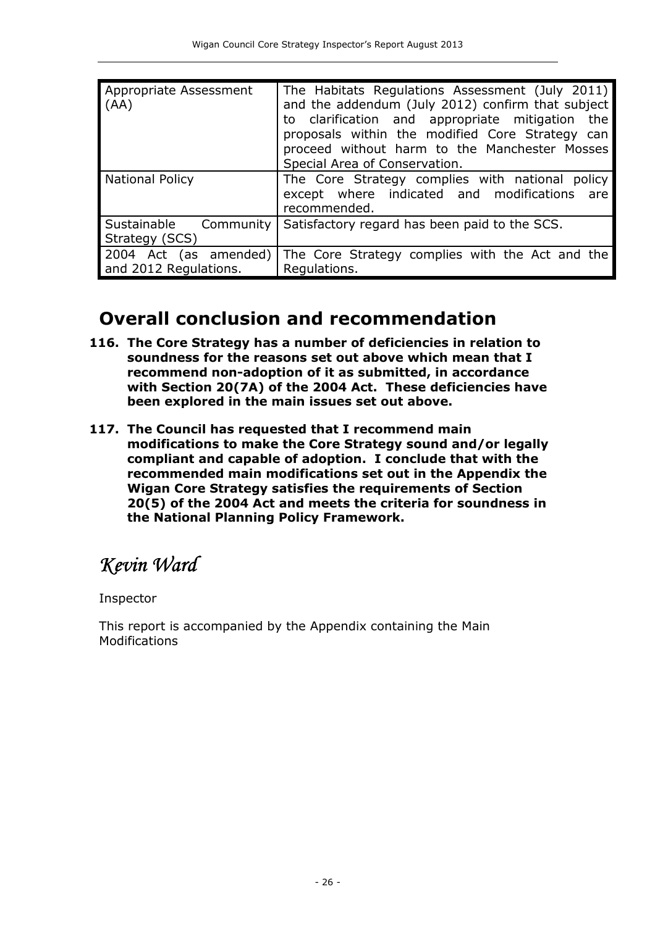| Appropriate Assessment<br>(AA)                 | The Habitats Regulations Assessment (July 2011)<br>and the addendum (July 2012) confirm that subject<br>to clarification and appropriate mitigation the<br>proposals within the modified Core Strategy can<br>proceed without harm to the Manchester Mosses<br>Special Area of Conservation. |
|------------------------------------------------|----------------------------------------------------------------------------------------------------------------------------------------------------------------------------------------------------------------------------------------------------------------------------------------------|
| <b>National Policy</b>                         | The Core Strategy complies with national policy<br>except where indicated and modifications are<br>recommended.                                                                                                                                                                              |
| Sustainable Community<br>Strategy (SCS)        | Satisfactory regard has been paid to the SCS.                                                                                                                                                                                                                                                |
| 2004 Act (as amended)<br>and 2012 Regulations. | The Core Strategy complies with the Act and the<br>Regulations.                                                                                                                                                                                                                              |

### **Overall conclusion and recommendation**

- **116. The Core Strategy has a number of deficiencies in relation to soundness for the reasons set out above which mean that I recommend non-adoption of it as submitted, in accordance with Section 20(7A) of the 2004 Act. These deficiencies have been explored in the main issues set out above.**
- **117. The Council has requested that I recommend main modifications to make the Core Strategy sound and/or legally compliant and capable of adoption. I conclude that with the recommended main modifications set out in the Appendix the Wigan Core Strategy satisfies the requirements of Section 20(5) of the 2004 Act and meets the criteria for soundness in the National Planning Policy Framework.**

# *Kevin Ward Ward*

Inspector

This report is accompanied by the Appendix containing the Main Modifications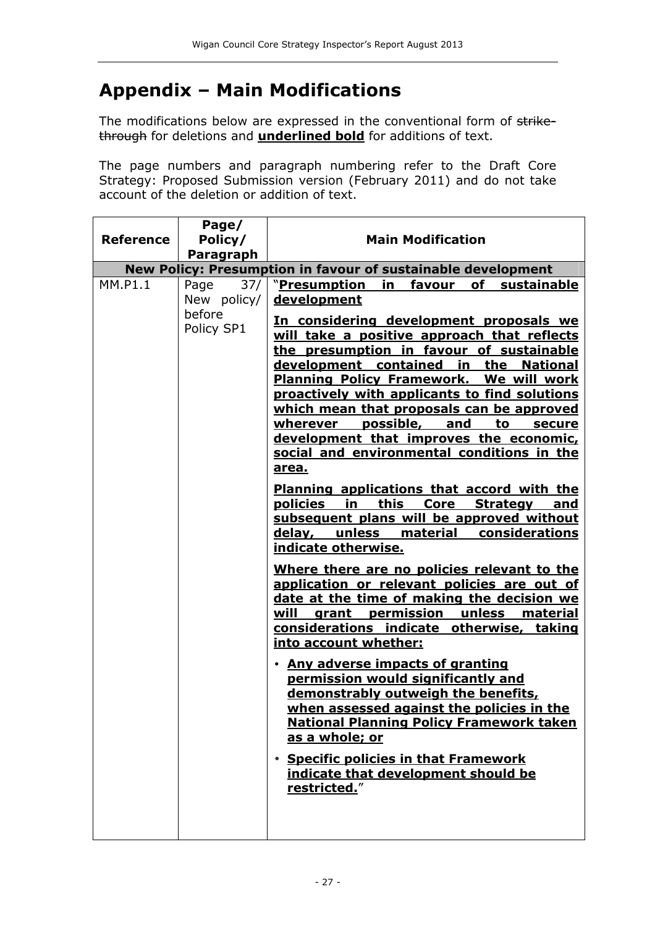### **Appendix – Main Modifications**

The modifications below are expressed in the conventional form of strikethrough for deletions and **underlined bold** for additions of text.

The page numbers and paragraph numbering refer to the Draft Core Strategy: Proposed Submission version (February 2011) and do not take account of the deletion or addition of text.

|                  | Page/                |                                                                                                                                                                                                                                                                                                                                                                                                                                                                                                                                                                                                                                                                                                                                                                                                                                                                                                                                                                                                                                                                                                                                                                                                                                                                                               |
|------------------|----------------------|-----------------------------------------------------------------------------------------------------------------------------------------------------------------------------------------------------------------------------------------------------------------------------------------------------------------------------------------------------------------------------------------------------------------------------------------------------------------------------------------------------------------------------------------------------------------------------------------------------------------------------------------------------------------------------------------------------------------------------------------------------------------------------------------------------------------------------------------------------------------------------------------------------------------------------------------------------------------------------------------------------------------------------------------------------------------------------------------------------------------------------------------------------------------------------------------------------------------------------------------------------------------------------------------------|
| <b>Reference</b> | Policy/              | <b>Main Modification</b>                                                                                                                                                                                                                                                                                                                                                                                                                                                                                                                                                                                                                                                                                                                                                                                                                                                                                                                                                                                                                                                                                                                                                                                                                                                                      |
|                  | Paragraph            |                                                                                                                                                                                                                                                                                                                                                                                                                                                                                                                                                                                                                                                                                                                                                                                                                                                                                                                                                                                                                                                                                                                                                                                                                                                                                               |
|                  |                      | New Policy: Presumption in favour of sustainable development                                                                                                                                                                                                                                                                                                                                                                                                                                                                                                                                                                                                                                                                                                                                                                                                                                                                                                                                                                                                                                                                                                                                                                                                                                  |
| MM.P1.1          | 37/<br>Page          | "Presumption<br>in<br>favour<br>of sustainable<br>development                                                                                                                                                                                                                                                                                                                                                                                                                                                                                                                                                                                                                                                                                                                                                                                                                                                                                                                                                                                                                                                                                                                                                                                                                                 |
|                  | New policy/          |                                                                                                                                                                                                                                                                                                                                                                                                                                                                                                                                                                                                                                                                                                                                                                                                                                                                                                                                                                                                                                                                                                                                                                                                                                                                                               |
|                  | before<br>Policy SP1 | In considering development proposals we<br>will take a positive approach that reflects<br>the presumption in favour of sustainable<br>development contained in the National<br><b>Planning Policy Framework. We will work</b><br>proactively with applicants to find solutions<br>which mean that proposals can be approved<br>wherever possible, and to<br>secure<br>development that improves the economic,<br>social and environmental conditions in the<br>area.<br><b>Planning applications that accord with the</b><br>policies in this Core Strategy and<br>subsequent plans will be approved without<br>delay, unless<br>material considerations<br>indicate otherwise.<br>Where there are no policies relevant to the<br>application or relevant policies are out of<br>date at the time of making the decision we<br>grant permission unless material<br>will<br>considerations indicate otherwise, taking<br>into account whether:<br>• Any adverse impacts of granting<br>permission would significantly and<br>demonstrably outweigh the benefits,<br>when assessed against the policies in the<br><b>National Planning Policy Framework taken</b><br><u>as a whole; or</u><br><b>Specific policies in that Framework</b><br>indicate that development should be<br>restricted." |
|                  |                      |                                                                                                                                                                                                                                                                                                                                                                                                                                                                                                                                                                                                                                                                                                                                                                                                                                                                                                                                                                                                                                                                                                                                                                                                                                                                                               |
|                  |                      |                                                                                                                                                                                                                                                                                                                                                                                                                                                                                                                                                                                                                                                                                                                                                                                                                                                                                                                                                                                                                                                                                                                                                                                                                                                                                               |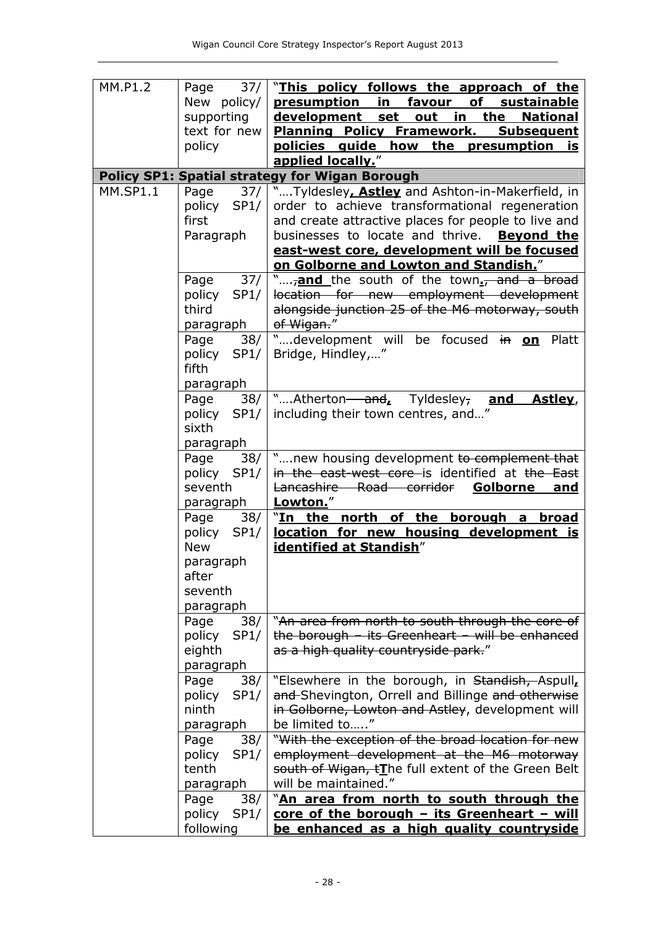| MM.P1.2         | 37/<br>Page      | "This policy follows the approach of the                                       |
|-----------------|------------------|--------------------------------------------------------------------------------|
|                 | New policy/      | <b>presumption</b><br>favour<br>of<br><u>in _</u><br><b>sustainable</b>        |
|                 | supporting       | development<br><u>in</u><br><u>set</u><br><u>out</u><br>the<br><b>National</b> |
|                 | text for new     | <b>Planning Policy Framework.</b><br><b>Subsequent</b>                         |
|                 | policy           | policies guide how the<br><b>presumption</b><br>is                             |
|                 |                  | applied locally."                                                              |
|                 |                  | <b>Policy SP1: Spatial strategy for Wigan Borough</b>                          |
| <b>MM.SP1.1</b> | Page<br>37/      | "Tyldesley, Astley and Ashton-in-Makerfield, in                                |
|                 | policy<br>SP1/   | order to achieve transformational regeneration                                 |
|                 | first            | and create attractive places for people to live and                            |
|                 | Paragraph        | businesses to locate and thrive. Beyond the                                    |
|                 |                  | east-west core, development will be focused                                    |
|                 |                  | on Golborne and Lowton and Standish."                                          |
|                 | 37/<br>Page      | " <sub>7</sub> and the south of the town. <sup>7</sup> and a broad             |
|                 | SP1/<br>policy   | location for new employment development                                        |
|                 | third            | alongside junction 25 of the M6 motorway, south                                |
|                 | paragraph        | of Wigan."                                                                     |
|                 | 38/<br>Page      | "development will be focused in on<br>Platt                                    |
|                 | policy<br>SP1/   | Bridge, Hindley,"                                                              |
|                 | fifth            |                                                                                |
|                 | paragraph        |                                                                                |
|                 | 38/<br>Page      | "Atherton-and, Tyldesley, and<br>Astley,                                       |
|                 | policy<br>SP1/   | including their town centres, and"                                             |
|                 | sixth            |                                                                                |
|                 | <u>paragraph</u> |                                                                                |
|                 | Page<br>38/      | "new housing development to complement that                                    |
|                 | policy<br>SP1/   | in the east-west core is identified at the East                                |
|                 | seventh          | Golborne<br>Lancashire Road corridor<br><u>and</u>                             |
|                 | paragraph        | Lowton."                                                                       |
|                 | 38/<br>Page      | "In the north of the borough a<br><u>broad</u>                                 |
|                 | policy<br>SP1/   | location for new housing development is                                        |
|                 | <b>New</b>       | <b>identified at Standish"</b>                                                 |
|                 | paragraph        |                                                                                |
|                 | after            |                                                                                |
|                 | seventh          |                                                                                |
|                 | paragraph        |                                                                                |
|                 | Page<br>38/      | "An area from north to south through the core of                               |
|                 | policy<br>SP1/   | the borough $-$ its Greenheart $-$ will be enhanced                            |
|                 | eighth           | as a high quality countryside park."                                           |
|                 | paragraph        |                                                                                |
|                 | Page<br>38/      | "Elsewhere in the borough, in Standish, Aspull,                                |
|                 | policy<br>SP1/   | and-Shevington, Orrell and Billinge and otherwise                              |
|                 | ninth            | in Golborne, Lowton and Astley, development will                               |
|                 | paragraph        | be limited to"                                                                 |
|                 | Page<br>38/      | "With the exception of the broad location for new                              |
|                 | policy<br>SP1/   | employment development at the M6 motorway                                      |
|                 | tenth            | south of Wigan, tThe full extent of the Green Belt                             |
|                 | paragraph        | will be maintained."                                                           |
|                 | Page<br>38/      | "An area from north to south through the                                       |
|                 | policy SP1/      | $core$ of the borough $-$ its Greenheart $-$ will                              |
|                 | following        | be enhanced as a high quality countryside                                      |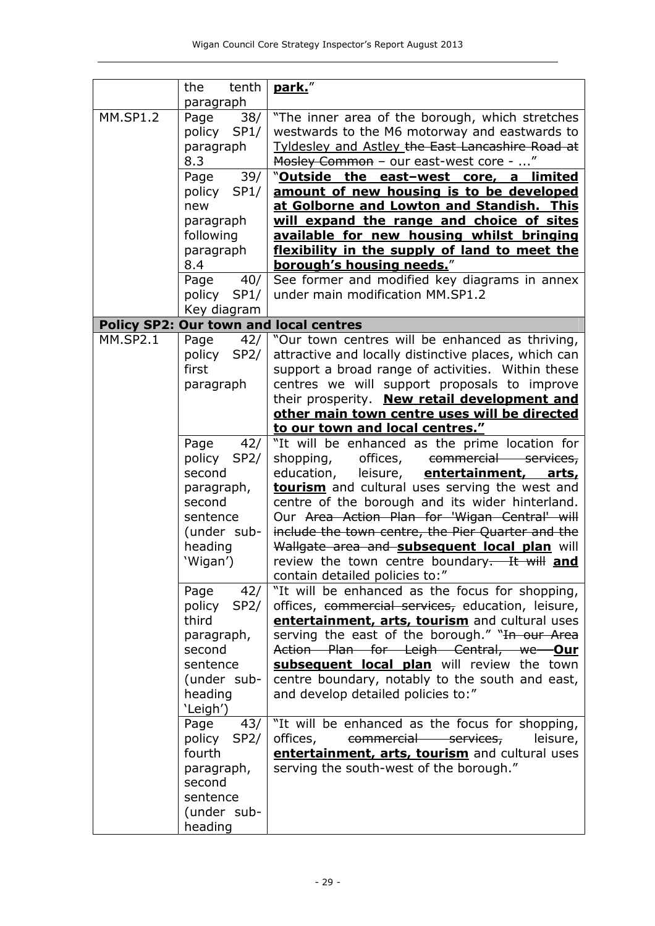|                 | tenth<br>the<br>paragraph                                                                                                                                                                                                 | park."                                                                                                                                                                                                                                                                                                                                                                                                                                                                                                                                                                                          |
|-----------------|---------------------------------------------------------------------------------------------------------------------------------------------------------------------------------------------------------------------------|-------------------------------------------------------------------------------------------------------------------------------------------------------------------------------------------------------------------------------------------------------------------------------------------------------------------------------------------------------------------------------------------------------------------------------------------------------------------------------------------------------------------------------------------------------------------------------------------------|
| <b>MM.SP1.2</b> | 38/<br>Page<br>policy<br>SP1/<br>paragraph<br>8.3<br>39/<br>Page<br>policy<br>SP1/<br>new<br>paragraph<br>following<br>paragraph<br>8.4<br>40/<br>Page                                                                    | "The inner area of the borough, which stretches<br>westwards to the M6 motorway and eastwards to<br><b>Tyldesley and Astley the East Lancashire Road at</b><br>Mosley Common - our east-west core - "<br>"Outside the east-west core, a limited<br>amount of new housing is to be developed<br>at Golborne and Lowton and Standish. This<br>will expand the range and choice of sites<br>available for new housing whilst bringing<br>flexibility in the supply of land to meet the<br>borough's housing needs."<br>See former and modified key diagrams in annex                               |
|                 | policy SP1/                                                                                                                                                                                                               | under main modification MM.SP1.2                                                                                                                                                                                                                                                                                                                                                                                                                                                                                                                                                                |
|                 | Key diagram                                                                                                                                                                                                               | <b>Policy SP2: Our town and local centres</b>                                                                                                                                                                                                                                                                                                                                                                                                                                                                                                                                                   |
| <b>MM.SP2.1</b> | Page<br>42/<br>policy<br>SP2/<br>first<br>paragraph                                                                                                                                                                       | "Our town centres will be enhanced as thriving,<br>attractive and locally distinctive places, which can<br>support a broad range of activities. Within these<br>centres we will support proposals to improve<br>their prosperity. New retail development and<br>other main town centre uses will be directed                                                                                                                                                                                                                                                                                    |
|                 |                                                                                                                                                                                                                           | to our town and local centres."                                                                                                                                                                                                                                                                                                                                                                                                                                                                                                                                                                 |
|                 | Page<br>42/<br>policy SP2/<br>second<br>paragraph,<br>second<br>sentence<br>(under sub-<br>heading<br>'Wigan')                                                                                                            | "It will be enhanced as the prime location for<br>offices,<br>shopping,<br>commercial services,<br>leisure, entertainment,<br>education,<br>arts,<br>tourism and cultural uses serving the west and<br>centre of the borough and its wider hinterland.<br>Our Area Action Plan for 'Wigan Central' will<br>include the town centre, the Pier Quarter and the<br>Wallgate area and subsequent local plan will<br>review the town centre boundary- It will and<br>contain detailed policies to:"                                                                                                  |
|                 | Page<br>42/<br>policy<br>SP2/<br>third<br>paragraph,<br>second<br>sentence<br>(under sub-<br>heading<br>'Leigh')<br>Page<br>43/<br>policy<br>SP2/<br>fourth<br>paragraph,<br>second<br>sentence<br>(under sub-<br>heading | "It will be enhanced as the focus for shopping,<br>offices, commercial services, education, leisure,<br>entertainment, arts, tourism and cultural uses<br>serving the east of the borough." "In our Area<br>Action Plan for Leigh Central, we <b>Our</b><br>subsequent local plan will review the town<br>centre boundary, notably to the south and east,<br>and develop detailed policies to:"<br>"It will be enhanced as the focus for shopping,<br>commercial services,<br>offices,<br>leisure,<br>entertainment, arts, tourism and cultural uses<br>serving the south-west of the borough." |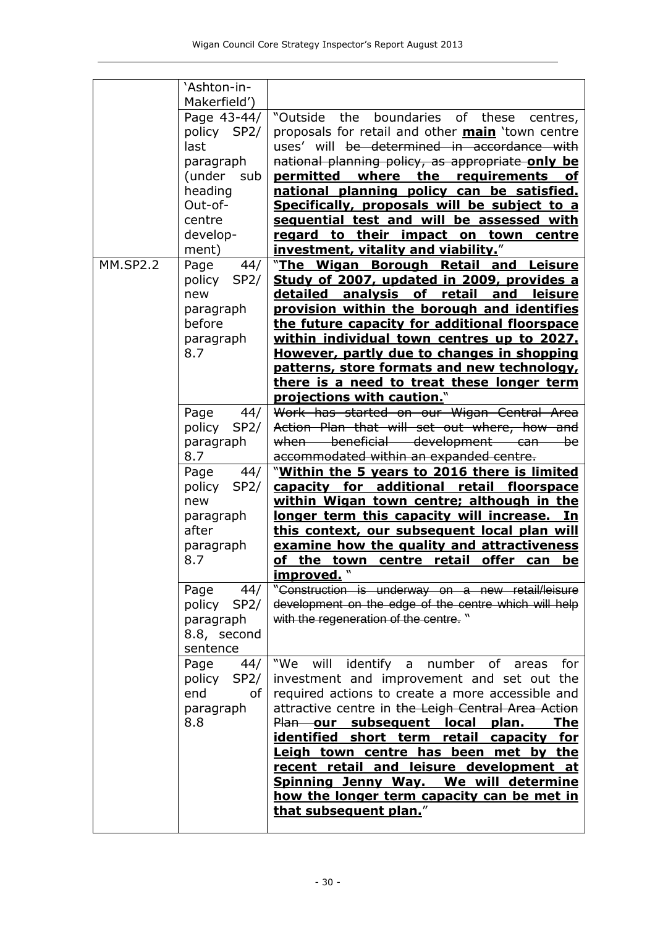|                 | 'Ashton-in-<br>Makerfield')                                                                                           |                                                                                                                                                                                                                                                                                                                                                                                                                                                                                                           |
|-----------------|-----------------------------------------------------------------------------------------------------------------------|-----------------------------------------------------------------------------------------------------------------------------------------------------------------------------------------------------------------------------------------------------------------------------------------------------------------------------------------------------------------------------------------------------------------------------------------------------------------------------------------------------------|
|                 | Page 43-44/<br>policy SP2/<br>last<br>paragraph<br>(under<br>sub<br>heading<br>Out-of-<br>centre<br>develop-<br>ment) | "Outside<br>the<br>boundaries<br>of<br>these<br>centres,<br>proposals for retail and other <b>main</b> 'town centre<br>uses' will be determined in accordance with<br>national planning policy, as appropriate only be<br>where the requirements<br>permitted<br><b>of</b><br>national planning policy can be satisfied.<br>Specifically, proposals will be subject to a<br>sequential test and will be assessed with<br>regard to their impact on town<br>centre<br>investment, vitality and viability." |
| <b>MM.SP2.2</b> | Page<br>44/<br>SP2/<br>policy<br>new<br>paragraph<br>before<br>paragraph<br>8.7                                       | "The Wigan Borough Retail and Leisure<br>Study of 2007, updated in 2009, provides a<br>analysis of<br><u>detailed</u><br>retail<br>and<br><b>leisure</b><br>provision within the borough and identifies<br>the future capacity for additional floorspace<br>within individual town centres up to 2027.<br>However, partly due to changes in shopping<br>patterns, store formats and new technology,<br>there is a need to treat these longer term<br>projections with caution."                           |
|                 | Page<br>44/<br>policy<br>SP2/<br>paragraph<br>8.7                                                                     | Work has started on our Wigan Central Area<br>Action Plan that will set out where, how and<br>when beneficial development can be<br>accommodated within an expanded centre.                                                                                                                                                                                                                                                                                                                               |
|                 | 44/<br>Page<br>policy<br>SP2/<br>new<br>paragraph<br>after<br>paragraph<br>8.7                                        | "Within the 5 years to 2016 there is limited<br>for additional retail floorspace<br><u>capacity</u><br>within Wigan town centre; although in the<br>longer term this capacity will increase. In<br>this context, our subsequent local plan will<br>examine how the quality and attractiveness<br>of the town centre retail offer can<br><u>be</u><br>improved. "                                                                                                                                          |
|                 | Page<br>44/<br>policy SP2/<br>paragraph<br>8.8, second<br>sentence                                                    | "Construction is underway on a new retail/leisure<br>development on the edge of the centre which will help<br>with the regeneration of the centre."                                                                                                                                                                                                                                                                                                                                                       |
|                 | Page<br>44/<br>policy SP2/<br>end<br>of <sub>l</sub><br>paragraph<br>8.8                                              | identify a number of areas<br>"We will<br>for<br>investment and improvement and set out the<br>required actions to create a more accessible and<br>attractive centre in the Leigh Central Area Action<br>Plan our subsequent local plan.<br><u>The</u><br>identified short term retail capacity for<br>Leigh town centre has been met by the<br>recent retail and leisure development at<br>Spinning Jenny Way. We will determine<br>how the longer term capacity can be met in<br>that subsequent plan." |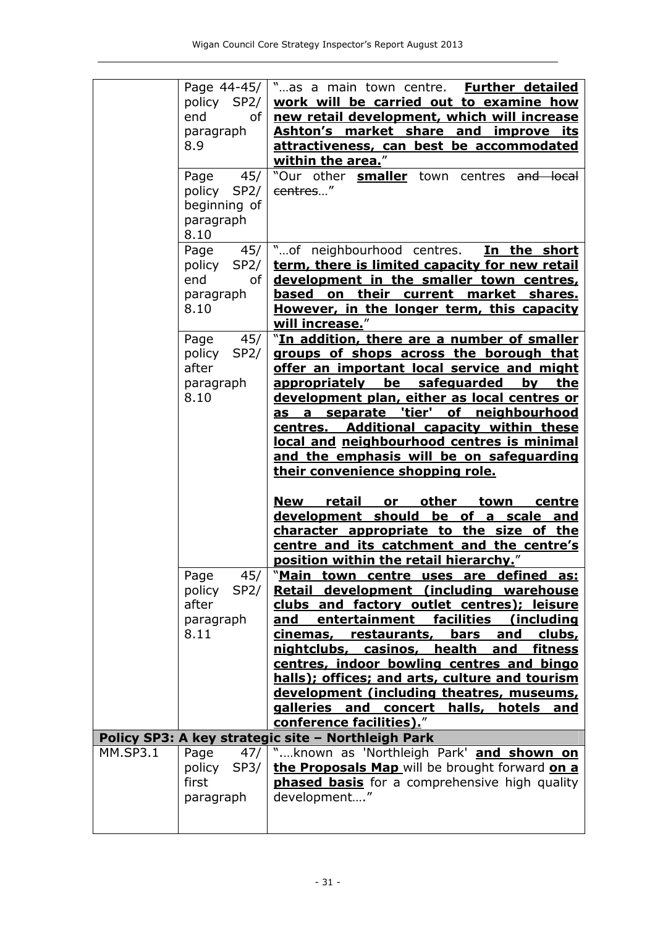|                 | Page 44-45/<br>policy SP2/<br>end<br>of I<br>paragraph<br>8.9             | "as a main town centre. Further detailed<br>work will be carried out to examine how<br>new retail development, which will increase<br>Ashton's market share and improve its<br>attractiveness, can best be accommodated<br>within the area."                                                                                                                                                                                                                                                                                                                                                              |
|-----------------|---------------------------------------------------------------------------|-----------------------------------------------------------------------------------------------------------------------------------------------------------------------------------------------------------------------------------------------------------------------------------------------------------------------------------------------------------------------------------------------------------------------------------------------------------------------------------------------------------------------------------------------------------------------------------------------------------|
|                 | 45/<br>Page<br>policy SP2/<br>beginning of<br>paragraph<br>8.10           | "Our other <b>smaller</b> town centres and local<br>centres"                                                                                                                                                                                                                                                                                                                                                                                                                                                                                                                                              |
|                 | Page<br>45/<br>policy SP2/<br>end<br>of <sub>l</sub><br>paragraph<br>8.10 | "of neighbourhood centres.<br>In the short<br>term, there is limited capacity for new retail<br>development in the smaller town centres,<br>based on their current market shares.<br>However, in the longer term, this capacity<br>will increase."                                                                                                                                                                                                                                                                                                                                                        |
|                 | 45/<br>Page<br>policy<br>SP2/<br>after<br>paragraph<br>8.10               | "In addition, there are a number of smaller<br>groups of shops across the borough that<br>offer an important local service and might<br>appropriately be safeguarded<br>bv<br>the<br>development plan, either as local centres or<br>as a separate 'tier' of neighbourhood<br>centres. Additional capacity within these<br>local and neighbourhood centres is minimal<br>and the emphasis will be on safeguarding<br>their convenience shopping role.                                                                                                                                                     |
|                 |                                                                           | <u>retail</u><br><u>or other</u><br>New<br><u>town</u><br>centre<br>development should<br>be of a<br>scale<br>and<br>character appropriate to the size of the<br>centre and its catchment and the centre's<br>position within the retail hierarchy."                                                                                                                                                                                                                                                                                                                                                      |
|                 | 45/<br>Page<br>SP2/<br>policy<br>after<br>paragraph<br>8.11               | " <u>Main town centre uses are defined</u><br><u>as:</u><br>Retail development (including warehouse<br>clubs and factory outlet centres); leisure<br>facilities<br>entertainment<br>(including<br><u>and</u><br>cinemas,<br>restaurants,<br>bars<br>and<br><u>clubs,</u><br><b>health</b><br>nightclubs,<br><u>casinos, </u><br><u>and</u><br><u>fitness</u><br>centres, indoor bowling centres and bingo<br>halls); offices; and arts, culture and tourism<br>development (including theatres, museums,<br><b>galleries</b><br>concert halls,<br>hotels<br>and<br><u>and</u><br>conference facilities)." |
|                 |                                                                           | Policy SP3: A key strategic site - Northleigh Park                                                                                                                                                                                                                                                                                                                                                                                                                                                                                                                                                        |
| <b>MM.SP3.1</b> | Page<br>47/<br>policy<br>SP3/<br>first<br>paragraph                       | "known as 'Northleigh Park' and shown on<br>the Proposals Map will be brought forward on a<br><b>phased basis</b> for a comprehensive high quality<br>development"                                                                                                                                                                                                                                                                                                                                                                                                                                        |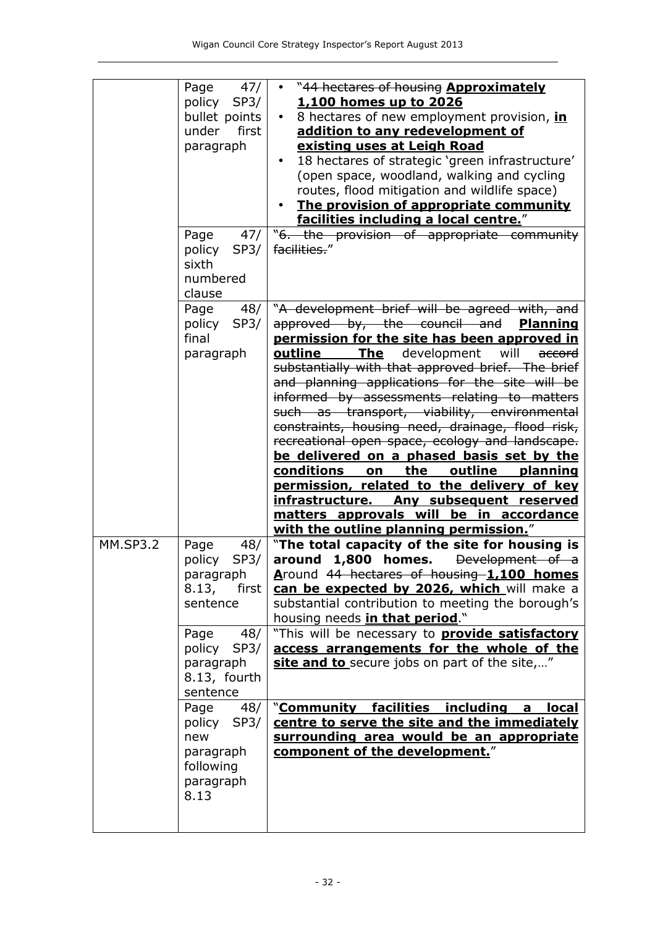|                 | Page<br>47/<br>policy SP3/<br>bullet points<br>first<br>under<br>paragraph              | • "44 hectares of housing <b>Approximately</b><br>1,100 homes up to 2026<br>8 hectares of new employment provision, in<br>addition to any redevelopment of<br>existing uses at Leigh Road<br>18 hectares of strategic 'green infrastructure'<br>$\bullet$<br>(open space, woodland, walking and cycling<br>routes, flood mitigation and wildlife space)<br>The provision of appropriate community<br>facilities including a local centre."                                                                                                             |
|-----------------|-----------------------------------------------------------------------------------------|--------------------------------------------------------------------------------------------------------------------------------------------------------------------------------------------------------------------------------------------------------------------------------------------------------------------------------------------------------------------------------------------------------------------------------------------------------------------------------------------------------------------------------------------------------|
|                 | 47/<br>Page<br>policy<br>SP3/<br>sixth<br>numbered<br>clause                            | "6. the provision of appropriate community<br>facilities."                                                                                                                                                                                                                                                                                                                                                                                                                                                                                             |
|                 | 48/<br>Page<br>policy<br>SP3/<br>final<br>paragraph                                     | "A development brief will be agreed with, and<br>approved by, the council and <b>Planning</b><br>permission for the site has been approved in<br>The development<br>will<br>outline<br>accord<br>substantially with that approved brief. The brief<br>and planning applications for the site will be<br>informed by assessments relating to matters<br>such as transport, viability, environmental<br>constraints, housing need, drainage, flood risk,<br>recreational open space, ecology and landscape.<br>be delivered on a phased basis set by the |
|                 |                                                                                         | conditions<br>outline<br>on the<br>planning<br>permission, related to the delivery of key<br>Any subsequent reserved<br><u>infrastructure.</u><br>matters approvals will be in accordance<br>with the outline planning permission."                                                                                                                                                                                                                                                                                                                    |
| <b>MM.SP3.2</b> | 48/<br>Page<br>policy<br>SP3/<br>paragraph<br>8.13,<br>first<br>sentence<br>48/<br>Page | "The total capacity of the site for housing is<br>around 1,800 homes. Development of a<br>Around 44 hectares of housing-1,100 homes<br>can be expected by 2026, which will make a<br>substantial contribution to meeting the borough's<br>housing needs <i>in that period</i> ."<br>"This will be necessary to <b>provide satisfactory</b>                                                                                                                                                                                                             |
|                 | policy<br>SP3/<br>paragraph<br>8.13, fourth<br>sentence                                 | access arrangements for the whole of the<br>site and to secure jobs on part of the site,"                                                                                                                                                                                                                                                                                                                                                                                                                                                              |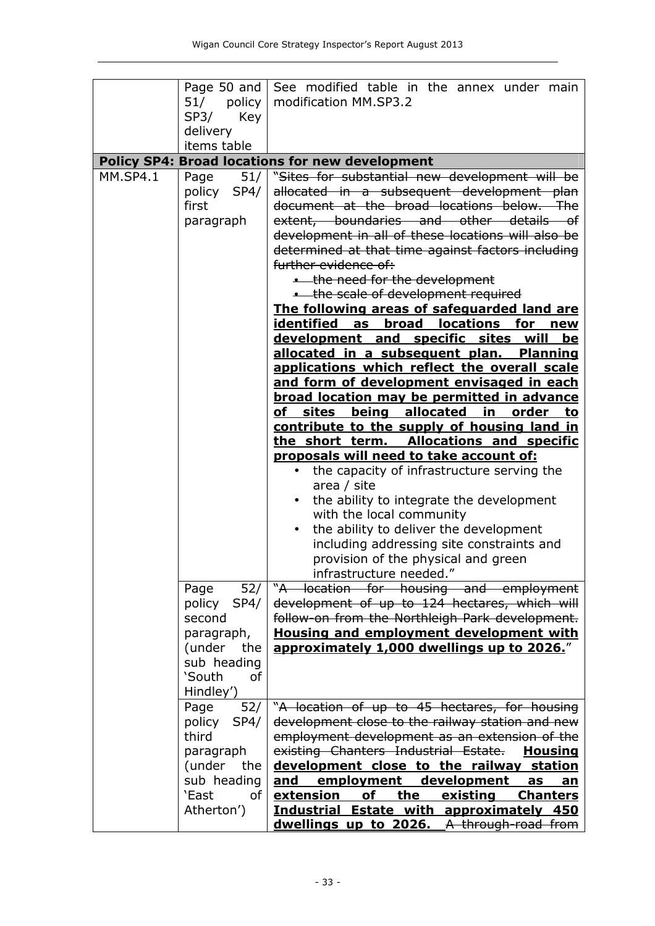|                 |                | Page 50 and See modified table in the annex under main   |
|-----------------|----------------|----------------------------------------------------------|
|                 |                |                                                          |
|                 | 51/ policy     | modification MM.SP3.2                                    |
|                 | SP3/<br>Key    |                                                          |
|                 | delivery       |                                                          |
|                 | items table    |                                                          |
|                 |                | <b>Policy SP4: Broad locations for new development</b>   |
| <b>MM.SP4.1</b> | 51/<br>Page    | "Sites for substantial new development will be           |
|                 | policy SP4/    | allocated in a subsequent development plan               |
|                 | first          | document at the broad locations below. The               |
|                 | paragraph      | extent, boundaries and other details of                  |
|                 |                | development in all of these locations will also be       |
|                 |                |                                                          |
|                 |                | determined at that time against factors including        |
|                 |                | further evidence of:                                     |
|                 |                | . the need for the development                           |
|                 |                | . the scale of development required                      |
|                 |                | The following areas of safeguarded land are              |
|                 |                | identified<br>as<br><b>broad locations for</b><br>new    |
|                 |                | development and specific sites will<br>be                |
|                 |                | allocated in a subsequent plan.<br><b>Planning</b>       |
|                 |                | applications which reflect the overall scale             |
|                 |                | <u>and form of development envisaged in each</u>         |
|                 |                | <b>broad location may be permitted in advance</b>        |
|                 |                | of sites being allocated in<br><u>order</u><br><u>to</u> |
|                 |                | contribute to the supply of housing land in              |
|                 |                | the short term. Allocations and specific                 |
|                 |                | proposals will need to take account of:                  |
|                 |                | the capacity of infrastructure serving the<br>$\bullet$  |
|                 |                | area / site                                              |
|                 |                | the ability to integrate the development                 |
|                 |                | with the local community                                 |
|                 |                | the ability to deliver the development                   |
|                 |                | including addressing site constraints and                |
|                 |                | provision of the physical and green                      |
|                 |                | infrastructure needed.'                                  |
|                 | 52/<br>Page    | "A location for housing and employment                   |
|                 | policy<br>SP4/ | development of up to 124 hectares, which will            |
|                 | second         | follow-on from the Northleigh Park development.          |
|                 | paragraph,     | <b>Housing and employment development with</b>           |
|                 | (under<br>the  | approximately 1,000 dwellings up to 2026."               |
|                 | sub heading    |                                                          |
|                 | 'South<br>of   |                                                          |
|                 | Hindley')      |                                                          |
|                 | 52/<br>Page    | "A location of up to 45 hectares, for housing            |
|                 | policy<br>SP4/ | development close to the railway station and new         |
|                 | third          | employment development as an extension of the            |
|                 | paragraph      | existing Chanters Industrial Estate.<br><u>Housing</u>   |
|                 | (under the     | development close to the railway station                 |
|                 | sub heading    | employment development<br>and<br>as<br>an                |
|                 | `East<br>0f    | of<br>existing<br>extension<br>the<br><b>Chanters</b>    |
|                 | Atherton')     | <b>Industrial Estate with approximately 450</b>          |
|                 |                | dwellings up to 2026. A through-road from                |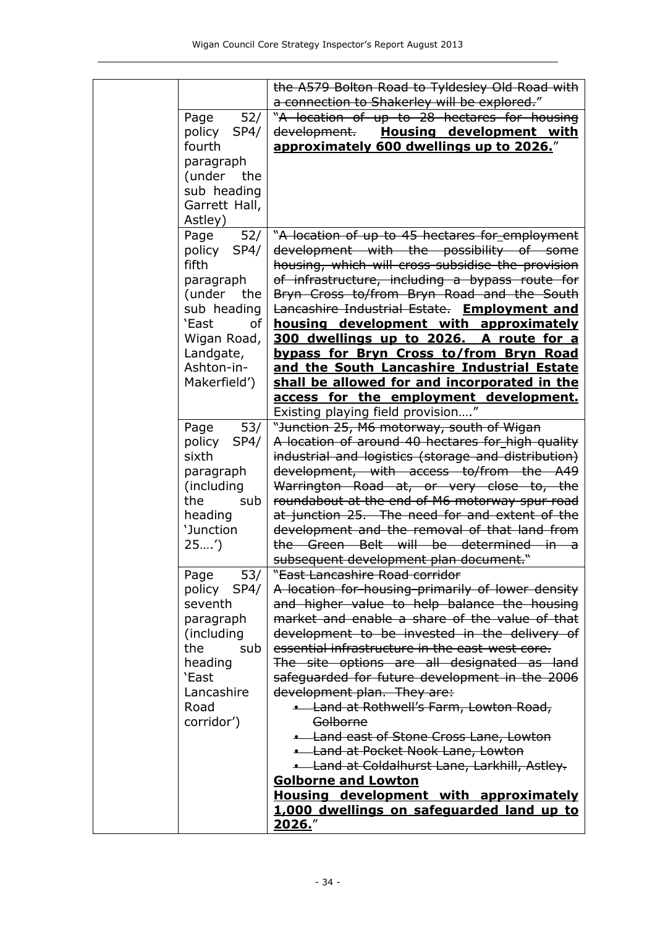|                         | the A579 Bolton Road to Tyldesley Old Road with                                                          |
|-------------------------|----------------------------------------------------------------------------------------------------------|
|                         | a connection to Shakerley will be explored."                                                             |
| Page<br>52/             | "A location of up to 28 hectares for housing                                                             |
| policy<br>SP4/          | development.<br><b>Housing development with</b>                                                          |
| fourth                  | approximately 600 dwellings up to 2026."                                                                 |
| paragraph               |                                                                                                          |
| (under the              |                                                                                                          |
| sub heading             |                                                                                                          |
| Garrett Hall,           |                                                                                                          |
| Astley)                 |                                                                                                          |
| 52/<br>Page             | "A location of up to 45 hectares for employment                                                          |
| policy<br>SP4/          | development with the possibility of some                                                                 |
| fifth                   | housing, which will cross-subsidise the provision                                                        |
| paragraph               | of infrastructure, including a bypass route for                                                          |
| (under the              | Bryn Cross to/from Bryn Road and the South                                                               |
| sub heading             | Lancashire Industrial Estate. Employment and                                                             |
| 'East<br>of             | housing development with approximately                                                                   |
| Wigan Road,             | 300 dwellings up to 2026. A route for a                                                                  |
| Landgate,               | bypass for Bryn Cross to/from Bryn Road                                                                  |
| Ashton-in-              | and the South Lancashire Industrial Estate                                                               |
| Makerfield')            | shall be allowed for and incorporated in the                                                             |
|                         | access for the employment development.                                                                   |
|                         | Existing playing field provision"                                                                        |
| Page<br>53/             | "Junction 25, M6 motorway, south of Wigan                                                                |
| policy<br>SP4/<br>sixth | A location of around 40 hectares for high quality<br>industrial and logistics (storage and distribution) |
| paragraph               | development, with access to/from the A49                                                                 |
| (including              | Warrington Road at, or very close to, the                                                                |
| the<br>sub              | roundabout at the end of M6 motorway spur road                                                           |
| heading                 | at junction 25. The need for and extent of the                                                           |
| 'Junction               | development and the removal of that land from                                                            |
| 25')                    | the Green Belt will be determined<br><del>in</del>                                                       |
|                         | subsequent development plan document."                                                                   |
| Page<br>53/             | " <del>East Lancashire Road corridor</del>                                                               |
| policy SP4/             | A location for housing primarily of lower density                                                        |
| seventh                 | and higher value to help balance the housing                                                             |
| paragraph               | market and enable a share of the value of that                                                           |
| (including              | development to be invested in the delivery of                                                            |
| the<br>sub              | essential infrastructure in the east-west core.                                                          |
| heading                 | The site options are all designated as land                                                              |
| `East                   | safeguarded for future development in the 2006                                                           |
| Lancashire              | development plan. They are:                                                                              |
| Road                    | . Land at Rothwell's Farm, Lowton Road,                                                                  |
| corridor')              | Golborne                                                                                                 |
|                         | <b>.</b> Land east of Stone Cross Lane, Lowton                                                           |
|                         | <b>.</b> Land at Pocket Nook Lane, Lowton                                                                |
|                         | <b>.</b> Land at Coldalhurst Lane, Larkhill, Astley.                                                     |
|                         | <b>Golborne and Lowton</b>                                                                               |
|                         | Housing development with approximately                                                                   |
|                         | 1,000 dwellings on safeguarded land up to                                                                |
|                         | 2026."                                                                                                   |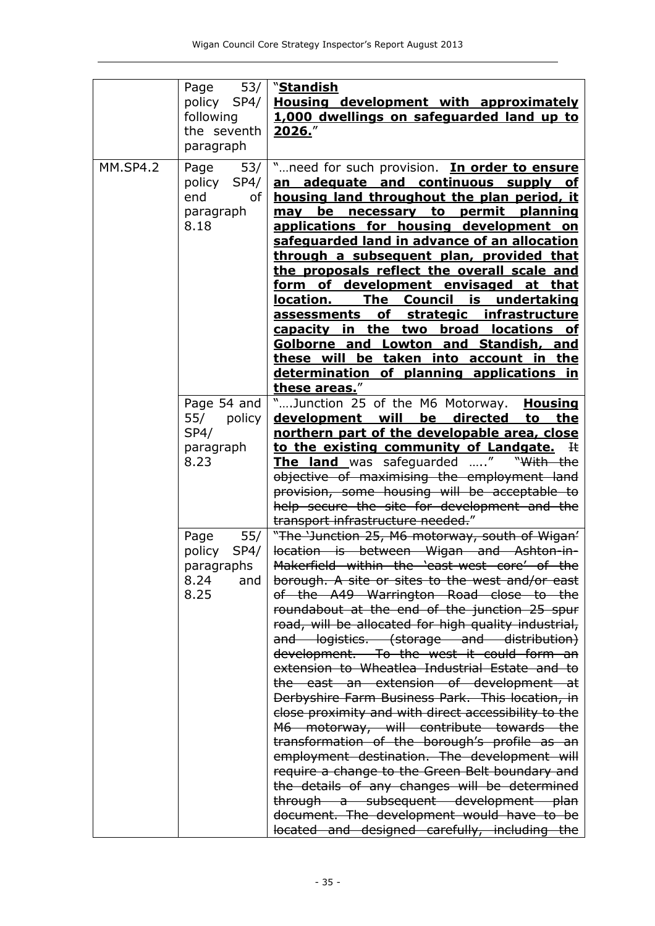|                 | Page 53/   "Standish<br>following<br>the seventh<br>paragraph                                              | policy SP4/   Housing development with approximately<br>1,000 dwellings on safeguarded land up to<br>2026."                                                                                                                                                                                                                                                                                                                                                                                                                                                                                                                                                                                                                                                                                                                                                                                                              |
|-----------------|------------------------------------------------------------------------------------------------------------|--------------------------------------------------------------------------------------------------------------------------------------------------------------------------------------------------------------------------------------------------------------------------------------------------------------------------------------------------------------------------------------------------------------------------------------------------------------------------------------------------------------------------------------------------------------------------------------------------------------------------------------------------------------------------------------------------------------------------------------------------------------------------------------------------------------------------------------------------------------------------------------------------------------------------|
| <b>MM.SP4.2</b> | policy SP4/<br>end<br>of I<br>paragraph<br>8.18                                                            | Page $53/$ " need for such provision. In order to ensure<br>an adequate and continuous supply of<br>housing land throughout the plan period, it<br>be necessary to permit planning<br>may<br>applications for housing development on<br>safeguarded land in advance of an allocation<br>through a subsequent plan, provided that<br>the proposals reflect the overall scale and<br>form of development envisaged at that<br>location. The Council is undertaking<br>assessments of strategic infrastructure<br>capacity in the two broad locations of<br>Golborne and Lowton and Standish, and<br>these will be taken into account in the<br>determination of planning applications in<br>these areas."                                                                                                                                                                                                                  |
|                 | Page 54 and<br>55/ policy<br>SP4/<br>paragraph<br>8.23<br>policy SP4/<br>paragraphs<br>8.24<br>and<br>8.25 | "Junction 25 of the M6 Motorway. Housing<br>development will be directed to the<br>northern part of the developable area, close<br>to the existing community of Landgate. It<br>The land was safeguarded " "With the<br>objective of maximising the employment land<br>provision, some housing will be acceptable to<br>help secure the site for development and the<br>transport infrastructure needed."<br>Page 55/   "The 'Junction 25, M6 motorway, south of Wigan'<br>location is between Wigan and Ashton-in-<br>Makerfield within the 'east-west core' of the<br>borough. A site or sites to the west and/or east<br>of the A49 Warrington Road close to the<br>roundabout at the end of the junction 25 spur<br>road, will be allocated for high quality industrial,<br>and logistics. (storage and distribution)<br>development. To the west it could form an<br>extension to Wheatlea Industrial Estate and to |
|                 |                                                                                                            | the east an extension of development at<br>Derbyshire Farm Business Park. This location, in<br>close proximity and with direct accessibility to the<br>M6 motorway, will contribute towards the<br>transformation of the borough's profile as an<br>employment destination. The development will<br>require a change to the Green Belt boundary and<br>the details of any changes will be determined<br>through a subsequent development plan<br>document. The development would have to be<br>located and designed carefully, including the                                                                                                                                                                                                                                                                                                                                                                             |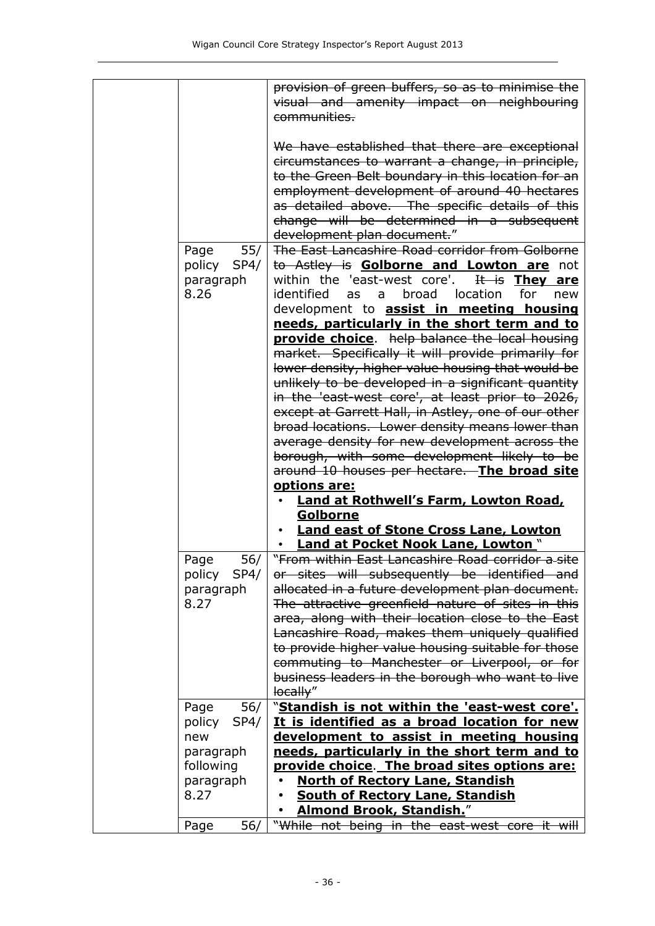|                                                                             | provision of green buffers, so as to minimise the<br>visual and amenity impact on neighbouring<br>communities.                                                                                                                                                                                                                                                                                                                                                                                                                  |
|-----------------------------------------------------------------------------|---------------------------------------------------------------------------------------------------------------------------------------------------------------------------------------------------------------------------------------------------------------------------------------------------------------------------------------------------------------------------------------------------------------------------------------------------------------------------------------------------------------------------------|
|                                                                             | We have established that there are exceptional<br>circumstances to warrant a change, in principle,<br>to the Green Belt boundary in this location for an<br>employment development of around 40 hectares<br>as detailed above. The specific details of this<br>change will be determined in a subsequent<br>development plan document."                                                                                                                                                                                         |
| 55/<br>Page<br>policy SP4/<br>paragraph<br>8.26                             | The East Lancashire Road corridor from Golborne<br>to Astley is Golborne and Lowton are not<br>within the 'east-west core'.<br>It is They are<br>identified<br>broad location for<br>as<br>a<br>new<br>development to <b>assist in meeting housing</b>                                                                                                                                                                                                                                                                          |
|                                                                             | needs, particularly in the short term and to<br>provide choice. help balance the local housing<br>market. Specifically it will provide primarily for<br>lower density, higher value housing that would be<br>unlikely to be developed in a significant quantity<br>in the 'east-west core', at least prior to 2026,<br>except at Garrett Hall, in Astley, one of our other<br>broad locations. Lower density means lower than<br>average density for new development across the<br>borough, with some development likely to be  |
|                                                                             | around 10 houses per hectare. The broad site<br>options are:<br><b>Land at Rothwell's Farm, Lowton Road,</b><br>Golborne<br><b>Land east of Stone Cross Lane, Lowton</b>                                                                                                                                                                                                                                                                                                                                                        |
| 56/<br>Page<br>policy SP4/<br>paragraph<br>8.27                             | • Land at Pocket Nook Lane, Lowton."<br>"From within East Lancashire Road corridor a site<br>or sites will subsequently be identified and<br>allocated in a future development plan document.<br>The attractive greenfield nature of sites in this<br>area, along with their location close to the East<br>Lancashire Road, makes them uniquely qualified<br>to provide higher value housing suitable for those<br>commuting to Manchester or Liverpool, or for<br>business leaders in the borough who want to live<br>locally" |
| 56/<br>Page<br>SP4/<br>policy<br>new<br>paragraph<br>following<br>paragraph | "Standish is not within the 'east-west core'.<br>It is identified as a broad location for new<br>development to assist in meeting housing<br>needs, particularly in the short term and to<br>provide choice. The broad sites options are:<br><b>North of Rectory Lane, Standish</b>                                                                                                                                                                                                                                             |
| 8.27<br>56/<br>Page                                                         | <b>South of Rectory Lane, Standish</b><br><b>Almond Brook, Standish.</b> "<br>"While not being in the east-west core it will                                                                                                                                                                                                                                                                                                                                                                                                    |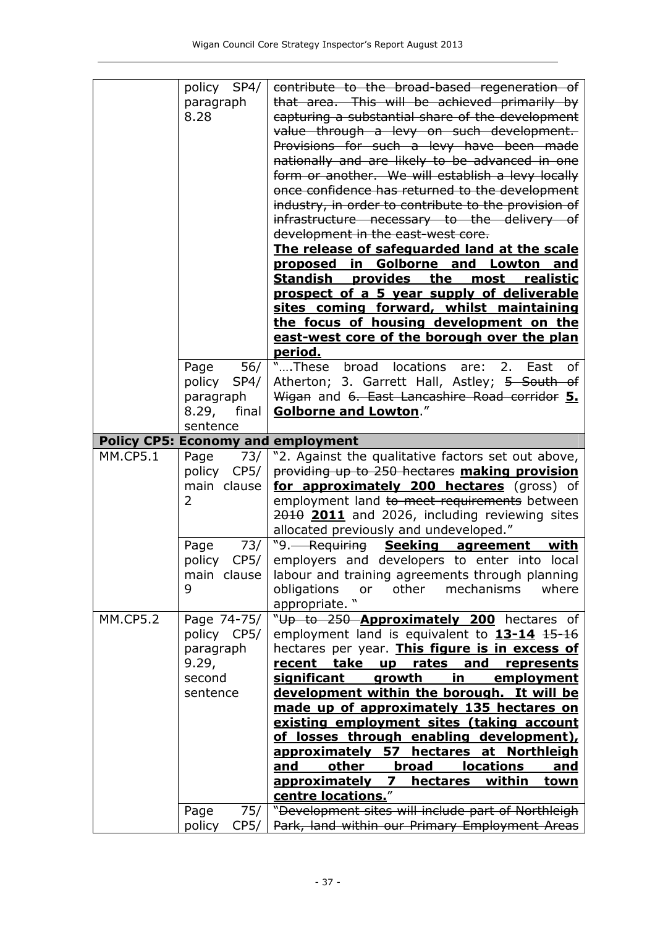|                 | policy SP4/<br>paragraph<br>8.28                                                      | contribute to the broad-based regeneration of<br>that area. This will be achieved primarily by<br>capturing a substantial share of the development<br>value through a levy on such development.<br>Provisions for such a levy have been made<br>nationally and are likely to be advanced in one<br>form or another. We will establish a levy locally<br>once confidence has returned to the development<br>industry, in order to contribute to the provision of<br>infrastructure necessary to the delivery of<br>development in the east-west core.<br>The release of safequarded land at the scale<br>proposed in Golborne and Lowton<br>and<br><b>Standish provides the most</b><br>realistic<br>prospect of a 5 year supply of deliverable<br>sites coming forward, whilst maintaining<br>the focus of housing development on the<br>east-west core of the borough over the plan |
|-----------------|---------------------------------------------------------------------------------------|--------------------------------------------------------------------------------------------------------------------------------------------------------------------------------------------------------------------------------------------------------------------------------------------------------------------------------------------------------------------------------------------------------------------------------------------------------------------------------------------------------------------------------------------------------------------------------------------------------------------------------------------------------------------------------------------------------------------------------------------------------------------------------------------------------------------------------------------------------------------------------------|
|                 |                                                                                       | period.                                                                                                                                                                                                                                                                                                                                                                                                                                                                                                                                                                                                                                                                                                                                                                                                                                                                              |
|                 | policy SP4/<br>paragraph<br>8.29,<br>final<br>sentence                                | Page 56/   "These broad locations<br>are:<br>2. East of<br>Atherton; 3. Garrett Hall, Astley; 5 South of<br>Wigan and 6. East Lancashire Road corridor 5.<br><b>Golborne and Lowton."</b>                                                                                                                                                                                                                                                                                                                                                                                                                                                                                                                                                                                                                                                                                            |
|                 |                                                                                       | <b>Policy CP5: Economy and employment</b>                                                                                                                                                                                                                                                                                                                                                                                                                                                                                                                                                                                                                                                                                                                                                                                                                                            |
| <b>MM.CP5.1</b> | 73/<br>Page<br>policy CP5/<br>main clause<br>2                                        | "2. Against the qualitative factors set out above,<br>providing up to 250 hectares making provision<br>for approximately 200 hectares (gross) of<br>employment land to meet requirements between<br>2010 2011 and 2026, including reviewing sites<br>allocated previously and undeveloped."                                                                                                                                                                                                                                                                                                                                                                                                                                                                                                                                                                                          |
|                 | Page<br>73/<br>policy<br>CP5/<br>main clause<br>9                                     | "9. Requiring Seeking agreement with<br>employers and developers to enter into local<br>labour and training agreements through planning<br>obligations<br>other<br>mechanisms<br>where<br>or<br>appropriate. "                                                                                                                                                                                                                                                                                                                                                                                                                                                                                                                                                                                                                                                                       |
| <b>MM.CP5.2</b> | Page 74-75/<br>policy CP5/<br>paragraph<br>9.29,<br>second<br>sentence<br>Page<br>75/ | "Up to 250 Approximately 200 hectares of<br>employment land is equivalent to $13-14$ $15-16$<br>hectares per year. This figure is in excess of<br>recent take up rates and<br><b>represents</b><br>growth in employment<br>significant<br>development within the borough. It will be<br>made up of approximately 135 hectares on<br>existing employment sites (taking account<br>of losses through enabling development),<br>approximately 57<br>hectares at Northleigh<br>other<br>broad<br><b>locations</b><br>and<br><u>and</u><br>approximately<br>$\mathbf{z}$<br><u>within</u><br><u>hectares</u><br><u>town</u><br>centre locations."<br>"Development sites will include part of Northleigh                                                                                                                                                                                   |
|                 | policy<br>CP5/                                                                        | Park, land within our Primary Employment Areas                                                                                                                                                                                                                                                                                                                                                                                                                                                                                                                                                                                                                                                                                                                                                                                                                                       |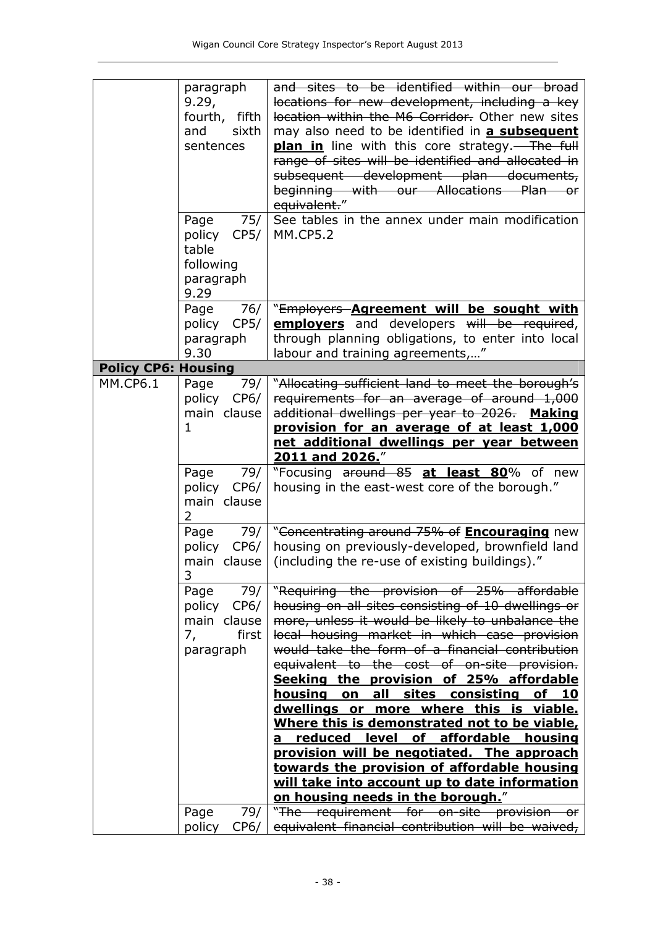|                            | paragraph      | and sites to be identified within our broad                                               |
|----------------------------|----------------|-------------------------------------------------------------------------------------------|
|                            | 9.29,          | locations for new development, including a key                                            |
|                            | fourth, fifth  | location within the M6 Corridor. Other new sites                                          |
|                            | sixth<br>and   | may also need to be identified in a subsequent                                            |
|                            | sentences      | <b>plan in</b> line with this core strategy.—The full                                     |
|                            |                | range of sites will be identified and allocated in                                        |
|                            |                | subsequent development plan documents,                                                    |
|                            |                | beginning with our Allocations Plan or                                                    |
|                            |                | equivalent."                                                                              |
|                            | 75/<br>Page    | See tables in the annex under main modification                                           |
|                            | policy<br>CP5/ | <b>MM.CP5.2</b>                                                                           |
|                            | table          |                                                                                           |
|                            | following      |                                                                                           |
|                            | paragraph      |                                                                                           |
|                            | 9.29           |                                                                                           |
|                            | 76/<br>Page    | "Employers <b>Agreement will be sought with</b>                                           |
|                            | policy CP5/    | employers and developers will be required,                                                |
|                            | paragraph      | through planning obligations, to enter into local                                         |
|                            | 9.30           | labour and training agreements,"                                                          |
| <b>Policy CP6: Housing</b> |                |                                                                                           |
| <b>MM.CP6.1</b>            | 79/<br>Page    | "Allocating sufficient land to meet the borough's                                         |
|                            | CP6/<br>policy | requirements for an average of around 1,000                                               |
|                            | main clause    | additional dwellings per year to 2026. Making                                             |
|                            | $\mathbf{1}$   | provision for an average of at least 1,000                                                |
|                            |                | net additional dwellings per year between                                                 |
|                            |                | <b>2011 and 2026.</b> "                                                                   |
|                            | Page 79/       | "Focusing around 85 at least 80% of new                                                   |
|                            | policy CP6/    | housing in the east-west core of the borough."                                            |
|                            | main clause    |                                                                                           |
|                            | 2              |                                                                                           |
|                            | Page<br>79/    | "Concentrating around 75% of <b>Encouraging</b> new                                       |
|                            | policy<br>CP6/ | housing on previously-developed, brownfield land                                          |
|                            | main clause    | (including the re-use of existing buildings)."                                            |
|                            | 3              |                                                                                           |
|                            | 79/<br>Page    | "Requiring the provision of 25% affordable                                                |
|                            | policy CP6/    | housing on all sites consisting of 10 dwellings or                                        |
|                            | main clause    | more, unless it would be likely to unbalance the                                          |
|                            | 7,<br>first    | local housing market in which case provision                                              |
|                            | paragraph      | would take the form of a financial contribution                                           |
|                            |                | equivalent to the cost of on-site provision.                                              |
|                            |                | Seeking the provision of 25% affordable                                                   |
|                            |                | all sites consisting<br>housing on<br>of 10                                               |
|                            |                | dwellings or more where this is viable.                                                   |
|                            |                | Where this is demonstrated not to be viable,                                              |
|                            |                | reduced level of affordable housing<br>a                                                  |
|                            |                | provision will be negotiated. The approach<br>towards the provision of affordable housing |
|                            |                | will take into account up to date information                                             |
|                            |                | on housing needs in the borough."                                                         |
|                            | Page<br>79/    | "The requirement for on-site provision or                                                 |
|                            | CP6/<br>policy | equivalent financial contribution will be waived,                                         |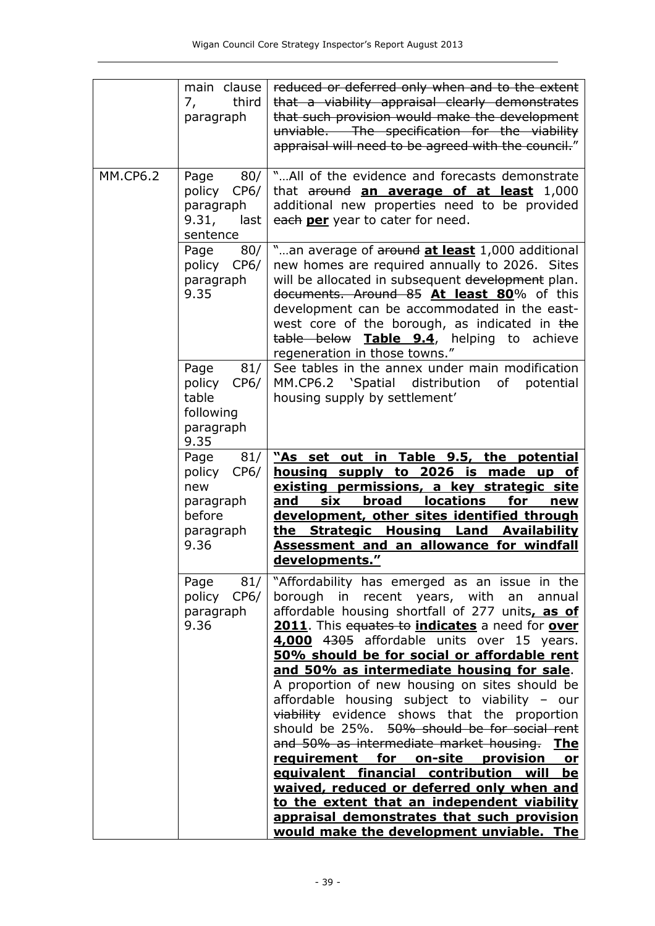|                 | main clause<br>third<br>7,<br>paragraph                                  | reduced or deferred only when and to the extent<br>that a viability appraisal clearly demonstrates<br>that such provision would make the development<br>unviable. The specification for the viability<br>appraisal will need to be agreed with the council."                                                                                                                               |
|-----------------|--------------------------------------------------------------------------|--------------------------------------------------------------------------------------------------------------------------------------------------------------------------------------------------------------------------------------------------------------------------------------------------------------------------------------------------------------------------------------------|
| <b>MM.CP6.2</b> | 80/<br>Page<br>policy<br>CP6/<br>paragraph<br>9.31,<br>last<br>sentence  | "All of the evidence and forecasts demonstrate<br>that around an average of at least 1,000<br>additional new properties need to be provided<br>each per year to cater for need.                                                                                                                                                                                                            |
|                 | 80/<br>Page<br>policy<br>CP6/<br>paragraph<br>9.35                       | "an average of around at least 1,000 additional<br>new homes are required annually to 2026. Sites<br>will be allocated in subsequent development plan.<br>documents. Around 85 At least 80% of this<br>development can be accommodated in the east-<br>west core of the borough, as indicated in the<br>table below <b>Table 9.4</b> , helping to achieve<br>regeneration in those towns." |
|                 | 81/<br>Page<br>policy<br>CP6/<br>table<br>following<br>paragraph<br>9.35 | See tables in the annex under main modification<br>MM.CP6.2 'Spatial distribution<br>of<br>potential<br>housing supply by settlement'                                                                                                                                                                                                                                                      |
|                 | 81/<br>Page                                                              | "As set out in Table 9.5, the potential                                                                                                                                                                                                                                                                                                                                                    |
|                 | policy<br>CP6/<br>new                                                    | housing supply to 2026 is made up of                                                                                                                                                                                                                                                                                                                                                       |
|                 | paragraph                                                                | existing permissions, a key strategic site<br><b>locations</b><br>six<br>broad<br>for<br>and<br>new                                                                                                                                                                                                                                                                                        |
|                 | before                                                                   | development, other sites identified through                                                                                                                                                                                                                                                                                                                                                |
|                 | paragraph                                                                | <b>Housing Land Availability</b><br>the Strategic                                                                                                                                                                                                                                                                                                                                          |
|                 | 9.36                                                                     | Assessment and an allowance for windfall<br>developments."                                                                                                                                                                                                                                                                                                                                 |
|                 | 81/<br>Page                                                              | "Affordability has emerged as an issue in the                                                                                                                                                                                                                                                                                                                                              |
|                 | policy CP6/                                                              | borough in recent years, with an<br>annual                                                                                                                                                                                                                                                                                                                                                 |
|                 | paragraph                                                                | affordable housing shortfall of 277 units, as of                                                                                                                                                                                                                                                                                                                                           |
|                 | 9.36                                                                     | 2011. This equates to indicates a need for over                                                                                                                                                                                                                                                                                                                                            |
|                 |                                                                          | 4,000 4305 affordable units over 15 years.<br>50% should be for social or affordable rent                                                                                                                                                                                                                                                                                                  |
|                 |                                                                          | and 50% as intermediate housing for sale.                                                                                                                                                                                                                                                                                                                                                  |
|                 |                                                                          | A proportion of new housing on sites should be                                                                                                                                                                                                                                                                                                                                             |
|                 |                                                                          | affordable housing subject to viability -<br>our<br>viability evidence shows that the proportion                                                                                                                                                                                                                                                                                           |
|                 |                                                                          | should be 25%. 50% should be for social rent                                                                                                                                                                                                                                                                                                                                               |
|                 |                                                                          | and 50% as intermediate market housing. The                                                                                                                                                                                                                                                                                                                                                |
|                 |                                                                          | requirement for on-site provision<br>or                                                                                                                                                                                                                                                                                                                                                    |
|                 |                                                                          | equivalent financial contribution<br>will<br>be<br>waived, reduced or deferred only when and                                                                                                                                                                                                                                                                                               |
|                 |                                                                          | to the extent that an independent viability                                                                                                                                                                                                                                                                                                                                                |
|                 |                                                                          | appraisal demonstrates that such provision                                                                                                                                                                                                                                                                                                                                                 |
|                 |                                                                          | would make the development unviable. The                                                                                                                                                                                                                                                                                                                                                   |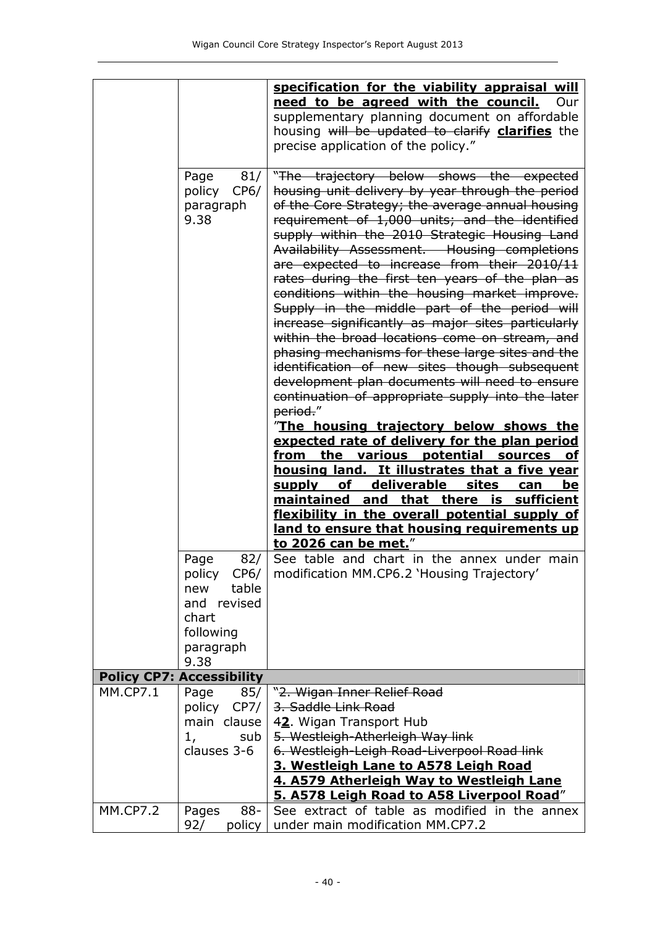|                 |                                            | specification for the viability appraisal will                                                                                                   |
|-----------------|--------------------------------------------|--------------------------------------------------------------------------------------------------------------------------------------------------|
|                 |                                            | need to be agreed with the council. Our                                                                                                          |
|                 |                                            | supplementary planning document on affordable<br>housing will be updated to clarify <b>clarifies</b> the                                         |
|                 |                                            | precise application of the policy."                                                                                                              |
|                 |                                            |                                                                                                                                                  |
|                 | Page<br>81/<br>policy<br>CP6/<br>paragraph | "The trajectory below shows the expected<br>housing unit delivery by year through the period<br>of the Core Strategy; the average annual housing |
|                 | 9.38                                       | requirement of 1,000 units; and the identified<br>supply within the 2010 Strategic Housing Land<br>Availability Assessment. Housing completions  |
|                 |                                            | are expected to increase from their 2010/11<br>rates during the first ten years of the plan as                                                   |
|                 |                                            | conditions within the housing market improve.<br>Supply in the middle part of the period will                                                    |
|                 |                                            | increase significantly as major sites particularly<br>within the broad locations come on stream, and                                             |
|                 |                                            | phasing mechanisms for these large sites and the                                                                                                 |
|                 |                                            | identification of new sites though subsequent<br>development plan documents will need to ensure                                                  |
|                 |                                            | continuation of appropriate supply into the later                                                                                                |
|                 |                                            | period."                                                                                                                                         |
|                 |                                            | <u>The housing trajectory below shows the</u><br>expected rate of delivery for the plan period                                                   |
|                 |                                            | the various potential<br><b>sources</b><br>from<br><u>of</u>                                                                                     |
|                 |                                            | housing land. It illustrates that a five year<br>deliverable sites<br>of<br><u>be</u><br><u>supply</u><br>can                                    |
|                 |                                            | maintained and that there is sufficient                                                                                                          |
|                 |                                            | flexibility in the overall potential supply of                                                                                                   |
|                 |                                            | land to ensure that housing requirements up<br>to 2026 can be met."                                                                              |
|                 | Page<br>82/<br>policy CP6/                 | See table and chart in the annex under main<br>modification MM.CP6.2 'Housing Trajectory'                                                        |
|                 | table<br>new                               |                                                                                                                                                  |
|                 | and revised<br>chart                       |                                                                                                                                                  |
|                 | following                                  |                                                                                                                                                  |
|                 | paragraph<br>9.38                          |                                                                                                                                                  |
|                 | <b>Policy CP7: Accessibility</b>           |                                                                                                                                                  |
| <b>MM.CP7.1</b> | Page<br>85/                                | "2. Wigan Inner Relief Road                                                                                                                      |
|                 | policy<br>CP7/                             | 3. Saddle Link Road                                                                                                                              |
|                 | main clause  <br>1,<br>sub                 | 42. Wigan Transport Hub<br>5. Westleigh-Atherleigh Way link                                                                                      |
|                 | clauses 3-6                                | 6. Westleigh-Leigh Road-Liverpool Road link                                                                                                      |
|                 |                                            | 3. Westleigh Lane to A578 Leigh Road                                                                                                             |
|                 |                                            |                                                                                                                                                  |
|                 |                                            | 4. A579 Atherleigh Way to Westleigh Lane                                                                                                         |
| <b>MM.CP7.2</b> | $88 -$<br>Pages<br>92/<br>policy           | 5. A578 Leigh Road to A58 Liverpool Road"<br>See extract of table as modified in the annex<br>under main modification MM.CP7.2                   |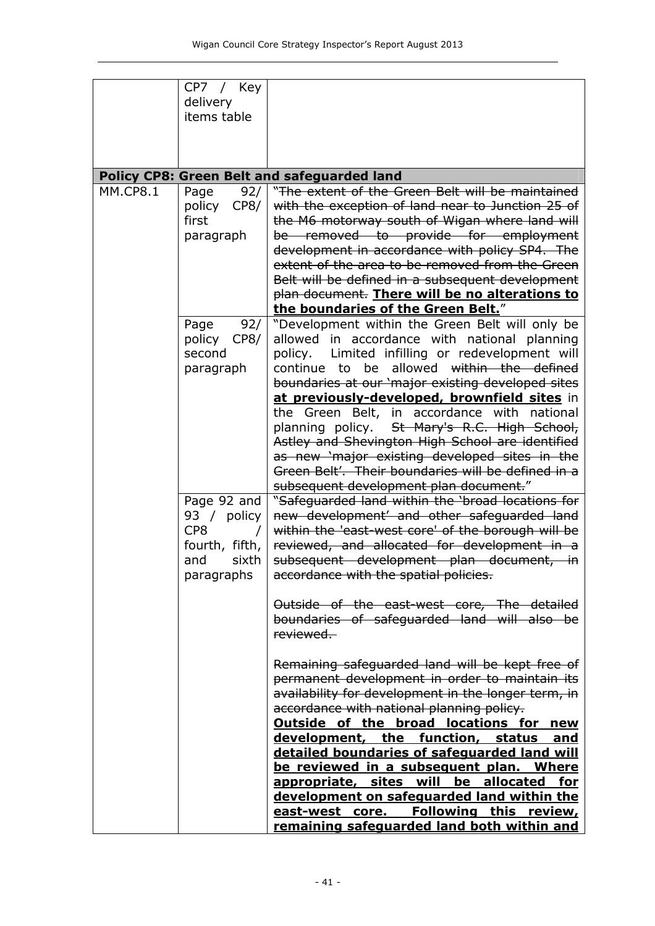|                 | CP7 / Key<br>delivery<br>items table                                              |                                                                                                                                                                                                                                                                                                                                                                                                                                                                                                                                                                                                                            |
|-----------------|-----------------------------------------------------------------------------------|----------------------------------------------------------------------------------------------------------------------------------------------------------------------------------------------------------------------------------------------------------------------------------------------------------------------------------------------------------------------------------------------------------------------------------------------------------------------------------------------------------------------------------------------------------------------------------------------------------------------------|
|                 |                                                                                   | Policy CP8: Green Belt and safeguarded land                                                                                                                                                                                                                                                                                                                                                                                                                                                                                                                                                                                |
| <b>MM.CP8.1</b> | 92/<br>Page<br>CP8/<br>policy<br>first<br>paragraph                               | "The extent of the Green Belt will be maintained<br>with the exception of land near to Junction 25 of<br>the M6 motorway south of Wigan where land will<br>be removed to provide for employment<br>development in accordance with policy SP4. The<br>extent of the area to be removed from the Green<br>Belt will be defined in a subsequent development<br>plan document. There will be no alterations to<br>the boundaries of the Green Belt."                                                                                                                                                                           |
|                 | 92/<br>Page<br>policy<br>CP8/<br>second<br>paragraph                              | "Development within the Green Belt will only be<br>allowed in accordance with national planning<br>Limited infilling or redevelopment will<br>policy.<br>allowed<br>be<br>within the defined<br>continue<br>to<br>boundaries at our 'major existing developed sites<br>at previously-developed, brownfield sites in<br>the Green Belt, in accordance with national<br>St Mary's R.C. High School,<br>planning policy.<br>Astley and Shevington High School are identified<br>as new 'major existing developed sites in the<br>Green Belt'. Their boundaries will be defined in a<br>subsequent development plan document." |
|                 | Page 92 and<br>93 / policy<br>CP8<br>fourth, fifth,<br>sixth<br>and<br>paragraphs | "Safeguarded land within the 'broad locations for<br>new development' and other safequarded land<br>within the 'east-west core' of the borough will be<br>reviewed, and allocated for development in a<br>subsequent development plan document, in<br>accordance with the spatial policies.<br>Outside of the east-west core, The detailed<br>boundaries of safeguarded land will also be<br>reviewed.                                                                                                                                                                                                                     |
|                 |                                                                                   | Remaining safeguarded land will be kept free of<br>permanent development in order to maintain its<br>availability for development in the longer term, in<br>accordance with national planning policy.<br>Outside of the broad locations for<br>new<br>development, the function, status<br><u>and</u><br>detailed boundaries of safeguarded land will<br>be reviewed in a subsequent plan. Where<br>appropriate, sites will be allocated<br><u>for</u><br>development on safeguarded land within the<br>east-west core. Following this review,<br>remaining safeguarded land both within and                               |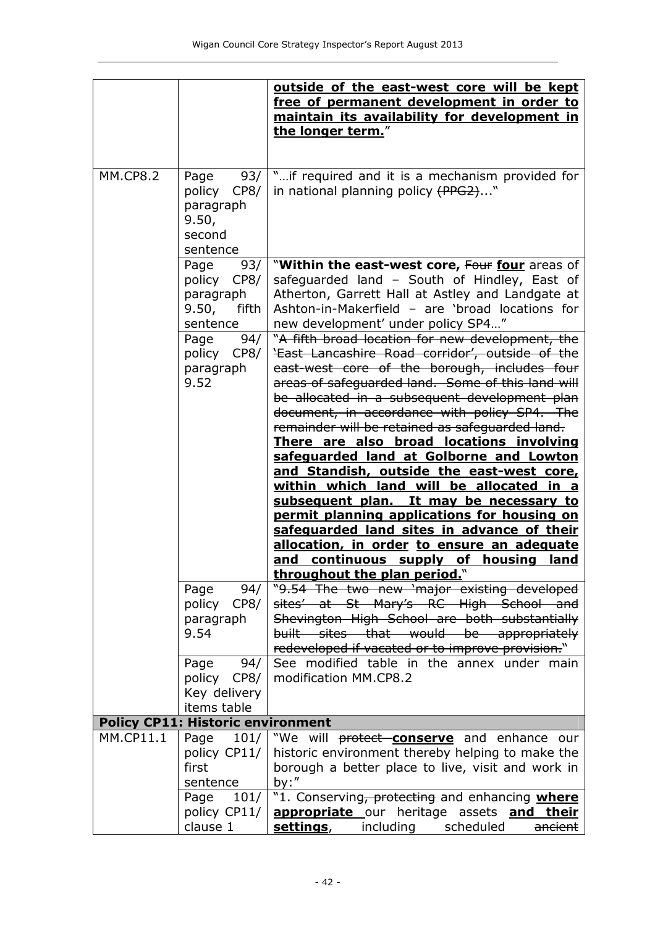|                 |                                                                          | outside of the east-west core will be kept                                                                                                                                                                                                                                                                                                                                                                                                                                                                                                   |
|-----------------|--------------------------------------------------------------------------|----------------------------------------------------------------------------------------------------------------------------------------------------------------------------------------------------------------------------------------------------------------------------------------------------------------------------------------------------------------------------------------------------------------------------------------------------------------------------------------------------------------------------------------------|
|                 |                                                                          | free of permanent development in order to<br>maintain its availability for development in<br>the longer term."                                                                                                                                                                                                                                                                                                                                                                                                                               |
|                 |                                                                          |                                                                                                                                                                                                                                                                                                                                                                                                                                                                                                                                              |
| <b>MM.CP8.2</b> | 93/<br>Page<br>policy CP8/<br>paragraph<br>9.50,<br>second<br>sentence   | "if required and it is a mechanism provided for<br>in national planning policy (PPG2)"                                                                                                                                                                                                                                                                                                                                                                                                                                                       |
|                 | Page<br>93/<br>policy<br>CP8/<br>paragraph<br>9.50,<br>fifth<br>sentence | "Within the east-west core, Four four areas of<br>safeguarded land - South of Hindley, East of<br>Atherton, Garrett Hall at Astley and Landgate at<br>Ashton-in-Makerfield - are 'broad locations for<br>new development' under policy SP4"                                                                                                                                                                                                                                                                                                  |
|                 | 94/<br>Page<br>policy CP8/<br>paragraph<br>9.52                          | "A fifth broad location for new development, the<br>'East Lancashire Road corridor', outside of the<br>east-west core of the borough, includes four<br>areas of safeguarded land. Some of this land will<br>be allocated in a subsequent development plan<br>document, in accordance with policy SP4. The<br>remainder will be retained as safeguarded land.<br>There are also broad locations involving<br>safeguarded land at Golborne and Lowton<br>and Standish, outside the east-west core,<br>within which land will be allocated in a |
|                 |                                                                          | subsequent plan. It may be necessary to<br>permit planning applications for housing on<br>safeguarded land sites in advance of their<br>allocation, in order to ensure an adequate<br>and continuous supply of housing land<br>throughout the plan period."                                                                                                                                                                                                                                                                                  |
|                 | Page<br>94/<br>policy<br>CP8/<br>paragraph<br>9.54                       | "9.54 The two new 'major existing developed<br>sites' at St Mary's RC High School and<br>Shevington High School are both substantially<br>built sites that would be appropriately<br>redeveloped if vacated or to improve provision."                                                                                                                                                                                                                                                                                                        |
|                 | 94/<br>Page<br>policy CP8/<br>Key delivery<br>items table                | See modified table in the annex under main<br>modification MM.CP8.2                                                                                                                                                                                                                                                                                                                                                                                                                                                                          |
|                 | <b>Policy CP11: Historic environment</b>                                 |                                                                                                                                                                                                                                                                                                                                                                                                                                                                                                                                              |
| MM.CP11.1       | 101/<br>Page<br>policy CP11/<br>first<br>sentence                        | "We will <b>protect-conserve</b> and enhance our<br>historic environment thereby helping to make the<br>borough a better place to live, visit and work in<br>by:''                                                                                                                                                                                                                                                                                                                                                                           |
|                 | 101/<br>Page<br>policy CP11/<br>clause 1                                 | "1. Conserving, protecting and enhancing where<br><b>appropriate</b> our heritage assets <b>and</b><br><u>their</u><br><u>settings,</u><br>including<br>scheduled<br>ancient                                                                                                                                                                                                                                                                                                                                                                 |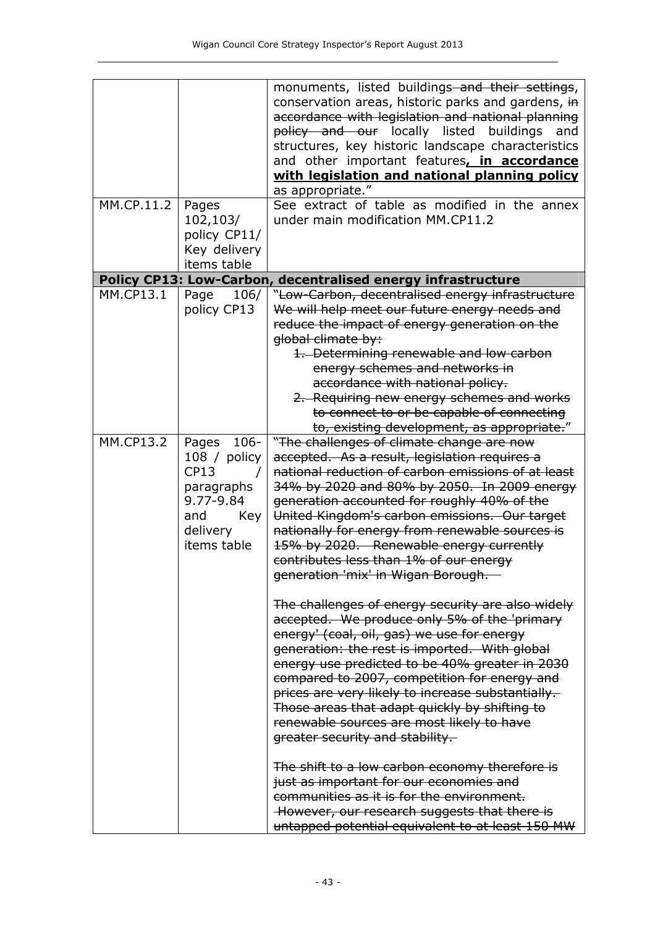|                  |                  | monuments, listed buildings-and their settings,              |
|------------------|------------------|--------------------------------------------------------------|
|                  |                  |                                                              |
|                  |                  | conservation areas, historic parks and gardens, in           |
|                  |                  | accordance with legislation and national planning            |
|                  |                  | policy and our locally listed buildings<br>and               |
|                  |                  | structures, key historic landscape characteristics           |
|                  |                  |                                                              |
|                  |                  | and other important features, in accordance                  |
|                  |                  | with legislation and national planning policy                |
|                  |                  | as appropriate."                                             |
| MM.CP.11.2       | Pages            | See extract of table as modified in the annex                |
|                  | 102,103/         | under main modification MM.CP11.2                            |
|                  | policy CP11/     |                                                              |
|                  |                  |                                                              |
|                  | Key delivery     |                                                              |
|                  | items table      |                                                              |
|                  |                  | Policy CP13: Low-Carbon, decentralised energy infrastructure |
| <b>MM.CP13.1</b> | 106/<br>Page     | "Low-Carbon, decentralised energy infrastructure             |
|                  | policy CP13      | We will help meet our future energy needs and                |
|                  |                  | reduce the impact of energy generation on the                |
|                  |                  |                                                              |
|                  |                  | global climate by:                                           |
|                  |                  | 1. Determining renewable and low carbon                      |
|                  |                  | energy schemes and networks in                               |
|                  |                  | accordance with national policy.                             |
|                  |                  | 2. Requiring new energy schemes and works                    |
|                  |                  | to connect to or be capable of connecting                    |
|                  |                  | to, existing development, as appropriate."                   |
| <b>MM.CP13.2</b> |                  |                                                              |
|                  | $106 -$<br>Pages | "The challenges of climate change are now                    |
|                  | 108 / policy     | accepted. As a result, legislation requires a                |
|                  | CP13             | national reduction of carbon emissions of at least           |
|                  | paragraphs       | 34% by 2020 and 80% by 2050. In 2009 energy                  |
|                  | 9.77-9.84        | generation accounted for roughly 40% of the                  |
|                  | and<br>Key       | United Kingdom's carbon emissions. Our target                |
|                  | delivery         | nationally for energy from renewable sources is              |
|                  | items table      | 15% by 2020. Renewable energy currently                      |
|                  |                  |                                                              |
|                  |                  | contributes less than 1% of our energy                       |
|                  |                  | generation 'mix' in Wigan Borough.                           |
|                  |                  |                                                              |
|                  |                  | The challenges of energy security are also widely            |
|                  |                  | accepted. We produce only 5% of the 'primary                 |
|                  |                  | energy' (coal, oil, gas) we use for energy                   |
|                  |                  | generation: the rest is imported. With global                |
|                  |                  | energy use predicted to be 40% greater in 2030               |
|                  |                  |                                                              |
|                  |                  | compared to 2007, competition for energy and                 |
|                  |                  | prices are very likely to increase substantially.            |
|                  |                  | Those areas that adapt quickly by shifting to                |
|                  |                  | renewable sources are most likely to have                    |
|                  |                  | greater security and stability.                              |
|                  |                  | The shift to a low carbon economy therefore is               |
|                  |                  | just as important for our economies and                      |
|                  |                  | communities as it is for the environment.                    |
|                  |                  | However, our research suggests that there is                 |
|                  |                  | untapped potential equivalent to at least 150 MW             |
|                  |                  |                                                              |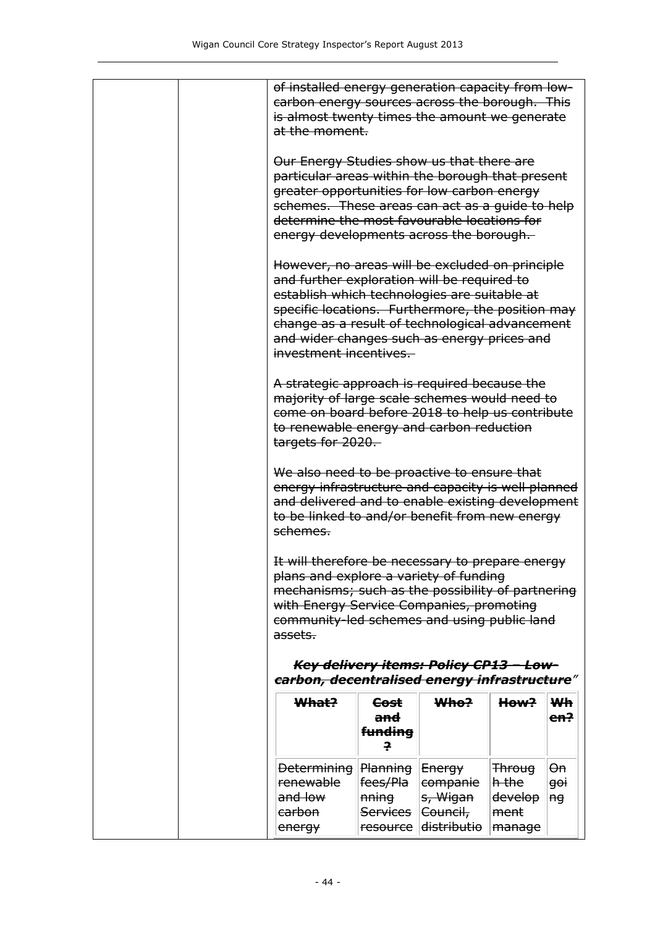| of installed energy generation capacity from low-<br>carbon energy sources across the borough. This<br>is almost twenty times the amount we generate<br>at the moment.                                                                                                                                                          |                                                                           |                                                                     |                                                                                                |                                       |  |  |
|---------------------------------------------------------------------------------------------------------------------------------------------------------------------------------------------------------------------------------------------------------------------------------------------------------------------------------|---------------------------------------------------------------------------|---------------------------------------------------------------------|------------------------------------------------------------------------------------------------|---------------------------------------|--|--|
| Our Energy Studies show us that there are<br>particular areas within the borough that present<br>greater opportunities for low carbon energy<br>schemes. These areas can act as a quide to help<br>determine the most favourable locations for<br>energy developments across the borough.                                       |                                                                           |                                                                     |                                                                                                |                                       |  |  |
| However, no areas will be excluded on principle<br>and further exploration will be required to<br>establish which technologies are suitable at<br>specific locations. Furthermore, the position may<br>change as a result of technological advancement<br>and wider changes such as energy prices and<br>investment incentives. |                                                                           |                                                                     |                                                                                                |                                       |  |  |
| A strategic approach is required because the<br>majority of large scale schemes would need to<br>come on board before 2018 to help us contribute<br>to renewable energy and carbon reduction<br>targets for 2020.                                                                                                               |                                                                           |                                                                     |                                                                                                |                                       |  |  |
| We also need to be proactive to ensure that<br>energy infrastructure and capacity is well planned<br>and delivered and to enable existing development<br>to be linked to and/or benefit from new energy<br>schemes.                                                                                                             |                                                                           |                                                                     |                                                                                                |                                       |  |  |
| It will therefore be necessary to prepare energy<br>plans and explore a variety of funding<br>mechanisms; such as the possibility of partnering<br>with Energy Service Companies, promoting<br>community-led schemes and using public land<br>assets.                                                                           |                                                                           |                                                                     |                                                                                                |                                       |  |  |
| carbon, decentralised energy infrastructure"                                                                                                                                                                                                                                                                                    |                                                                           | Key delivery items: Policy CP13 - Low-                              |                                                                                                |                                       |  |  |
| What?                                                                                                                                                                                                                                                                                                                           | <del>Cost</del><br><del>and</del><br>f <del>unding</del><br>ę.            | <del>Who?</del>                                                     | How?                                                                                           | <b>Wh</b><br><del>en?</del>           |  |  |
| <b>Determining</b><br><b>renewable</b><br>and low<br>carbon<br>energy                                                                                                                                                                                                                                                           | <b>Planning Energy</b><br>fees/Pla<br><del>nning</del><br><b>Services</b> | <del>companie</del><br>s, Wigan<br>Council,<br>resource distributio | <b>Throug</b><br>$ {\sf h\text{-}the} $<br><del>develop</del><br>ment<br>$ $ <del>manage</del> | <del>On</del><br><del>goi</del><br>ng |  |  |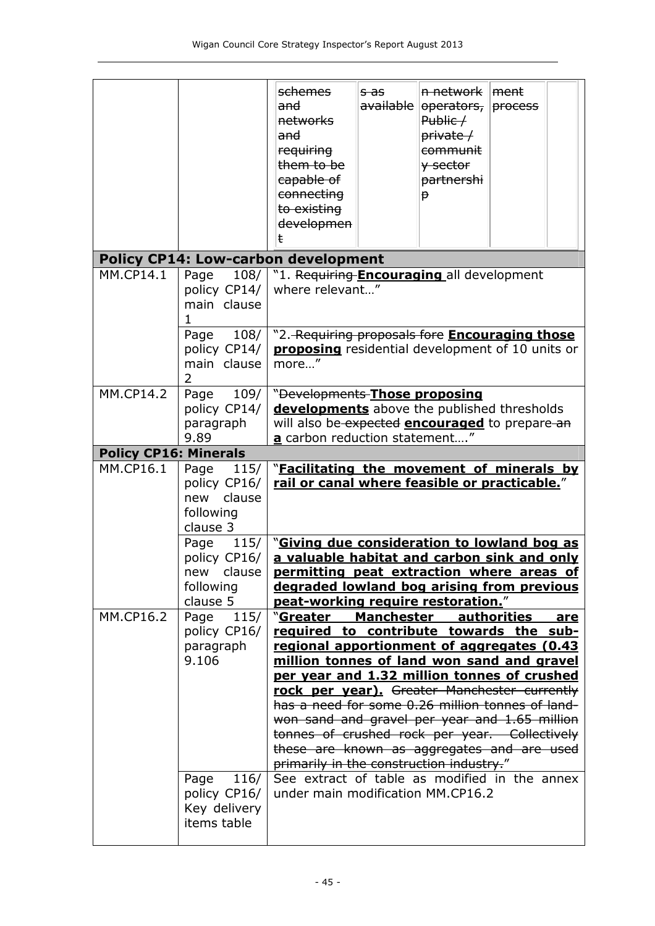|                              |                                                                                                                             | <del>schemes</del><br><del>and</del><br>networks<br>and<br><b>requiring</b><br>them to be<br>capable of<br>connecting<br>to existing<br>developmen<br>ŧ                                                                                                                                                                                                                                                                                                                                                                                                                              | <del>s as</del><br>available | n network ment<br>Public /<br>private /<br>communit<br>y sector<br>partnershi<br><b>P</b> |                    |     |
|------------------------------|-----------------------------------------------------------------------------------------------------------------------------|--------------------------------------------------------------------------------------------------------------------------------------------------------------------------------------------------------------------------------------------------------------------------------------------------------------------------------------------------------------------------------------------------------------------------------------------------------------------------------------------------------------------------------------------------------------------------------------|------------------------------|-------------------------------------------------------------------------------------------|--------------------|-----|
|                              |                                                                                                                             | <b>Policy CP14: Low-carbon development</b>                                                                                                                                                                                                                                                                                                                                                                                                                                                                                                                                           |                              |                                                                                           |                    |     |
| $MM.CP14.\overline{1}$       | 108/<br>Page<br>policy CP14/<br>main clause<br>108/<br>Page<br>policy CP14/<br>main clause<br>2                             | "1. Requiring <b>Encouraging</b> all development<br>where relevant"<br>"2. Requiring proposals fore <b>Encouraging those</b><br>proposing residential development of 10 units or<br>more"                                                                                                                                                                                                                                                                                                                                                                                            |                              |                                                                                           |                    |     |
| <b>MM.CP14.2</b>             | Page 109/                                                                                                                   |                                                                                                                                                                                                                                                                                                                                                                                                                                                                                                                                                                                      |                              |                                                                                           |                    |     |
|                              | policy CP14/<br>paragraph<br>9.89                                                                                           | "Developments-Those proposing<br>developments above the published thresholds<br>will also be expected <b>encouraged</b> to prepare an<br>a carbon reduction statement"                                                                                                                                                                                                                                                                                                                                                                                                               |                              |                                                                                           |                    |     |
| <b>Policy CP16: Minerals</b> |                                                                                                                             |                                                                                                                                                                                                                                                                                                                                                                                                                                                                                                                                                                                      |                              |                                                                                           |                    |     |
| MM.CP16.1                    | Page<br>115/<br>policy CP16/<br>clause<br>new<br>following<br>clause 3<br>Page<br>policy CP16/<br>new clause  <br>following | "Facilitating the movement of minerals by<br>rail or canal where feasible or practicable."<br>115/ $\vert$ "Giving due consideration to lowland bog as<br>a valuable habitat and carbon sink and only<br>permitting peat extraction where areas of<br>degraded lowland bog arising from previous                                                                                                                                                                                                                                                                                     |                              |                                                                                           |                    |     |
| <b>MM.CP16.2</b>             | clause 5                                                                                                                    | peat-working require restoration."                                                                                                                                                                                                                                                                                                                                                                                                                                                                                                                                                   |                              |                                                                                           |                    |     |
|                              | 115/<br>Page<br>policy CP16/<br>paragraph<br>9.106<br>116/<br>Page<br>policy CP16/                                          | "Greater<br>required to contribute towards the sub-<br>regional apportionment of aggregates (0.43<br>million tonnes of land won sand and gravel<br>per year and 1.32 million tonnes of crushed<br>rock per year). Greater Manchester currently<br>has a need for some 0.26 million tonnes of land-<br>won sand and gravel per year and 1.65 million<br>tonnes of crushed rock per year. Collectively<br>these are known as aggregates and are used<br>primarily in the construction industry."<br>See extract of table as modified in the annex<br>under main modification MM.CP16.2 | <b>Manchester</b>            |                                                                                           | <b>authorities</b> | are |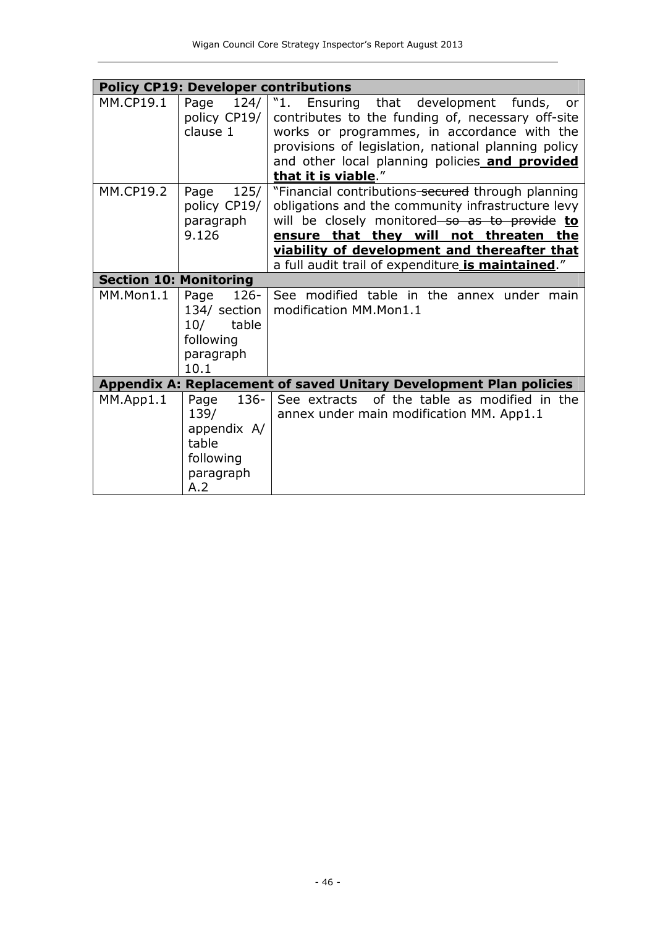|                               | <b>Policy CP19: Developer contributions</b>                                       |                                                                                                                                                                                                                                                                                                        |
|-------------------------------|-----------------------------------------------------------------------------------|--------------------------------------------------------------------------------------------------------------------------------------------------------------------------------------------------------------------------------------------------------------------------------------------------------|
| <b>MM.CP19.1</b>              | Page<br>124/<br>policy CP19/<br>clause 1                                          | "1.<br>Ensuring that development<br>funds,<br><b>or</b><br>contributes to the funding of, necessary off-site<br>works or programmes, in accordance with the<br>provisions of legislation, national planning policy<br>and other local planning policies and provided<br>that it is viable."            |
| <b>MM.CP19.2</b>              | 125/<br>Page<br>policy CP19/<br>paragraph<br>9.126                                | "Financial contributions secured through planning<br>obligations and the community infrastructure levy<br>will be closely monitored so as to provide to<br>ensure that they will not threaten the<br>viability of development and thereafter that<br>a full audit trail of expenditure is maintained." |
| <b>Section 10: Monitoring</b> |                                                                                   |                                                                                                                                                                                                                                                                                                        |
| MM.Mon1.1                     | $126 -$<br>Page<br>134/ section<br>10/<br>table<br>following<br>paragraph<br>10.1 | See modified table in the annex under main<br>modification MM.Mon1.1                                                                                                                                                                                                                                   |
|                               |                                                                                   | Appendix A: Replacement of saved Unitary Development Plan policies                                                                                                                                                                                                                                     |
| MM.App1.1                     | $136 -$<br>Page<br>139/<br>appendix A/<br>table<br>following<br>paragraph<br>A.2  | of the table as modified in the<br>See extracts<br>annex under main modification MM. App1.1                                                                                                                                                                                                            |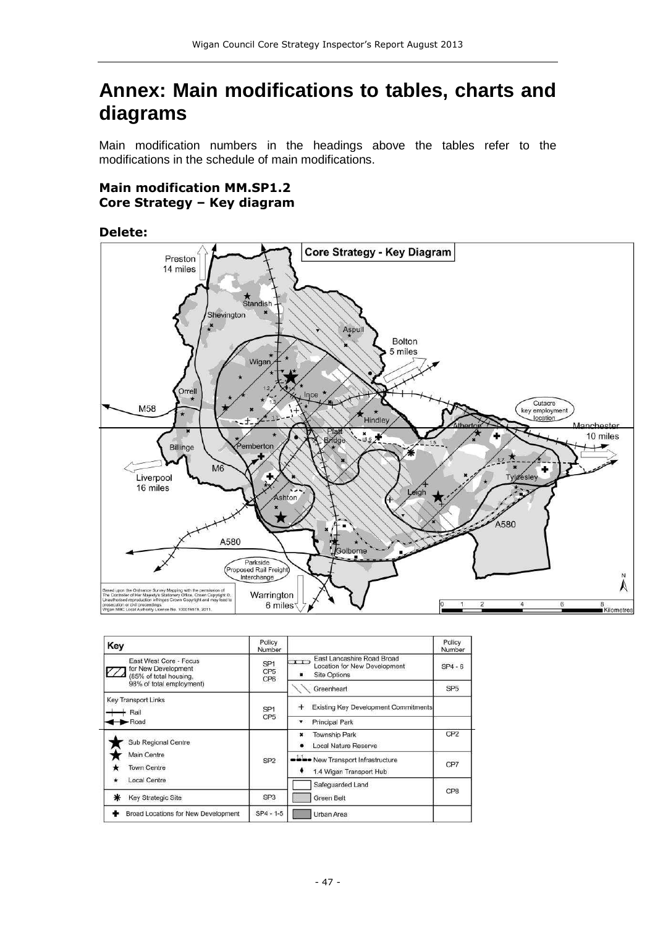# **Annex: Main modifications to tables, charts and diagrams**

Main modification numbers in the headings above the tables refer to the modifications in the schedule of main modifications.

#### **Main modification MM.SP1.2 Core Strategy – Key diagram**

#### **Delete:**



| Key                                                                     | Policy<br>Number                          |                                                                                                    | Policy<br>Number |
|-------------------------------------------------------------------------|-------------------------------------------|----------------------------------------------------------------------------------------------------|------------------|
| East West Core - Focus<br>for New Development<br>(85% of total housing, | SP <sub>1</sub><br>CP <sub>5</sub><br>CP6 | East Lancashire Road Broad<br>$\Gamma$<br>Location for New Development<br><b>Site Options</b><br>٠ | $SP4 - 6$        |
| 98% of total employment)                                                |                                           | Greenheart                                                                                         | SP <sub>5</sub>  |
| <b>Key Transport Links</b><br>Rail                                      | SP <sub>1</sub>                           | Existing Key Development Commitments<br>$\div$                                                     |                  |
| -Road                                                                   | CP <sub>5</sub>                           | Principal Park<br>$\mathbf{v}$                                                                     |                  |
| Sub Regional Centre                                                     |                                           | Township Park<br>×<br>Local Nature Reserve<br>٠                                                    | CP <sub>2</sub>  |
| Main Centre<br><b>Town Centre</b>                                       | SP <sub>2</sub>                           | -La New Transport Infrastructure<br>1.4 Wigan Transport Hub                                        | CP7              |
| <b>Local Centre</b>                                                     |                                           | Safeguarded Land                                                                                   |                  |
| Key Strategic Site                                                      | SP <sub>3</sub>                           | Green Belt                                                                                         | CP8              |
| Broad Locations for New Development                                     | $SP4 - 1 - 5$                             | Urban Area                                                                                         |                  |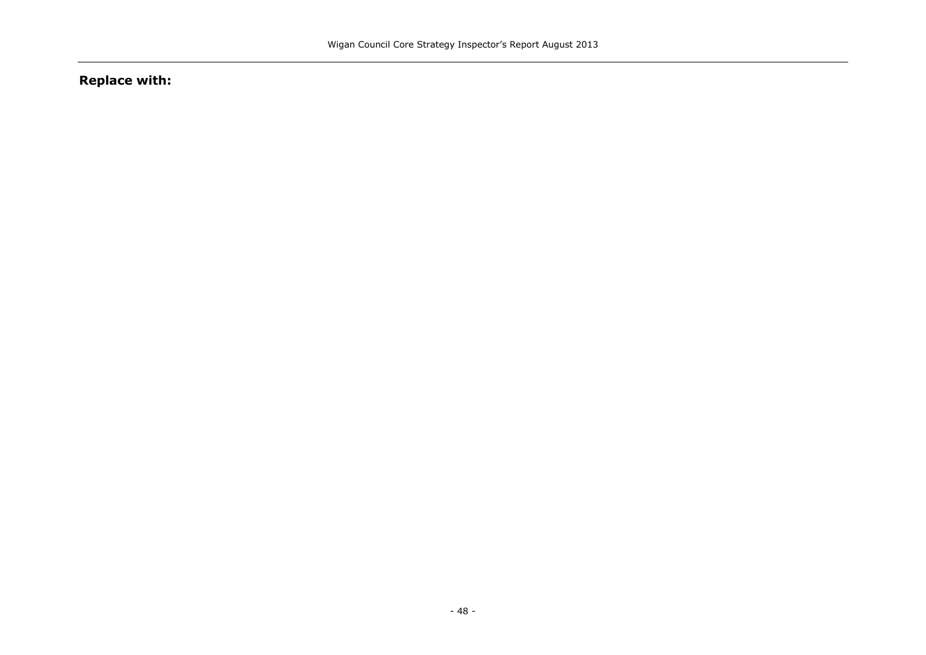# **Replace with:**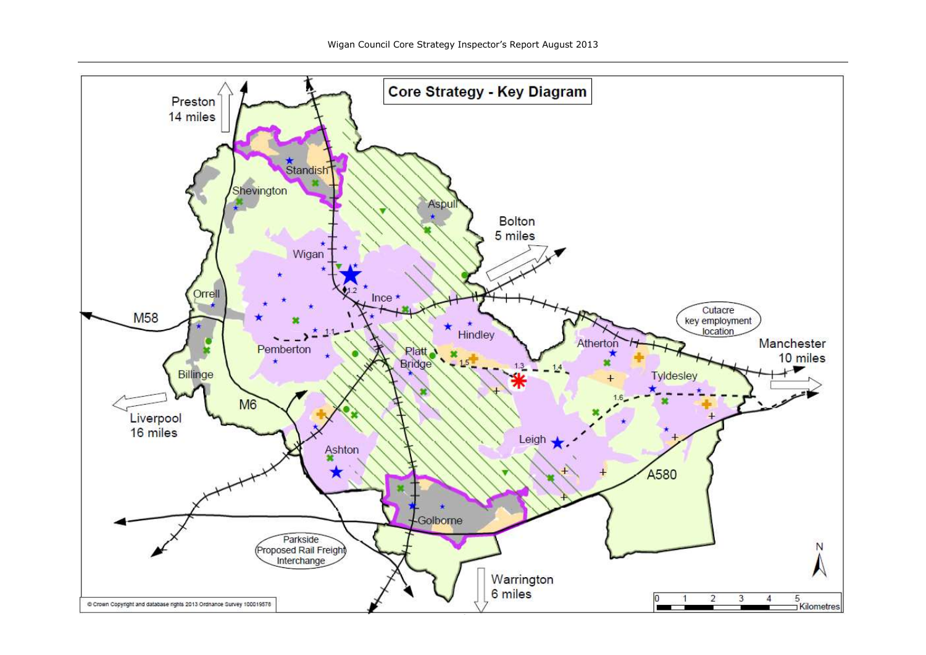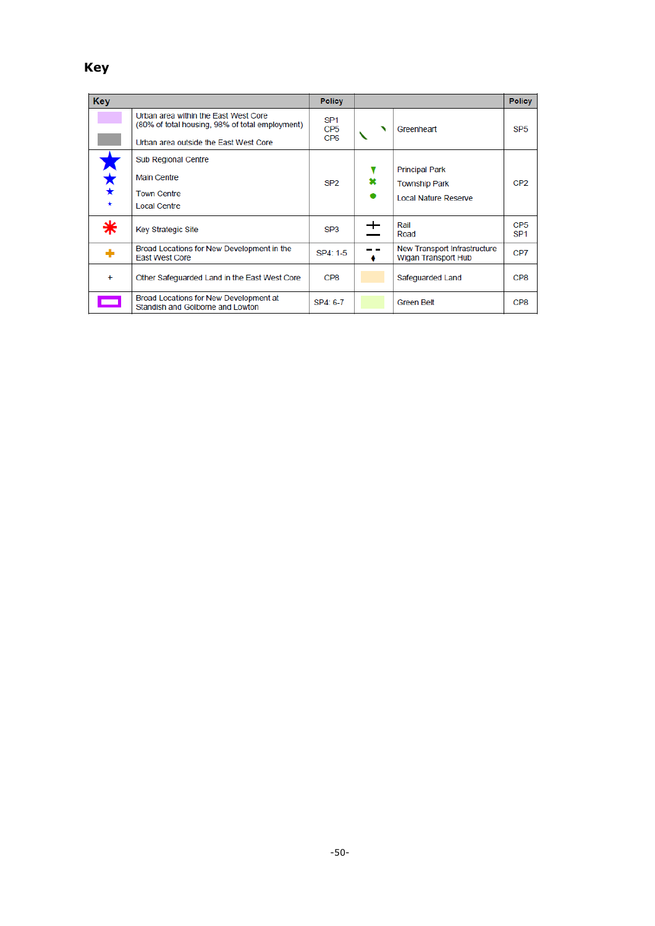# **Key**

| <b>Key</b> |                                                                                         | <b>Policy</b>                                         |   |                                                            | <b>Policy</b>                      |
|------------|-----------------------------------------------------------------------------------------|-------------------------------------------------------|---|------------------------------------------------------------|------------------------------------|
|            | Urban area within the East West Core<br>(80% of total housing, 98% of total employment) | SP <sub>1</sub><br>CP <sub>5</sub><br>CP <sub>6</sub> |   | Greenheart                                                 | SP <sub>5</sub>                    |
|            | Urban area outside the East West Core                                                   |                                                       |   |                                                            |                                    |
|            | <b>Sub Regional Centre</b>                                                              |                                                       |   |                                                            |                                    |
| ★★         | <b>Main Centre</b>                                                                      | SP <sub>2</sub>                                       | × | <b>Principal Park</b><br><b>Township Park</b>              | CP <sub>2</sub>                    |
|            | <b>Town Centre</b>                                                                      |                                                       |   | <b>Local Nature Reserve</b>                                |                                    |
|            | <b>Local Centre</b>                                                                     |                                                       |   |                                                            |                                    |
| ∗          | <b>Key Strategic Site</b>                                                               | SP3                                                   |   | Rail<br>Road                                               | CP <sub>5</sub><br>SP <sub>1</sub> |
|            | Broad Locations for New Development in the<br><b>East West Core</b>                     | SP4: 1-5                                              |   | New Transport Infrastructure<br><b>Wigan Transport Hub</b> | CP7                                |
| $\ddot{}$  | Other Safeguarded Land in the East West Core                                            | CP8                                                   |   | Safeguarded Land                                           | CP8                                |
| an an      | Broad Locations for New Development at<br>Standish and Golborne and Lowton              | SP4: 6-7                                              |   | <b>Green Belt</b>                                          | CP8                                |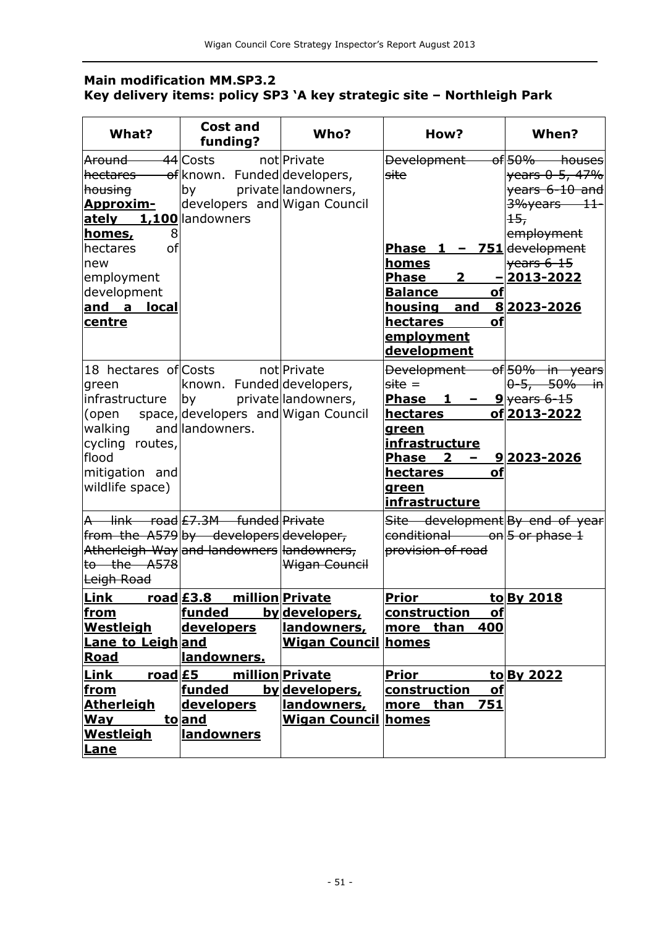## **Main modification MM.SP3.2 Key delivery items: policy SP3 'A key strategic site – Northleigh Park**

| What?                                                                                                                                                                               | <b>Cost and</b><br>funding?                                                                                                   | Who?                                                                                                                                                                           | How?                                                                                                                                                                                         | When?                                                                                                                                         |
|-------------------------------------------------------------------------------------------------------------------------------------------------------------------------------------|-------------------------------------------------------------------------------------------------------------------------------|--------------------------------------------------------------------------------------------------------------------------------------------------------------------------------|----------------------------------------------------------------------------------------------------------------------------------------------------------------------------------------------|-----------------------------------------------------------------------------------------------------------------------------------------------|
| <del>Around -</del><br>housing<br><u> Approxim-</u><br>ately 1,100 landowners<br>homes,<br>8<br>of<br>hectares<br>new<br>employment<br>development<br>and a<br>local<br>centre      | <del>44</del> Costs<br>hectares of known. Funded developers,<br>by<br>developers and Wigan Council                            | notlPrivate<br>private landowners,                                                                                                                                             | Development-<br>site<br>Phase $1 - 751$ development<br><u>homes</u><br><b>Phase</b><br>$\mathbf{2}$<br><b>Balance</b><br>of<br>housing<br>and<br>hectares<br>οf<br>employment<br>development | of 50% houses<br>years 0-5, 47%<br>years 6-10 and<br>3%years 11<br>$+5r$<br>employment<br>$ {\mathsf{years}}$ 6-15<br>2013-2022<br>82023-2026 |
| 18 hectares of Costs<br>green<br>infrastructure  by<br>open)<br>walking<br>cycling routes,<br>flood<br>mitigation and<br>wildlife space)                                            | known. Funded developers,<br>space, developers and Wigan Council<br>and landowners.                                           | not Private<br>private landowners,                                                                                                                                             | <b>Development</b><br>$site =$<br>Phase <sub>1</sub><br>hectares<br>green<br>infrastructure<br>$\overline{\mathbf{2}}$<br><b>Phase</b><br>of<br>hectares<br>green<br>infrastructure          | of 50% in years<br>  <del>0−5, 50% in</del>  <br>$9$ years 6-15<br>of 2013-2022<br>92023-2026                                                 |
| $to$ the $A578$<br>Leigh Road                                                                                                                                                       | A link road £7.3M funded Private<br>from the A579 by developers developer,<br>Atherleigh Way and landowners landowners,       | Wigan Council                                                                                                                                                                  | Site development By end of year<br>$ $ conditional on $ 5$ or phase 1<br>provision of road                                                                                                   |                                                                                                                                               |
| Link<br><u>from</u><br>Westleigh<br><b>Lane to Leigh and</b><br><b>Road</b><br><b>Link</b><br><u>road £5</u><br><u>from</u><br><b>Atherleigh</b><br>Way<br><b>Westleigh</b><br>Lane | <u>road £3.8</u><br><u> funded</u><br>developers<br>landowners.<br><b>funded</b><br>developers<br>to and<br><b>landowners</b> | million Private<br><u>by developers,</u><br>landowners,<br><b>Wigan Council homes</b><br>million Private<br>by developers,<br><u>landowners,</u><br><b>Wigan Council homes</b> | <b>Prior</b><br><u>construction</u><br><u>of</u><br>400<br>more than<br><b>Prior</b><br>construction<br>of<br>751<br>than<br>more                                                            | to By 2018<br>to By 2022                                                                                                                      |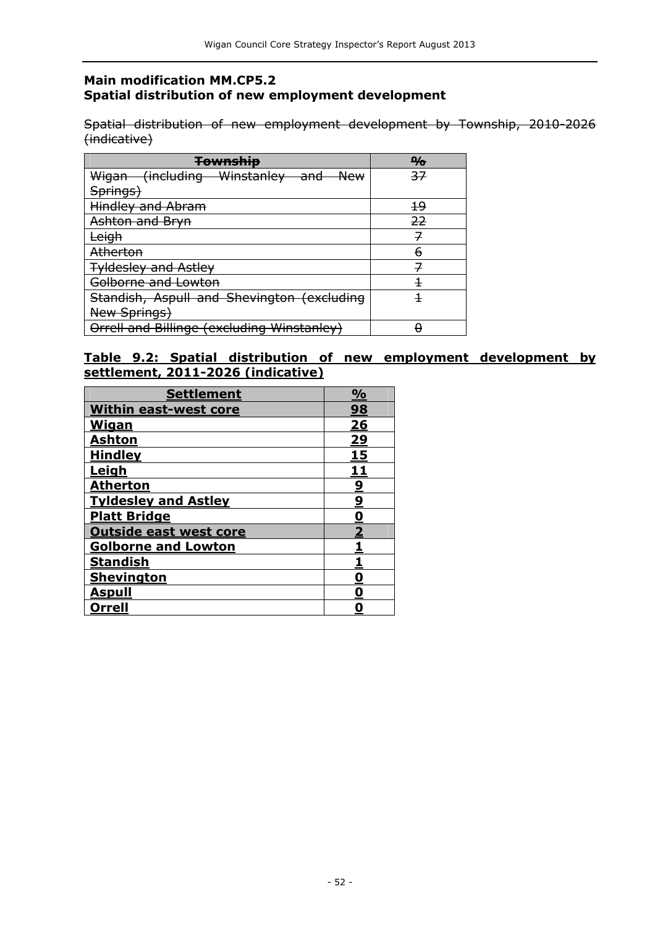#### **Main modification MM.CP5.2 Spatial distribution of new employment development**

Spatial distribution of new employment development by Township, 2010-2026 (indicative)

| <b>Township</b>                                                 | $\frac{\Omega}{\Omega}$ |
|-----------------------------------------------------------------|-------------------------|
| Wigan (including Winstanley<br><del>New</del><br><del>and</del> | 37                      |
| Springs)                                                        |                         |
| Hindley and Abram                                               | 49                      |
| Ashton and Bryn                                                 | 22                      |
| <del>eigh</del>                                                 | 7                       |
| <b>Atherton</b>                                                 | 6                       |
| <b>Tyldesley and Astley</b>                                     |                         |
| <del>Golborne and Lowton</del>                                  |                         |
| Standish, Aspull and Shevington (excluding                      |                         |
| New Springs)                                                    |                         |
| Orrell and Billinge (excluding Winstanley)                      |                         |

## **Table 9.2: Spatial distribution of new employment development by settlement, 2011-2026 (indicative)**

| <b>Settlement</b>             | $\frac{1}{2}$           |
|-------------------------------|-------------------------|
| <b>Within east-west core</b>  | 98                      |
| Wigan                         | 26                      |
| <b>Ashton</b>                 | 29                      |
| <b>Hindley</b>                | 15                      |
| <u>Leigh</u>                  | <u> 11</u>              |
| Atherton                      | $\overline{\mathbf{2}}$ |
| <b>Tyldesley and Astley</b>   | $\overline{a}$          |
| <b>Platt Bridge</b>           | <u>0</u>                |
| <b>Outside east west core</b> | $\overline{\mathbf{2}}$ |
| <b>Golborne and Lowton</b>    |                         |
| <b>Standish</b>               |                         |
| <b>Shevington</b>             | <u>0</u>                |
| <u>Aspull</u>                 | <u>0</u>                |
| Orrell                        |                         |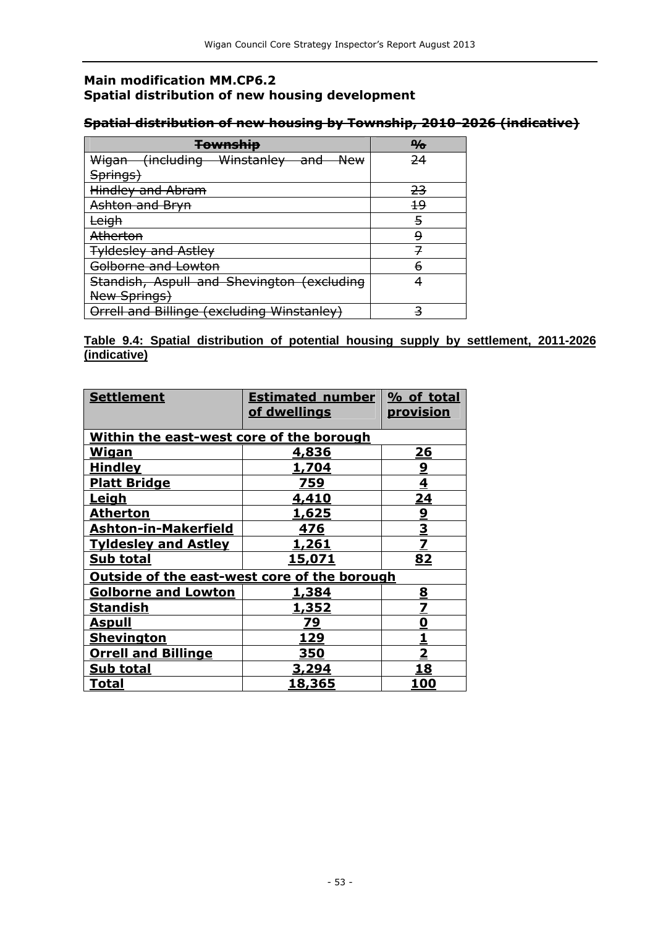## **Main modification MM.CP6.2 Spatial distribution of new housing development**

## **Spatial distribution of new housing by Township, 2010-2026 (indicative)**

| <b>Township</b>                                                 | $\frac{\Delta}{\sigma}$ |
|-----------------------------------------------------------------|-------------------------|
| Wigan (including Winstanley<br><del>New</del><br><del>and</del> | -24                     |
| <del>Springs)</del>                                             |                         |
| Hindley and Abram                                               | <del>23</del>           |
| Ashton and Bryn                                                 | 19                      |
| ∟eigh                                                           | 5                       |
| <b>Atherton</b>                                                 | 9                       |
| <b>Tyldesley and Astley</b>                                     |                         |
| <del>Golborne and Lowton</del>                                  | 6                       |
| Standish, Aspull and Shevington (excluding                      |                         |
| New Springs)                                                    |                         |
| Orrell and Billinge (excluding Winstanley)                      |                         |

#### **Table 9.4: Spatial distribution of potential housing supply by settlement, 2011-2026 (indicative)**

| <b>Settlement</b>                                   | <b>Estimated number</b><br>of dwellings | % of total<br><u>provision</u> |
|-----------------------------------------------------|-----------------------------------------|--------------------------------|
|                                                     |                                         |                                |
| Within the east-west core of the borough            |                                         |                                |
| <b>Wigan</b>                                        | 4,836                                   | <u> 26</u>                     |
| <b>Hindley</b>                                      | <u>1,704</u>                            |                                |
| <b>Platt Bridge</b>                                 | 759                                     | $\frac{9}{4}$                  |
| <u>Leigh</u>                                        | 4,410                                   | <u>24</u>                      |
| <u>Atherton</u>                                     | <u>1,625</u>                            |                                |
| <b>Ashton-in-Makerfield</b>                         | 476                                     | $\frac{9}{2}$                  |
| <b>Tyldesley and Astley</b>                         | <u>1,261</u>                            |                                |
| Sub total                                           | <u>15,071</u>                           | 82                             |
| <b>Outside of the east-west core of the borough</b> |                                         |                                |
| <b>Golborne and Lowton</b>                          | <u>1,384</u>                            |                                |
| <u>Standish</u>                                     | <u>1,352</u>                            | $\frac{8}{7}$                  |
| <u>Aspull</u>                                       | 79                                      | <u>0</u>                       |
| <b>Shevington</b>                                   | 129                                     | <u>1</u>                       |
| <b>Orrell and Billinge</b>                          | <u>350</u>                              | $\overline{\mathbf{2}}$        |
| <b>Sub total</b>                                    | <u>3,294</u>                            | <u> 18</u>                     |
| <u>Total</u>                                        | <u>18,365</u>                           | 100                            |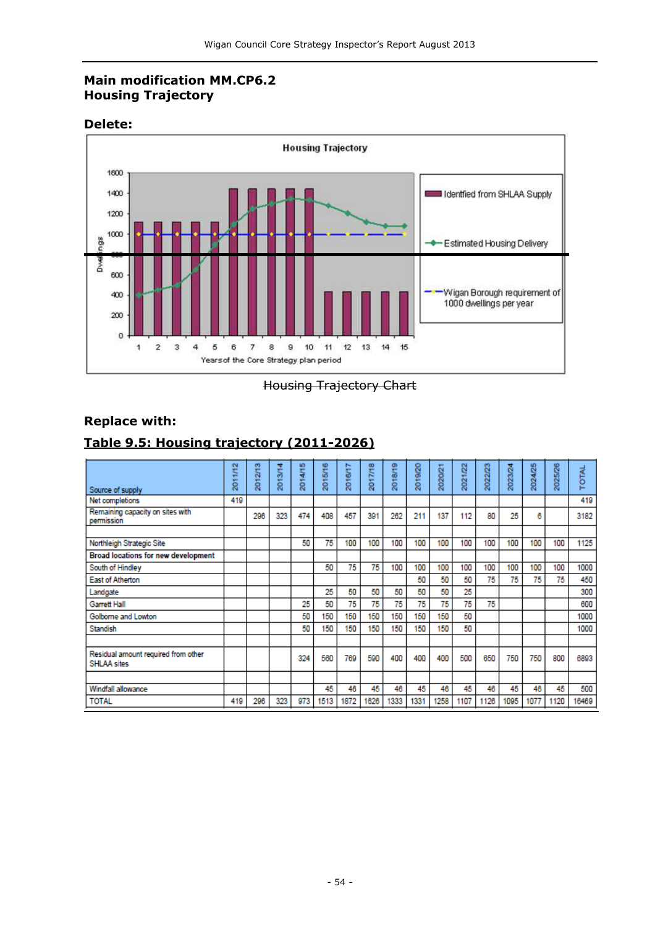## **Main modification MM.CP6.2 Housing Trajectory**

#### **Delete:**



Housing Trajectory Chart

## **Replace with:**

## **Table 9.5: Housing trajectory (2011-2026)**

| Source of supply                                   | 1/12<br>ģ | 2012/13 | 2013/14 | 2014/15 | 2015/16 | 2016/17 | 2017/18 | 2018/19 | 2019/20 | 2020/21 | 2021/22 | 2022/23 | 2023/24 | 2024/25 | 2025/26 | TOTAL |
|----------------------------------------------------|-----------|---------|---------|---------|---------|---------|---------|---------|---------|---------|---------|---------|---------|---------|---------|-------|
| Net completions                                    | 419       |         |         |         |         |         |         |         |         |         |         |         |         |         |         | 419   |
| Remaining capacity on sites with<br>permission     |           | 296     | 323     | 474     | 408     | 457     | 391     | 262     | 211     | 137     | 112     | 80      | 25      | 6       |         | 3182  |
|                                                    |           |         |         |         |         |         |         |         |         |         |         |         |         |         |         |       |
| Northleigh Strategic Site                          |           |         |         | 50      | 75      | 100     | 100     | 100     | 100     | 100     | 100     | 100     | 100     | 100     | 100     | 1125  |
| Broad locations for new development                |           |         |         |         |         |         |         |         |         |         |         |         |         |         |         |       |
| South of Hindley                                   |           |         |         |         | 50      | 75      | 75      | 100     | 100     | 100     | 100     | 100     | 100     | 100     | 100     | 1000  |
| East of Atherton                                   |           |         |         |         |         |         |         |         | 50      | 50      | 50      | 75      | 75      | 75      | 75      | 450   |
| Landgate                                           |           |         |         |         | 25      | 50      | 50      | 50      | 50      | 50      | 25      |         |         |         |         | 300   |
| <b>Garrett Hall</b>                                |           |         |         | 25      | 50      | 75      | 75      | 75      | 75      | 75      | 75      | 75      |         |         |         | 600   |
| Golborne and Lowton                                |           |         |         | 50      | 150     | 150     | 150     | 150     | 150     | 150     | 50      |         |         |         |         | 1000  |
| Standish                                           |           |         |         | 50      | 150     | 150     | 150     | 150     | 150     | 150     | 50      |         |         |         |         | 1000  |
|                                                    |           |         |         |         |         |         |         |         |         |         |         |         |         |         |         |       |
| Residual amount required from other<br>SHLAA sites |           |         |         | 324     | 560     | 769     | 500     | 400     | 400     | 400     | 500     | 650     | 750     | 750     | 800     | 6893  |
|                                                    |           |         |         |         |         |         |         |         |         |         |         |         |         |         |         |       |
| Windfall allowance                                 |           |         |         |         | 45      | 46      | 45      | 46      | 45      | 46      | 45      | 46      | 45      | 46      | 45      | 500   |
| <b>TOTAL</b>                                       | 419       | 296     | 323     | 973     | 1513    | 1872    | 1626    | 1333    | 1331    | 1258    | 1107    | 1126    | 1095    | 1077    | 1120    | 16469 |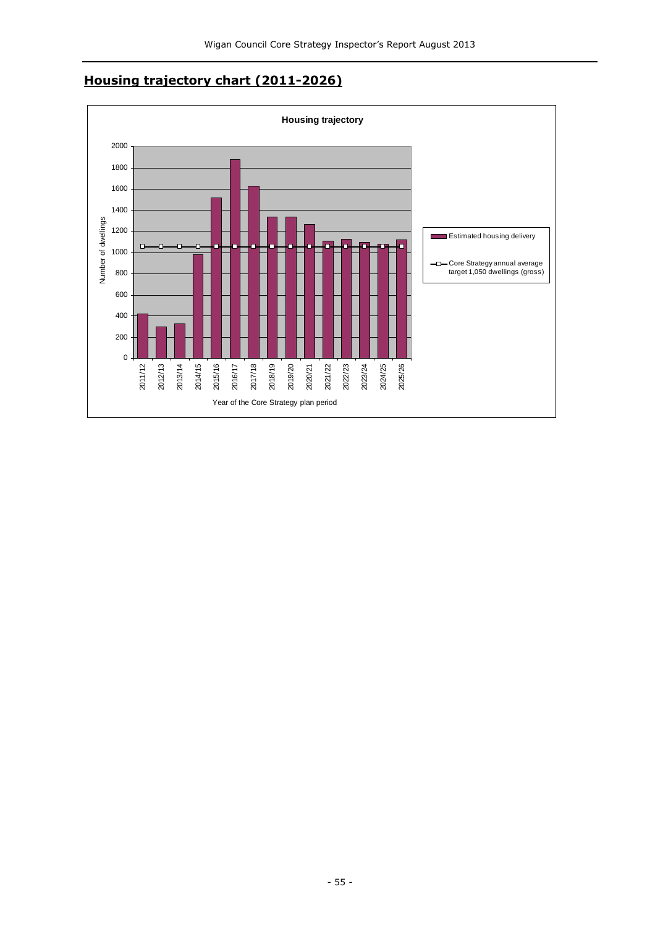## **Housing trajectory chart (2011-2026)**

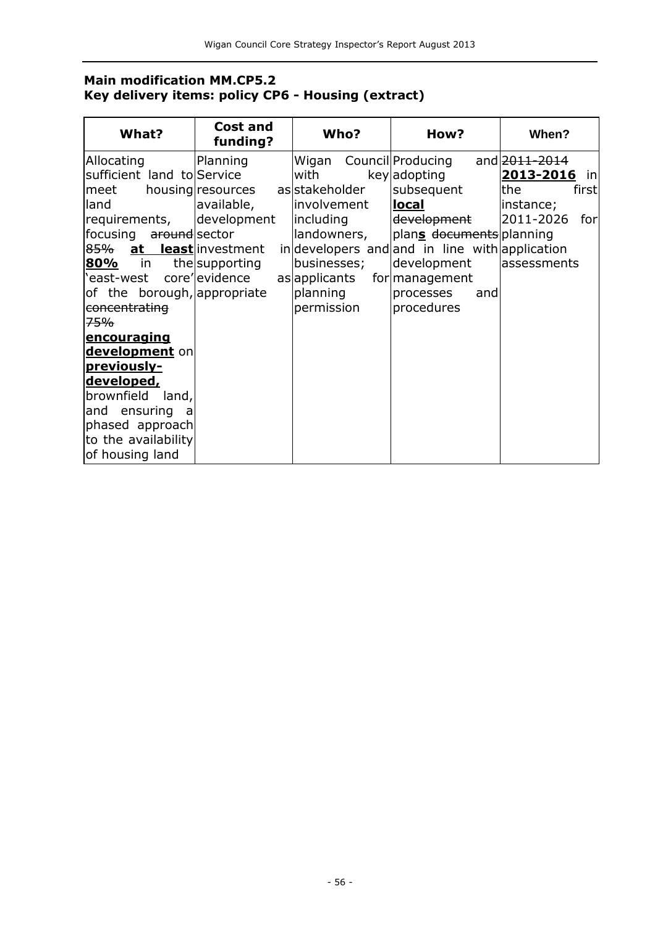## **Main modification MM.CP5.2 Key delivery items: policy CP6 - Housing (extract)**

| What?                           | Cost and<br>funding? | Who?           | How?                                          | When?            |
|---------------------------------|----------------------|----------------|-----------------------------------------------|------------------|
| Allocating                      | Planning             | Wigan          | Council Producing                             | and 2011-2014    |
| sufficient land to Service      |                      | with           | key adopting                                  | 2013-2016<br>in  |
| meet                            | housing resources    | as stakeholder | subsequent                                    | the<br>first     |
| land                            | available,           | involvement    | <u>local</u>                                  | instance;        |
| requirements,                   | development          | including      | development                                   | 2011-2026<br>for |
| focusing around sector          |                      | landowners,    | plans documents planning                      |                  |
| 85% at least investment         |                      |                | indevelopers and and in line with application |                  |
| 80%<br>$\overline{\mathsf{in}}$ | the supporting       | businesses;    | development                                   | assessments      |
| 'east-west                      | core' evidence       | as applicants  | for management                                |                  |
| of the borough, appropriate     |                      | planning       | processes<br>and                              |                  |
| concentrating                   |                      | permission     | procedures                                    |                  |
| <del>75%</del>                  |                      |                |                                               |                  |
| encouraging                     |                      |                |                                               |                  |
| development on                  |                      |                |                                               |                  |
| previously-                     |                      |                |                                               |                  |
| <u>developed,</u>               |                      |                |                                               |                  |
| brownfield<br>land,             |                      |                |                                               |                  |
| and ensuring a                  |                      |                |                                               |                  |
| phased approach                 |                      |                |                                               |                  |
| to the availability             |                      |                |                                               |                  |
| of housing land                 |                      |                |                                               |                  |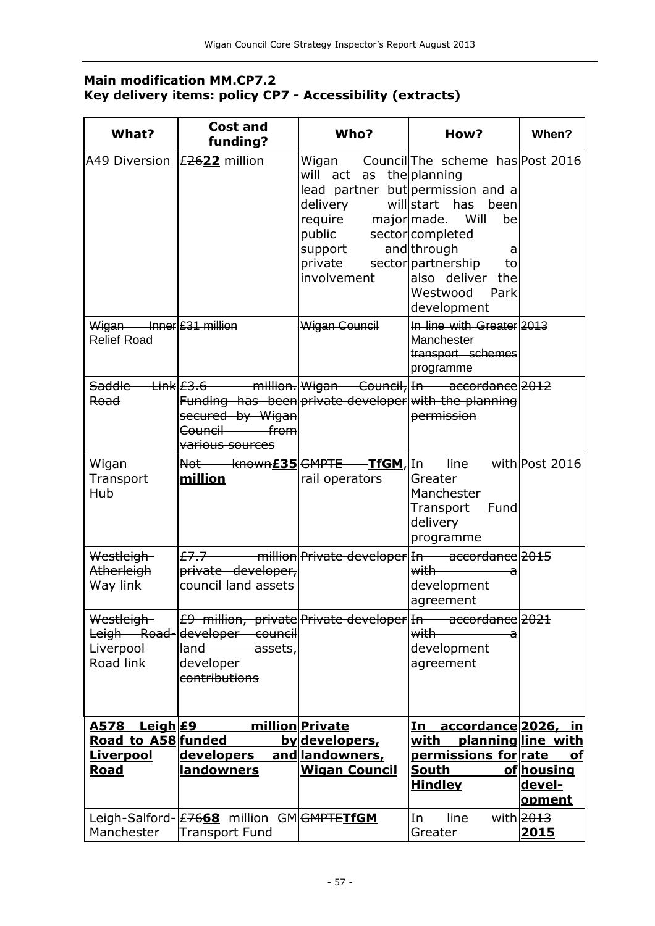## **Main modification MM.CP7.2 Key delivery items: policy CP7 - Accessibility (extracts)**

| What?                                           | <b>Cost and</b><br>funding?                                                                                                                                                | Who?                                                                                                                                                         | How?                                                                                                                                                                                                                                                                        | When?                                                     |
|-------------------------------------------------|----------------------------------------------------------------------------------------------------------------------------------------------------------------------------|--------------------------------------------------------------------------------------------------------------------------------------------------------------|-----------------------------------------------------------------------------------------------------------------------------------------------------------------------------------------------------------------------------------------------------------------------------|-----------------------------------------------------------|
| A49 Diversion  £ <del>26</del> 22 million       |                                                                                                                                                                            | Wigan<br>will act as the planning<br>delivery<br>require major made. Will<br>public sector completed<br>support<br>private sector partnership<br>involvement | Council The scheme has Post 2016<br>lead partner but permission and a<br>willstart has been<br>be<br>and through<br>a<br>to<br>also deliver the<br>Westwood<br>Park<br>development                                                                                          |                                                           |
| $Wigan$ Inner £31 million<br><b>Relief Road</b> |                                                                                                                                                                            | Wigan Council                                                                                                                                                | In line with Greater 2013<br><b>Manchester</b><br>transport schemes<br>programme                                                                                                                                                                                            |                                                           |
| Road                                            | Saddle Link E3.6 million. Wigan Council, In accordance 2012<br>Funding has been private developer with the planning<br>secured by Wigan<br>Council from<br>various sources |                                                                                                                                                              | permission                                                                                                                                                                                                                                                                  |                                                           |
| Wigan<br>Transport<br>Hub                       | Not known£35 GMPTE TfGM, In<br>million                                                                                                                                     | rail operators                                                                                                                                               | line<br>Greater<br>Manchester<br>Transport Fund<br>delivery<br>programme                                                                                                                                                                                                    | with Post 2016                                            |
| Westleigh-<br>Atherleigh<br>Way link            | $E7.7$ million Private developer In accordance 2015<br>private developer,<br>council land assets                                                                           |                                                                                                                                                              | with –<br>a<br>development<br>agreement                                                                                                                                                                                                                                     |                                                           |
| Westleigh-<br><b>Liverpool</b><br>Road link     | E9 million, private Private developer In accordance 2021<br>Leigh Road-developer council<br>l <del>land assets,</del><br>developer<br>contributions                        |                                                                                                                                                              | with with when the set of the set of the set of the set of the set of the set of the set of the set of the set of the set of the set of the set of the set of the set of the set of the set of the set of the set of the set o<br>$-\mathbf{a}$<br>development<br>agreement |                                                           |
| <u>Leigh £9</u><br><u>A578</u>                  |                                                                                                                                                                            | million Private                                                                                                                                              | accordance 2026, in<br>In                                                                                                                                                                                                                                                   |                                                           |
| Road to A58 funded                              |                                                                                                                                                                            | <u>by developers,</u>                                                                                                                                        | with                                                                                                                                                                                                                                                                        | planningline with                                         |
| <u>Liverpool</u><br><b>Road</b>                 | developers and landowners,<br><b>landowners</b>                                                                                                                            | <b>Wigan Council</b>                                                                                                                                         | permissions for rate<br><u>South</u><br><b>Hindley</b>                                                                                                                                                                                                                      | <b>of</b><br><u>of housing</u><br>devel-<br><u>opment</u> |
| Manchester                                      | Leigh-Salford-E7668 million GMGMPTETfGM<br><b>Transport Fund</b>                                                                                                           |                                                                                                                                                              | In<br>line<br>Greater                                                                                                                                                                                                                                                       | with $\sqrt{2013}$<br>2015                                |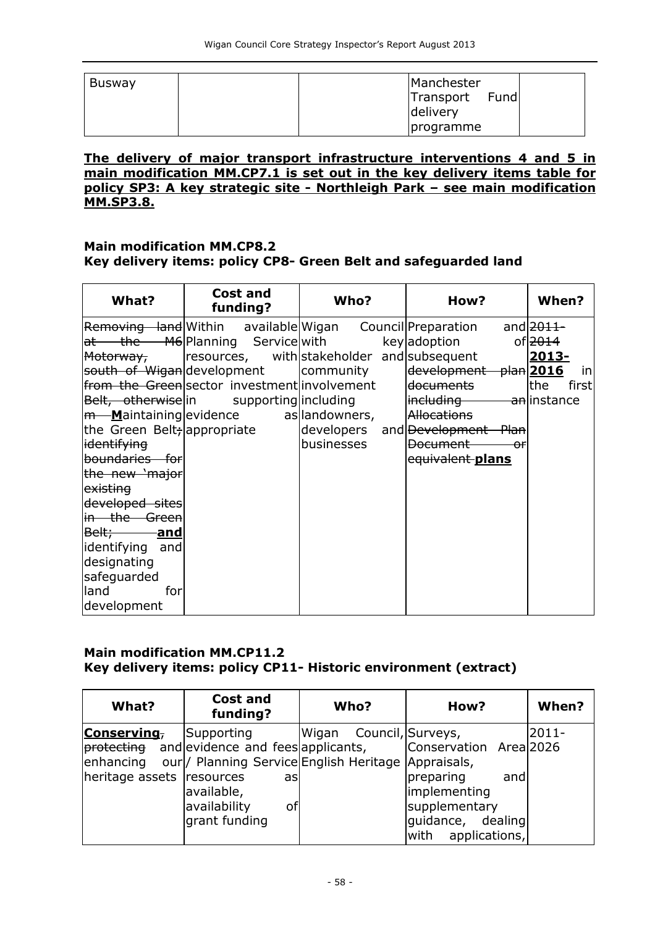| <b>Busway</b> | Manchester                    |
|---------------|-------------------------------|
|               | Fund<br>Transport<br>delivery |
|               | <i>programme</i>              |

#### **The delivery of major transport infrastructure interventions 4 and 5 in main modification MM.CP7.1 is set out in the key delivery items table for policy SP3: A key strategic site - Northleigh Park – see main modification MM.SP3.8.**

## **Main modification MM.CP8.2**

### **Key delivery items: policy CP8- Green Belt and safeguarded land**

| What?                       | <b>Cost and</b><br>funding?                       | Who?       | How?                                                              | When?               |
|-----------------------------|---------------------------------------------------|------------|-------------------------------------------------------------------|---------------------|
|                             |                                                   |            | Removing land Within available Wigan Council Preparation and 2011 |                     |
|                             | at the M6 Planning Service with                   |            | key adoption<br>of <del>2014</del>                                |                     |
| Motorway,                   | resources, with stakeholder and subsequent        |            |                                                                   | 2013-               |
|                             | south of Wigan development                        | community  | development plan 2016                                             | in                  |
|                             | from the Green sector investment involvement      |            | l <del>documents</del>                                            | <b>the</b><br>first |
|                             | Belt, otherwise in supporting including           |            | <i>including</i> an instance                                      |                     |
|                             | <del>m M</del> aintaining evidence as landowners, |            | <b>Allocations</b>                                                |                     |
| the Green Belt; appropriate |                                                   |            | developers and Development Plan                                   |                     |
| i <del>dentifying</del>     |                                                   | businesses | <b>Document</b><br>$-0f$                                          |                     |
| boundaries for              |                                                   |            | equivalent plans                                                  |                     |
| the new 'major              |                                                   |            |                                                                   |                     |
| existing                    |                                                   |            |                                                                   |                     |
| developed sites             |                                                   |            |                                                                   |                     |
| in the Green                |                                                   |            |                                                                   |                     |
| Belt; and                   |                                                   |            |                                                                   |                     |
| identifying and             |                                                   |            |                                                                   |                     |
| designating                 |                                                   |            |                                                                   |                     |
| safeguarded                 |                                                   |            |                                                                   |                     |
| land<br>forl                |                                                   |            |                                                                   |                     |
| development                 |                                                   |            |                                                                   |                     |

### **Main modification MM.CP11.2 Key delivery items: policy CP11- Historic environment (extract)**

| What?                                   | <b>Cost and</b><br>funding?                                                                                                                            | Who?  | How?                                                                        | When? |
|-----------------------------------------|--------------------------------------------------------------------------------------------------------------------------------------------------------|-------|-----------------------------------------------------------------------------|-------|
| Conserving,                             | Supporting                                                                                                                                             | Wigan | Council, Surveys,                                                           | 2011- |
| lenhancing<br>heritage assets resources | <i>protecting</i> and evidence and fees applicants,<br>our / Planning Service English Heritage  Appraisals,<br>asl<br>available,<br>availability<br>οf |       | Conservation Area 2026<br>preparing<br>and<br>implementing<br>supplementary |       |
|                                         | grant funding                                                                                                                                          |       | quidance, dealing<br>with applications,                                     |       |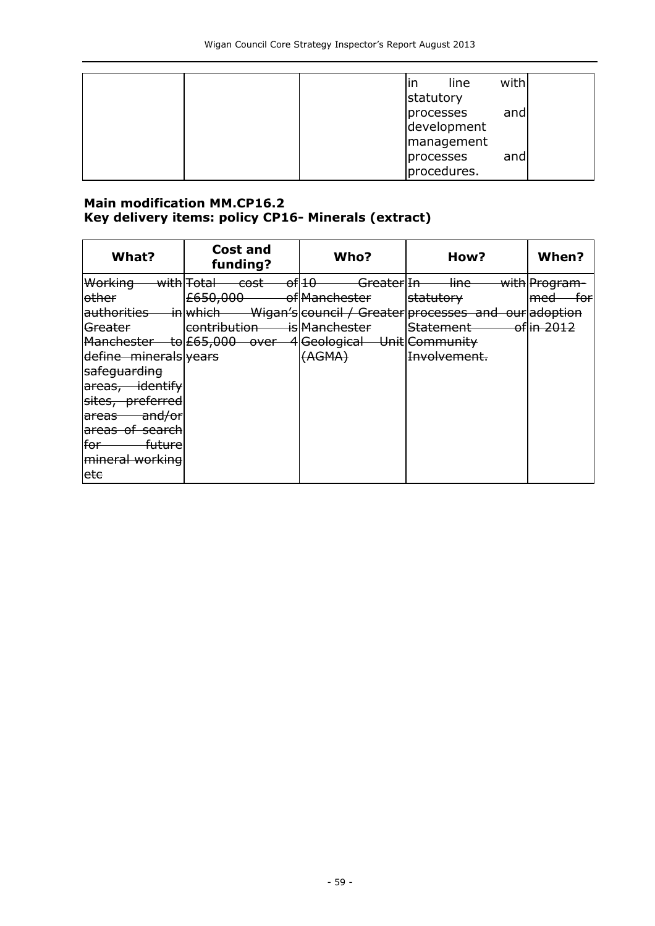| with<br>line<br>lın<br>statutory              |
|-----------------------------------------------|
| processes<br>and<br>development<br>management |
| processes<br>and<br>procedures.               |

### **Main modification MM.CP16.2 Key delivery items: policy CP16- Minerals (extract)**

| What?                            | <b>Cost and</b><br>funding? | Who?                                                            | How?                                                                      | When?                               |
|----------------------------------|-----------------------------|-----------------------------------------------------------------|---------------------------------------------------------------------------|-------------------------------------|
| Working<br><del>with</del> Fotal | <del>cost -</del>           | $\rightarrow$ of $ 10-$<br><del>- Greater</del>   <del>In</del> | <del>line –</del>                                                         | <del>- with</del>  Program          |
| other                            | £650,000                    | of Manchester                                                   | statutory                                                                 | <del>-for</del><br>l <del>med</del> |
|                                  |                             |                                                                 | authorities in which Wigan's council / Greater processes and our adoption |                                     |
| Greater                          | lcontribution is Manchester |                                                                 | Statement of in 2012                                                      |                                     |
|                                  |                             | Manchester to £65,000 over 4 Geological Unit Community          |                                                                           |                                     |
| define minerals years            |                             | (AGMA)                                                          | <b>Involvement.</b>                                                       |                                     |
| safequarding                     |                             |                                                                 |                                                                           |                                     |
| areas, identify                  |                             |                                                                 |                                                                           |                                     |
| sites, preferred                 |                             |                                                                 |                                                                           |                                     |
| areas and/or                     |                             |                                                                 |                                                                           |                                     |
| areas of search                  |                             |                                                                 |                                                                           |                                     |
| for<br><del>future</del>         |                             |                                                                 |                                                                           |                                     |
| mineral working                  |                             |                                                                 |                                                                           |                                     |
| ete                              |                             |                                                                 |                                                                           |                                     |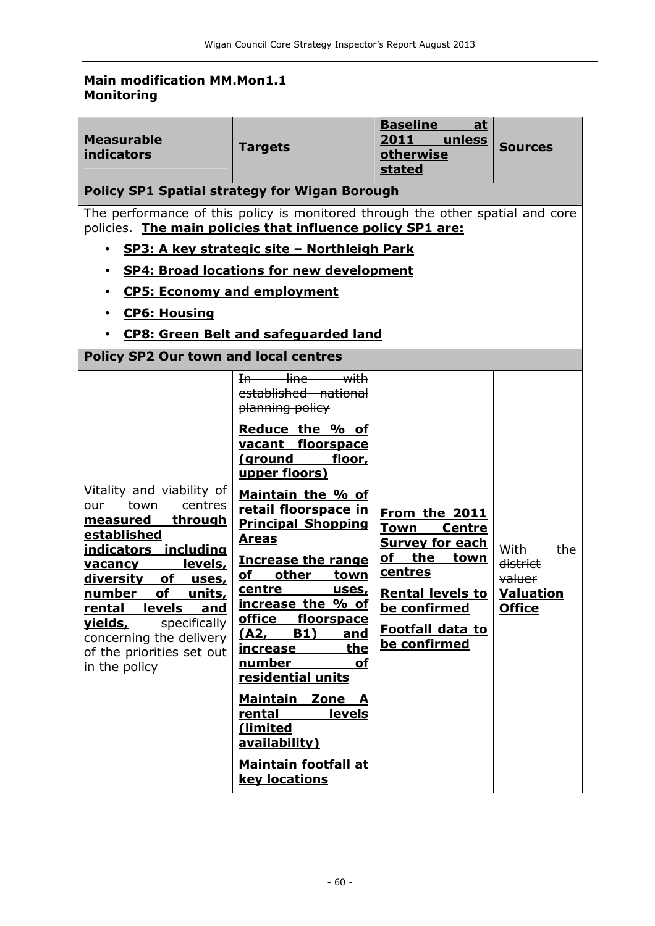## **Main modification MM.Mon1.1 Monitoring**

| <b>Measurable</b><br><b>indicators</b>                                                                                                                                                                                                                                                                                                                                                                                               | <b>Targets</b>                                                                                                                                                                                                                                                                                                                                                                                                                                                                                                                                                                                                                    | <b>Baseline</b><br>at<br>2011<br>unless<br>otherwise<br>stated                                                                                                                           | <b>Sources</b>                                                         |  |
|--------------------------------------------------------------------------------------------------------------------------------------------------------------------------------------------------------------------------------------------------------------------------------------------------------------------------------------------------------------------------------------------------------------------------------------|-----------------------------------------------------------------------------------------------------------------------------------------------------------------------------------------------------------------------------------------------------------------------------------------------------------------------------------------------------------------------------------------------------------------------------------------------------------------------------------------------------------------------------------------------------------------------------------------------------------------------------------|------------------------------------------------------------------------------------------------------------------------------------------------------------------------------------------|------------------------------------------------------------------------|--|
| <b>Policy SP1 Spatial strategy for Wigan Borough</b>                                                                                                                                                                                                                                                                                                                                                                                 |                                                                                                                                                                                                                                                                                                                                                                                                                                                                                                                                                                                                                                   |                                                                                                                                                                                          |                                                                        |  |
| The performance of this policy is monitored through the other spatial and core<br>policies. The main policies that influence policy SP1 are:<br>SP3: A key strategic site - Northleigh Park<br>$\bullet$<br><b>SP4: Broad locations for new development</b><br>$\bullet$<br><b>CP5: Economy and employment</b><br><b>CP6: Housing</b><br><b>CP8: Green Belt and safeguarded land</b><br><b>Policy SP2 Our town and local centres</b> |                                                                                                                                                                                                                                                                                                                                                                                                                                                                                                                                                                                                                                   |                                                                                                                                                                                          |                                                                        |  |
| Vitality and viability of<br>town<br>centres<br>our<br><u>through</u><br>measured<br>established<br>indicators including<br>levels,<br><u>vacancy</u><br><u>diversity of </u><br>uses,<br>number of<br><u>units,</u><br>rental levels and<br>specifically<br><u>vields,</u><br>concerning the delivery<br>of the priorities set out<br>in the policy                                                                                 | In line with<br>established national<br>planning policy<br>Reduce the % of<br>vacant floorspace<br><u>(ground</u><br>floor,<br>upper floors)<br>Maintain the % of<br>retail floorspace in<br><b>Principal Shopping</b><br><b>Areas</b><br><b>Increase the range</b><br>$\mathbf{p}$<br>other<br><b>town</b><br>centre<br><u>uses,</u><br>increase the % of<br>office<br>floorspace<br><b>B1)</b><br>(A2,<br><u>and</u><br>the<br><u>increase</u><br>number<br><b>of</b><br>residential units<br><b>Maintain</b><br>Zone A<br><u>levels</u><br>rental<br>(limited<br>availability)<br><b>Maintain footfall at</b><br>key locations | From the 2011<br><b>Town Centre</b><br><b>Survey for each</b><br><u>of the </u><br>town<br>centres<br><b>Rental levels to</b><br>be confirmed<br><b>Footfall data to</b><br>be confirmed | With<br>the<br>district<br>valuer<br><b>Valuation</b><br><b>Office</b> |  |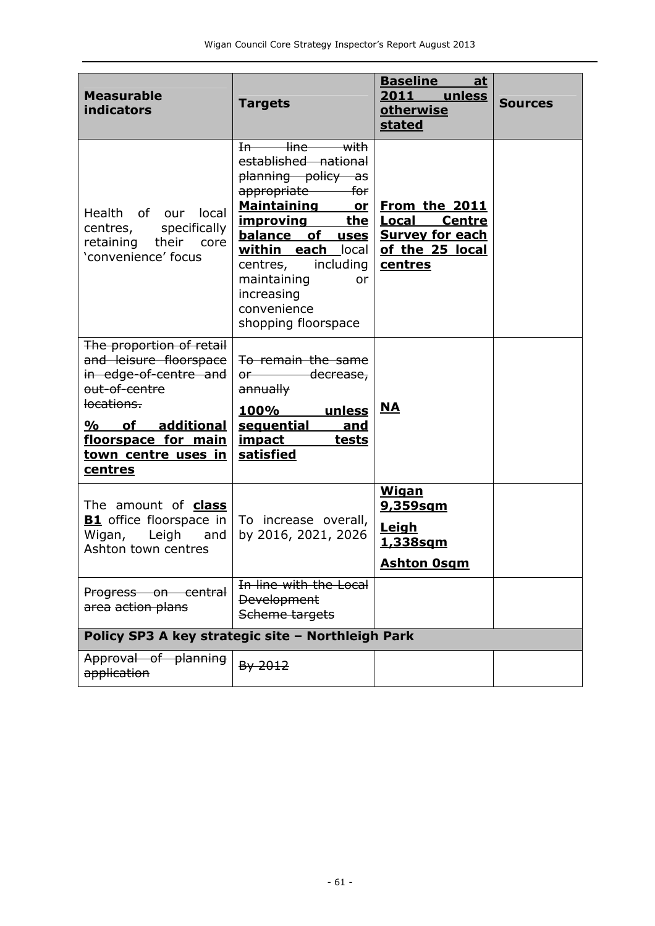| <b>Measurable</b><br><b>indicators</b>                                                                                                                                                    | <b>Targets</b>                                                                                                                                                                                                                                                                                                 | <b>Baseline</b><br><u>at</u><br>2011 unless<br>otherwise<br>stated                                     | <b>Sources</b> |
|-------------------------------------------------------------------------------------------------------------------------------------------------------------------------------------------|----------------------------------------------------------------------------------------------------------------------------------------------------------------------------------------------------------------------------------------------------------------------------------------------------------------|--------------------------------------------------------------------------------------------------------|----------------|
| Health of our local<br>specifically<br>centres,<br>retaining their<br>core<br>'convenience' focus                                                                                         | In line with<br>established national<br>planning policy as<br>appropriate —<br>for<br><b>Maintaining</b><br><u>or</u><br><u>the</u><br><u>improving</u><br>balance of uses<br>within each local<br>including<br>centre <del>s</del> ,<br>maintaining<br>or<br>increasing<br>convenience<br>shopping floorspace | From the 2011<br><u>Local</u><br><b>Centre</b><br><b>Survey for each</b><br>of the 25 local<br>centres |                |
| The proportion of retail<br>and leisure floorspace<br>in edge-of-centre and<br>out-of-centre<br>locations.<br>%<br>of additional<br>floorspace for main<br>town centre uses in<br>centres | To remain the same<br>or decrease,<br>annually<br>100%<br>unless<br>sequential<br>and<br><u>impact</u><br>tests<br><b>satisfied</b>                                                                                                                                                                            | $NA$                                                                                                   |                |
| The amount of <b>class</b><br><b>B1</b> office floorspace in<br>Wigan,<br>Leigh<br>and<br>Ashton town centres                                                                             | To increase overall,<br>by 2016, 2021, 2026                                                                                                                                                                                                                                                                    | <b>Wigan</b><br><u>9,359sqm</u><br>Leigh<br><u>1,338sqm</u><br><b>Ashton Osgm</b>                      |                |
| Progress on central<br>area action plans                                                                                                                                                  | In line with the Local<br><b>Development</b><br>Scheme targets                                                                                                                                                                                                                                                 |                                                                                                        |                |
| Policy SP3 A key strategic site - Northleigh Park                                                                                                                                         |                                                                                                                                                                                                                                                                                                                |                                                                                                        |                |
| Approval of planning<br>application                                                                                                                                                       | By 2012                                                                                                                                                                                                                                                                                                        |                                                                                                        |                |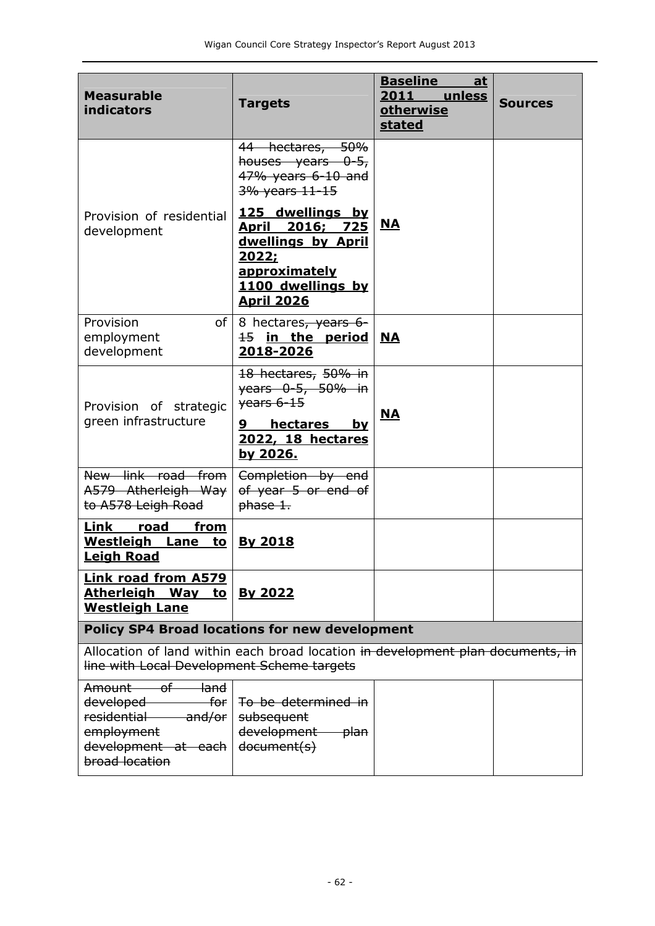| <b>Measurable</b><br><b>indicators</b>                                                                                                              | <b>Targets</b>                                                                                                                             | <b>Baseline</b><br><u>at</u><br>2011 unless<br>otherwise<br>stated | <b>Sources</b> |  |
|-----------------------------------------------------------------------------------------------------------------------------------------------------|--------------------------------------------------------------------------------------------------------------------------------------------|--------------------------------------------------------------------|----------------|--|
|                                                                                                                                                     | 44 hectares, 50%<br>houses years $0-5$<br>47% years 6-10 and<br>3% years 11-15                                                             |                                                                    |                |  |
| Provision of residential<br>development                                                                                                             | 125 dwellings by<br>April 2016; 725<br>dwellings by April<br><u> 2022;</u><br>approximately                                                | <u>NA</u>                                                          |                |  |
|                                                                                                                                                     | 1100 dwellings by<br><b>April 2026</b>                                                                                                     |                                                                    |                |  |
| Provision<br>of I<br>employment<br>development                                                                                                      | 8 hectares, years 6-<br>$\frac{15}{15}$ in the period<br>2018-2026                                                                         | <b>NA</b>                                                          |                |  |
| Provision of strategic<br>green infrastructure                                                                                                      | 18 hectares, 50% in<br><del>years 0-5, 50% in</del><br>$\frac{26456-15}{x}$<br>hectares<br>9<br>by<br><b>2022, 18 hectares</b><br>by 2026. | <b>NA</b>                                                          |                |  |
| New link road from<br>A579 Atherleigh Way<br>to A578 Leigh Road                                                                                     | Completion by end<br>of year 5 or end of<br>phase 1.                                                                                       |                                                                    |                |  |
| Link<br>road<br>fr <u>om</u><br>Westleigh Lane to<br><b>Leigh Road</b>                                                                              | <b>By 2018</b>                                                                                                                             |                                                                    |                |  |
| <b>Link road from A579</b><br>Atherleigh Way to<br><b>Westleigh Lane</b>                                                                            | By 2022                                                                                                                                    |                                                                    |                |  |
| <b>Policy SP4 Broad locations for new development</b>                                                                                               |                                                                                                                                            |                                                                    |                |  |
| Allocation of land within each broad location in development plan documents, in<br>line with Local Development Scheme targets                       |                                                                                                                                            |                                                                    |                |  |
| Amount of<br><del>-land</del><br>developed ______<br><del>-for</del> l<br>residential and/or<br>employment<br>development at each<br>broad location | To be determined in<br>subsequent<br>development plan<br>document(s)                                                                       |                                                                    |                |  |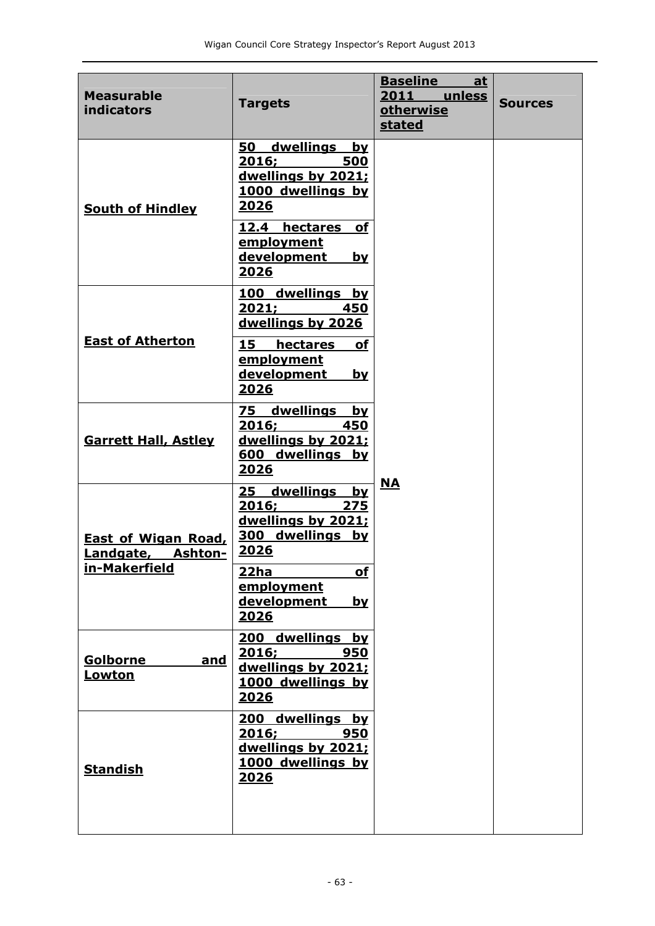| <b>Measurable</b><br><b>indicators</b>          | <b>Targets</b>                                                                                         | <b>Baseline</b><br><u>at</u><br>2011<br>unless<br><b>otherwise</b><br><b>stated</b> | <b>Sources</b> |
|-------------------------------------------------|--------------------------------------------------------------------------------------------------------|-------------------------------------------------------------------------------------|----------------|
| <b>South of Hindley</b>                         | dwellings by<br>50<br>2016;<br>500<br>dwellings by 2021;<br>1000 dwellings by<br>2026                  |                                                                                     |                |
|                                                 | 12.4<br>hectares<br><b>of</b><br>employment<br>development<br>by<br><u> 2026</u>                       |                                                                                     |                |
|                                                 | 100 dwellings by<br>2021;<br>450<br>dwellings by 2026                                                  |                                                                                     |                |
| <b>East of Atherton</b>                         | 15<br><b>hectares</b><br>of<br>employment<br>development<br><u>by</u><br>2026                          |                                                                                     |                |
| <b>Garrett Hall, Astley</b>                     | 75 dwellings by<br>2016;<br><b>450</b><br>dwellings by 2021;<br>dwellings by<br>600<br>2026            |                                                                                     |                |
| <b>East of Wigan Road,</b><br>Landgate, Ashton- | dwellings<br>25<br><u>bv</u><br>2016;<br>275<br>dwellings by 2021;<br>300 dwellings by<br><u> 2026</u> | <u>NA</u>                                                                           |                |
| in-Makerfield                                   | 22ha<br>of<br>employment<br>development<br><u>bv</u><br>2026                                           |                                                                                     |                |
| <b>Golborne</b><br><u>and</u><br><u>Lowton</u>  | 200 dwellings by<br>2016;<br>950<br>dwellings by 2021;<br>1000 dwellings by<br>2026                    |                                                                                     |                |
| <b>Standish</b>                                 | dwellings by<br>200<br>950<br>2016;<br>dwellings by 2021;<br>1000 dwellings by<br><u> 2026 </u>        |                                                                                     |                |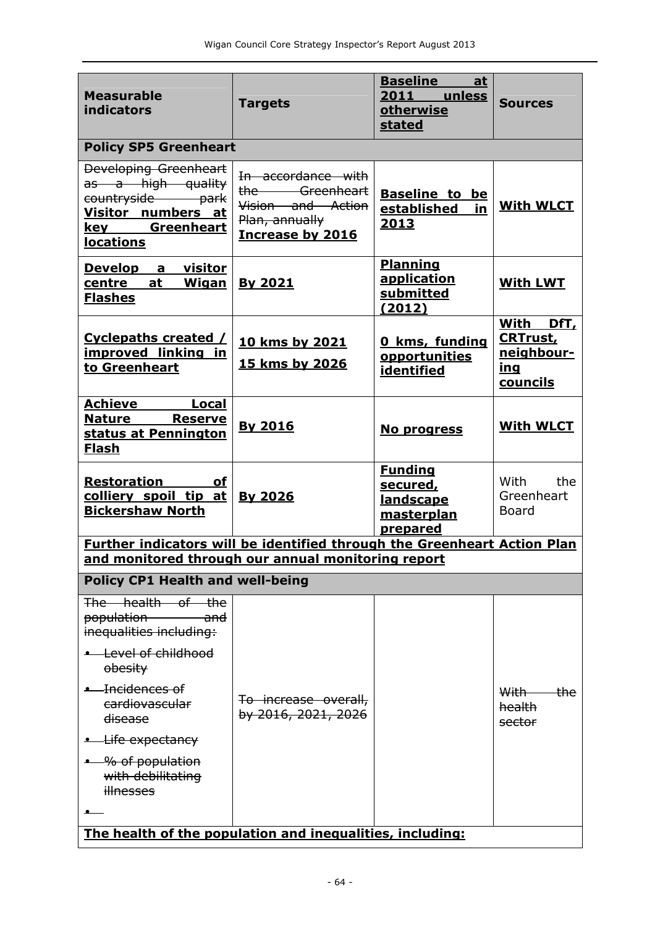| <b>Measurable</b><br><b>indicators</b>                                                                                                                                                                                                                                 | <b>Targets</b>                                                                                         | <b>Baseline</b><br>at<br>2011 unless<br>otherwise<br><b>stated</b>              | <b>Sources</b>                                                       |  |  |
|------------------------------------------------------------------------------------------------------------------------------------------------------------------------------------------------------------------------------------------------------------------------|--------------------------------------------------------------------------------------------------------|---------------------------------------------------------------------------------|----------------------------------------------------------------------|--|--|
| <b>Policy SP5 Greenheart</b>                                                                                                                                                                                                                                           |                                                                                                        |                                                                                 |                                                                      |  |  |
| <b>Developing Greenheart</b><br>as a high quality<br>countryside park<br>Visitor numbers at<br>key Greenheart<br><b>locations</b>                                                                                                                                      | In accordance with<br>the Greenheart<br>Vision and Action<br>Plan, annually<br><b>Increase by 2016</b> | <b>Baseline to be</b><br>established<br>in<br><u>2013</u>                       | <b>With WLCT</b>                                                     |  |  |
| Develop a visitor<br><u>centre at Wigan By 2021</u><br><b>Flashes</b>                                                                                                                                                                                                  |                                                                                                        | <b>Planning</b><br>application<br>submitted<br>(2012)                           | <b>With LWT</b>                                                      |  |  |
| Cyclepaths created /<br>improved linking in<br>to Greenheart                                                                                                                                                                                                           | 10 kms by 2021<br><b>15 kms by 2026</b>                                                                | 0 kms, funding<br>opportunities<br>identified                                   | With DfT,<br><b>CRTrust,</b><br>neighbour-<br><u>ing</u><br>councils |  |  |
| <b>Achieve</b><br>Local<br><b>Nature Reserve</b><br>status at Pennington<br><u>Flash</u>                                                                                                                                                                               | <b>By 2016</b>                                                                                         | No progress                                                                     | <b>With WLCT</b>                                                     |  |  |
| <b>Restoration</b> of<br>colliery spoil tip at<br><b>Bickershaw North</b>                                                                                                                                                                                              | <b>By 2026</b>                                                                                         | <b>Funding</b><br><u>secured,</u><br><b>landscape</b><br>masterplan<br>prepared | With<br>the<br>Greenheart<br><b>Board</b>                            |  |  |
| Further indicators will be identified through the Greenheart Action Plan<br>and monitored through our annual monitoring report                                                                                                                                         |                                                                                                        |                                                                                 |                                                                      |  |  |
| <b>Policy CP1 Health and well-being</b>                                                                                                                                                                                                                                |                                                                                                        |                                                                                 |                                                                      |  |  |
| The health of the<br>population<br><del>and</del><br>inequalities including:<br>Level of childhood<br>obesity<br>• Incidences of<br>cardiovascular<br><del>disease</del><br><del>- Life expectancy</del><br>• % of population<br>with debilitating<br><b>illnesses</b> | To increase overall,<br>by 2016, 2021, 2026                                                            |                                                                                 | With -<br><del>-the</del><br>health<br>sector                        |  |  |
| The health of the population and inequalities, including:                                                                                                                                                                                                              |                                                                                                        |                                                                                 |                                                                      |  |  |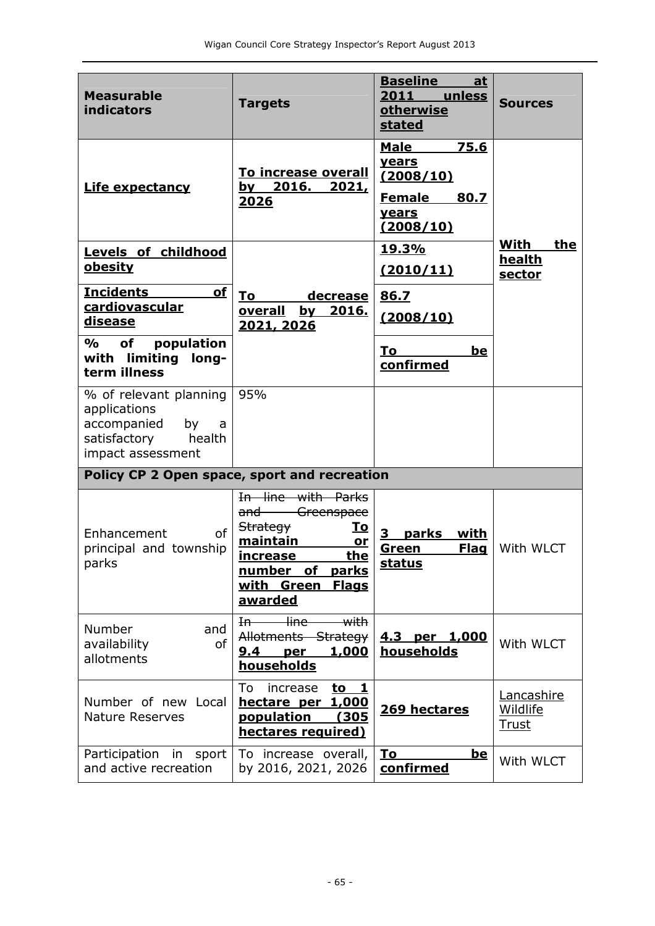| <b>Measurable</b><br><b>indicators</b>                                                                          | <b>Targets</b>                                                                                                                                                                      | <b>Baseline</b><br>at<br>2011<br>unless<br><b>otherwise</b><br>stated                           | <b>Sources</b>                  |
|-----------------------------------------------------------------------------------------------------------------|-------------------------------------------------------------------------------------------------------------------------------------------------------------------------------------|-------------------------------------------------------------------------------------------------|---------------------------------|
| <b>Life expectancy</b>                                                                                          | <b>To increase overall</b><br><u>by 2016.</u><br><u>2021,</u><br>2026                                                                                                               | 75.6<br><b>Male</b><br>years<br>(2008/10)<br><b>Female</b><br>80.7<br><b>years</b><br>(2008/10) |                                 |
| Levels of childhood<br><u>obesity</u>                                                                           |                                                                                                                                                                                     | 19.3%<br>(2010/11)                                                                              | With<br>the<br>health<br>sector |
| <b>Incidents</b><br>of<br>cardiovascular<br>disease                                                             | decrease<br>To<br>overall<br>by 2016.<br>2021, 2026                                                                                                                                 | 86.7<br>(2008/10)                                                                               |                                 |
| $\frac{0}{0}$<br>population<br>of<br>with limiting long-<br>term illness                                        |                                                                                                                                                                                     | be<br>To<br>confirmed                                                                           |                                 |
| % of relevant planning<br>applications<br>accompanied<br>by<br>a<br>satisfactory<br>health<br>impact assessment | 95%                                                                                                                                                                                 |                                                                                                 |                                 |
| Policy CP 2 Open space, sport and recreation                                                                    |                                                                                                                                                                                     |                                                                                                 |                                 |
| Enhancement<br>0f<br>principal and township<br>parks                                                            | In line with Parks<br>and Greenspace<br><b>Strategy</b><br><u>To</u><br>maintain<br>or<br>the<br><u>increase</u><br>number of parks<br>with Green<br><b>Flags</b><br><u>awarded</u> | parks<br>with<br>3<br><b>Flag</b><br><u>Green</u><br>status                                     | With WLCT                       |
| Number<br>and<br>of<br>availability<br>allotments                                                               | <del>line</del><br>$\overline{\mathsf{with}}$<br>H <sub>0</sub><br>Allotments Strategy<br>9.4<br><u>1,000</u><br>per<br><b>households</b>                                           | <u>4.3 per 1,000</u><br>households                                                              | With WLCT                       |
| Number of new Local<br><b>Nature Reserves</b>                                                                   | To<br>increase<br>to $1$<br><u>1,000</u><br>hectare per<br><b>population</b><br>(305<br>hectares required)                                                                          | 269 hectares                                                                                    | Lancashire<br>Wildlife<br>Trust |
| Participation in sport<br>and active recreation                                                                 | To increase overall,<br>by 2016, 2021, 2026                                                                                                                                         | To<br><u>be</u><br>confirmed                                                                    | With WLCT                       |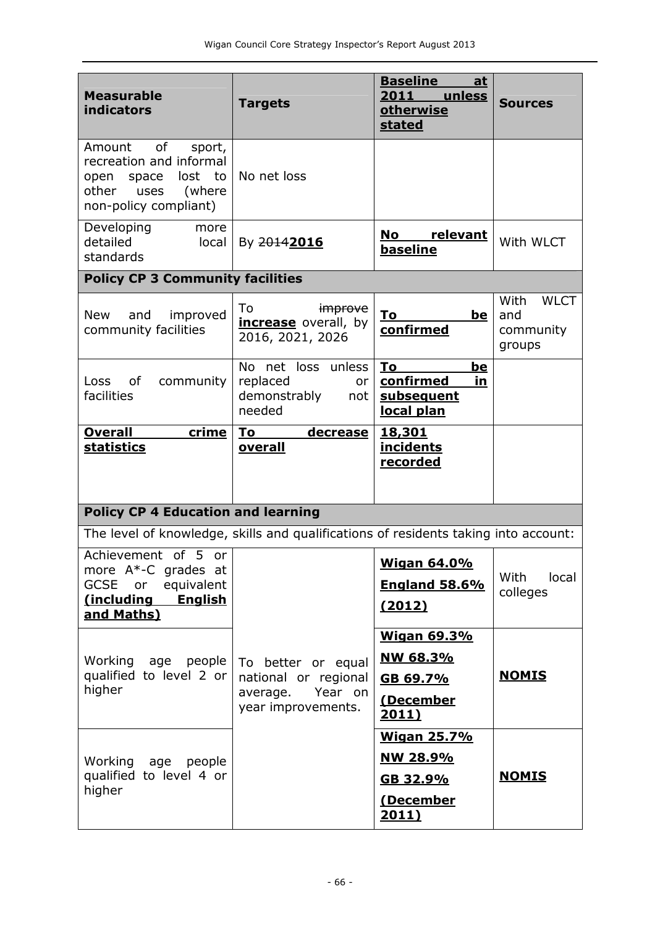| <b>Measurable</b><br><b>indicators</b>                                                                                            | <b>Targets</b>                                                                          | <b>Sources</b>                                                          |                                                   |
|-----------------------------------------------------------------------------------------------------------------------------------|-----------------------------------------------------------------------------------------|-------------------------------------------------------------------------|---------------------------------------------------|
| of<br>Amount<br>sport,<br>recreation and informal<br>lost<br>open space<br>to<br>other<br>uses<br>(where<br>non-policy compliant) | No net loss                                                                             |                                                                         |                                                   |
| Developing<br>more<br>detailed<br>local<br>standards                                                                              | By 20142016                                                                             | No<br>relevant<br>baseline                                              | With WLCT                                         |
| <b>Policy CP 3 Community facilities</b>                                                                                           |                                                                                         |                                                                         |                                                   |
| and<br>improved<br><b>New</b><br>community facilities                                                                             | To<br><i>improve</i><br>increase overall, by<br>2016, 2021, 2026                        | <u>To</u><br><u>be</u><br>confirmed                                     | With<br><b>WLCT</b><br>and<br>community<br>groups |
| of<br>community<br>Loss<br>facilities                                                                                             | No net loss unless<br>replaced<br>or<br>demonstrably<br>not<br>needed                   | To<br>be<br>confirmed<br><u>in</u><br>subsequent<br>local plan          |                                                   |
| crime<br><b>Overall</b><br><b>statistics</b>                                                                                      | To<br><u>decrease</u><br>overall                                                        | 18,301<br><b>incidents</b><br>recorded                                  |                                                   |
| <b>Policy CP 4 Education and learning</b>                                                                                         |                                                                                         |                                                                         |                                                   |
| The level of knowledge, skills and qualifications of residents taking into account:                                               |                                                                                         |                                                                         |                                                   |
| Achievement of 5 or<br>more $A^*$ -C grades at<br>GCSE or<br>equivalent<br>(including<br><b>English</b><br>and Maths)             |                                                                                         | <b>Wigan 64.0%</b><br><b>England 58.6%</b><br>(2012)                    | With<br>local<br>colleges                         |
| Working<br>age people<br>qualified to level 2 or<br>higher                                                                        | To better or equal<br>national or regional<br>Year on<br>average.<br>year improvements. | <b>Wigan 69.3%</b><br><u>NW 68.3%</u><br>GB 69.7%<br>(December<br>2011) | <b>NOMIS</b>                                      |
| Working<br>age people<br>qualified to level 4 or<br>higher                                                                        |                                                                                         | <b>Wigan 25.7%</b><br><u>NW 28.9%</u><br>GB 32.9%<br>(December<br>2011) | <b>NOMIS</b>                                      |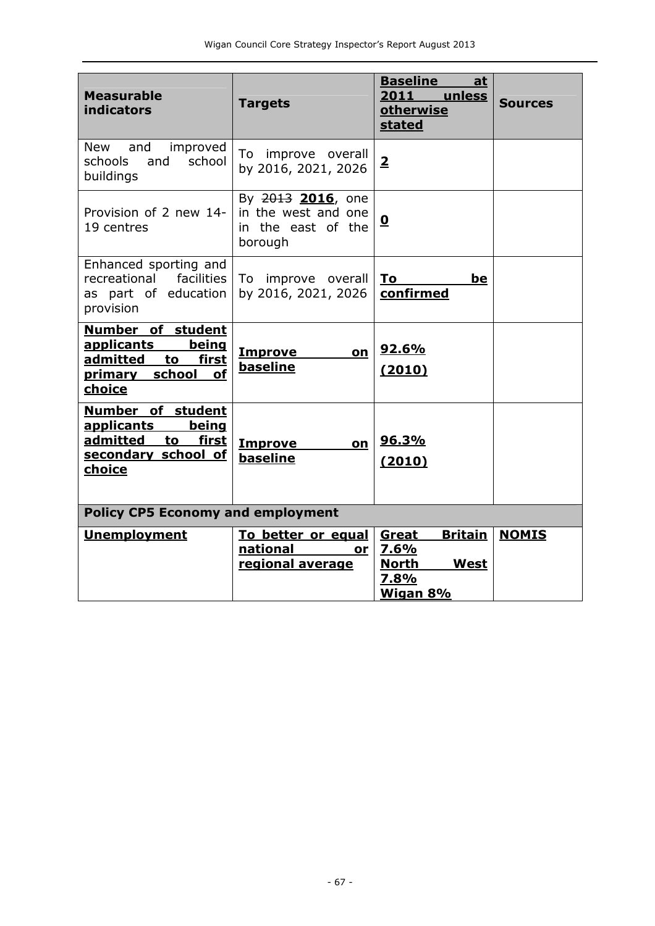| <b>Measurable</b><br><b>indicators</b>                                                                                 | <b>Targets</b>                                                            | <b>Baseline</b><br><u>at</u><br>2011 unless<br>otherwise<br>stated                 | <b>Sources</b> |  |  |
|------------------------------------------------------------------------------------------------------------------------|---------------------------------------------------------------------------|------------------------------------------------------------------------------------|----------------|--|--|
| <b>New</b><br>and<br>improved<br>school<br>schools<br>and<br>buildings                                                 | To improve overall<br>by 2016, 2021, 2026                                 | $\overline{2}$                                                                     |                |  |  |
| Provision of 2 new 14-<br>19 centres                                                                                   | By 2013 2016, one<br>in the west and one<br>in the east of the<br>borough | $\overline{\mathbf{0}}$                                                            |                |  |  |
| Enhanced sporting and<br>facilities  <br>recreational<br>as part of education<br>provision                             | To improve overall<br>by 2016, 2021, 2026                                 | To<br><u>be</u><br>confirmed                                                       |                |  |  |
| Number of student<br>being<br><b>applicants</b><br>admitted to first<br>primary school<br><b>of</b><br>choice          | <b>Improve</b><br>on<br>baseline                                          | 92.6%<br>(2010)                                                                    |                |  |  |
| Number of student<br><u>applicants</u><br>being<br>admitted to<br><u>first</u><br>secondary school of<br><b>choice</b> | <b>Improve</b><br>on<br>baseline                                          | <u>96.3%</u><br>(2010)                                                             |                |  |  |
| <b>Policy CP5 Economy and employment</b>                                                                               |                                                                           |                                                                                    |                |  |  |
| <b>Unemployment</b>                                                                                                    | To better or equal<br>national<br>or<br>regional average                  | <b>Britain</b><br>Great<br>7.6%<br><b>North</b><br><b>West</b><br>7.8%<br>Wigan 8% | <b>NOMIS</b>   |  |  |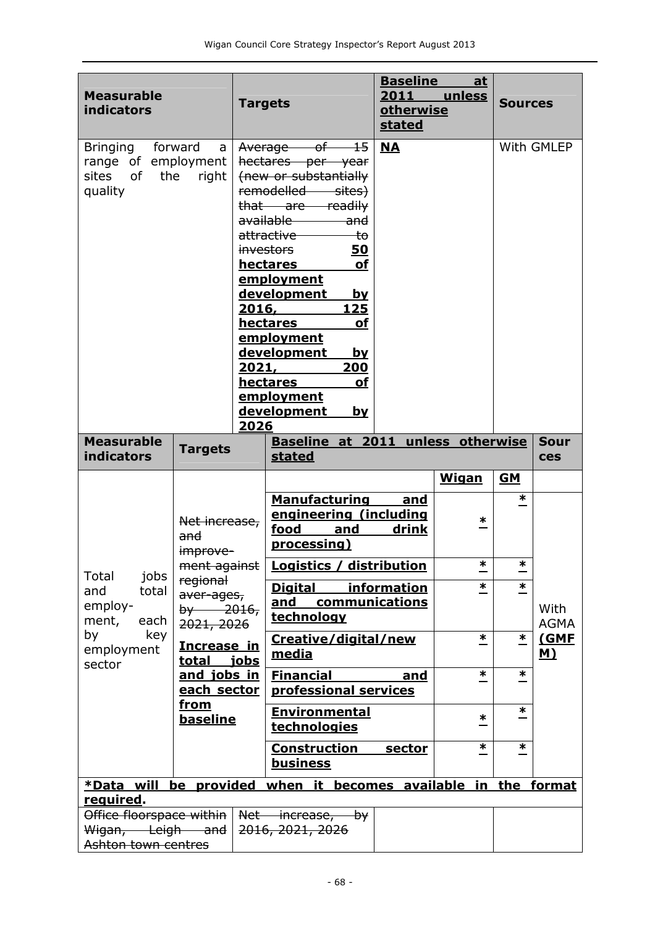| <b>Measurable</b><br><b>indicators</b>                                   |                                                     | <b>Targets</b>         |                                                                                                                                                                                                                                                                                                                                                                                                                         | <b>Baseline</b><br>2011<br>otherwise<br><b>stated</b> | <u>at</u><br>unless | <b>Sources</b>      |                           |
|--------------------------------------------------------------------------|-----------------------------------------------------|------------------------|-------------------------------------------------------------------------------------------------------------------------------------------------------------------------------------------------------------------------------------------------------------------------------------------------------------------------------------------------------------------------------------------------------------------------|-------------------------------------------------------|---------------------|---------------------|---------------------------|
| Bringing forward<br>range of employment<br>sites<br>0f<br>the<br>quality | a<br>right                                          | 2016,<br>2021,<br>2026 | Average of 15<br>hectares per year<br>(new or substantially<br>remodelled sites)<br>that are readily<br>available ———<br><del>and</del><br>attractive<br><del>to</del><br><i>investors</i><br>50<br><b>of</b><br>hectares<br><u>employment</u><br>development<br><u>by</u><br>125<br>hectares<br>οf<br>employment<br>development<br><u>by</u><br>200<br><b>hectares</b><br>οf<br>employment<br>development<br><u>by</u> | <b>NA</b>                                             |                     |                     | With GMLEP                |
| <b>Measurable</b><br><b>indicators</b>                                   | <b>Targets</b>                                      |                        | Baseline at 2011 unless otherwise<br>stated                                                                                                                                                                                                                                                                                                                                                                             |                                                       |                     |                     | <b>Sour</b><br><b>ces</b> |
|                                                                          | Net increase,<br>and                                |                        | <b>Manufacturing</b><br>engineering (including<br>food<br>and<br>processing)                                                                                                                                                                                                                                                                                                                                            | and<br>drink                                          | <b>Wigan</b><br>∗   | <b>GM</b><br>$\ast$ |                           |
|                                                                          | improve-<br>ment against                            |                        | Logistics / distribution                                                                                                                                                                                                                                                                                                                                                                                                |                                                       | $\ast$              | $\ast$              |                           |
| Total<br>jobs<br>total<br>and<br>employ-<br>ment,<br>each                | regional<br>aver-ages,<br>$by -2016,$<br>2021, 2026 |                        | <b>Digital</b><br>and<br>communications<br>technology                                                                                                                                                                                                                                                                                                                                                                   | information                                           | *                   | $\ast$              | With<br><b>AGMA</b>       |
| by<br>key<br>employment<br>sector                                        | Increase in<br>total jobs                           |                        | Creative/digital/new<br>media                                                                                                                                                                                                                                                                                                                                                                                           |                                                       | $\ast$              | $\ast$              | (GMF<br><u>M)</u>         |
|                                                                          | and jobs in<br>each sector                          |                        | <b>Financial</b><br>professional services                                                                                                                                                                                                                                                                                                                                                                               | and                                                   | $\ast$              | ∗                   |                           |
|                                                                          | <u>from</u><br><b>baseline</b>                      |                        | <b>Environmental</b><br>technologies                                                                                                                                                                                                                                                                                                                                                                                    |                                                       | ∗                   | $\ast$              |                           |
|                                                                          |                                                     |                        | <b>Construction</b><br>business                                                                                                                                                                                                                                                                                                                                                                                         | <u>sector</u>                                         | $\ast$              | $\ast$              |                           |
| *Data will                                                               | be provided                                         |                        | when it                                                                                                                                                                                                                                                                                                                                                                                                                 | becomes available in the format                       |                     |                     |                           |
| required.                                                                |                                                     |                        |                                                                                                                                                                                                                                                                                                                                                                                                                         |                                                       |                     |                     |                           |
| Office floorspace within  <br>Wigan, Leigh and<br>Ashton town centres    |                                                     |                        | Net increase, by<br>2016, 2021, 2026                                                                                                                                                                                                                                                                                                                                                                                    |                                                       |                     |                     |                           |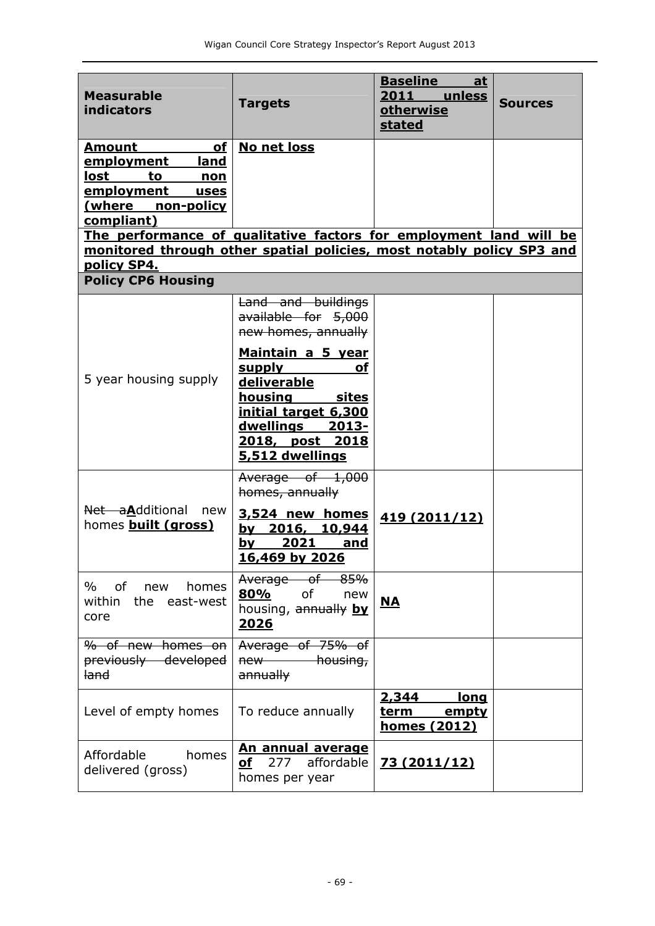| <b>Measurable</b><br>indicators                                                                                                                                         | <b>Targets</b>                                                                                                                                                              | <b>Baseline</b><br><u>at</u><br>2011<br>unless<br><b>otherwise</b><br>stated | <b>Sources</b> |
|-------------------------------------------------------------------------------------------------------------------------------------------------------------------------|-----------------------------------------------------------------------------------------------------------------------------------------------------------------------------|------------------------------------------------------------------------------|----------------|
| <b>Amount</b><br><u>of</u><br>land<br><u>employment</u><br>lost<br>to<br><u>non</u><br>employment<br><u>uses</u><br>(where non-policy<br>compliant)                     | No net loss                                                                                                                                                                 |                                                                              |                |
| The performance of qualitative factors for employment land will be<br>monitored through other spatial policies, most notably policy SP3 and<br>policy SP4.              |                                                                                                                                                                             |                                                                              |                |
| <b>Policy CP6 Housing</b>                                                                                                                                               |                                                                                                                                                                             |                                                                              |                |
|                                                                                                                                                                         | Land and buildings<br>available for 5,000<br>new homes, annually                                                                                                            |                                                                              |                |
| 5 year housing supply                                                                                                                                                   | Maintain a 5 year<br><b>supply</b><br>οf<br>deliverable<br>housing sites<br>initial target 6,300<br><u>dwellings</u><br><u> 2013-</u><br>2018, post 2018<br>5,512 dwellings |                                                                              |                |
| Net aAdditional new<br>homes <b>built (gross)</b>                                                                                                                       | Average of 1,000<br>homes, annually<br>3,524 new homes<br>by 2016, 10,944<br>2021<br>by<br>and<br>16,469 by 2026                                                            | 419 (2011/12)                                                                |                |
| %<br>of the contract of the contract of the contract of the contract of the contract of the contract of the contract<br>homes<br>new<br>within<br>the east-west<br>core | Average of 85%<br>80%<br>of<br>new<br>housing, annually by<br><u> 2026</u>                                                                                                  | <u>NA</u>                                                                    |                |
| % of new homes on<br>previously developed<br><del>land</del>                                                                                                            | Average of 75% of<br>new housing,<br>annually                                                                                                                               |                                                                              |                |
| Level of empty homes                                                                                                                                                    | To reduce annually                                                                                                                                                          | 2,344<br><u>long</u><br><u>term __</u><br>empty<br>homes (2012)              |                |
| Affordable<br>homes<br>delivered (gross)                                                                                                                                | <u>An annual average</u><br>affordable<br>of<br>277<br>homes per year                                                                                                       | <u>73 (2011/12)</u>                                                          |                |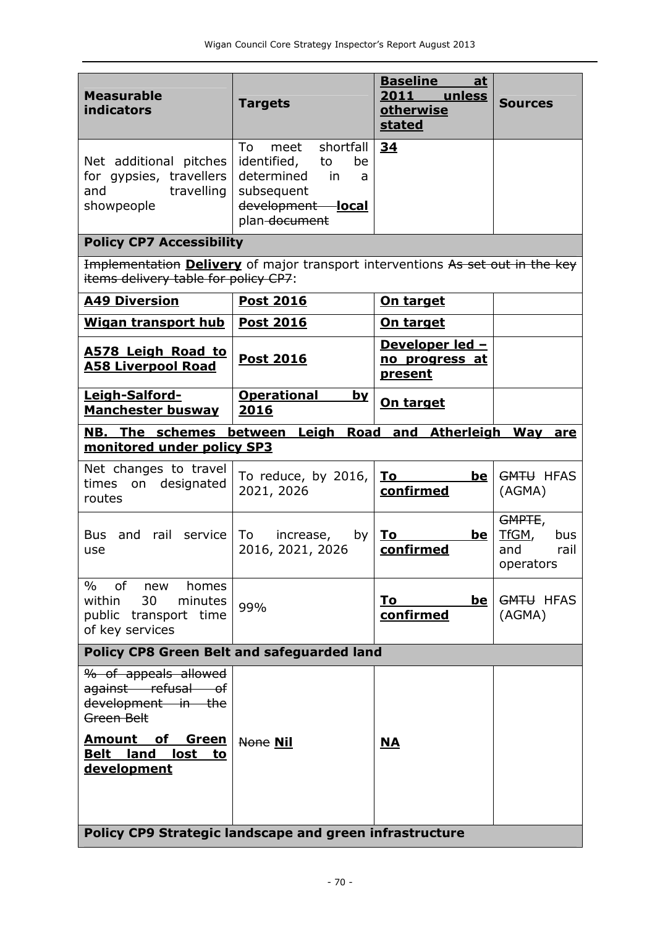| <b>Measurable</b><br><b>indicators</b>                                                                                        | <b>Targets</b>                                                                                                                  | <b>Baseline</b><br>at<br>2011<br>unless<br>otherwise<br><b>stated</b> | <b>Sources</b>                                     |
|-------------------------------------------------------------------------------------------------------------------------------|---------------------------------------------------------------------------------------------------------------------------------|-----------------------------------------------------------------------|----------------------------------------------------|
| Net additional pitches<br>for gypsies, travellers<br>travelling<br>and<br>showpeople                                          | shortfall<br>To<br>meet<br>identified,<br>to<br>be<br>determined<br>in<br>a<br>subsequent<br>development local<br>plan-document | 34                                                                    |                                                    |
| <b>Policy CP7 Accessibility</b>                                                                                               |                                                                                                                                 |                                                                       |                                                    |
| Implementation <b>Delivery</b> of major transport interventions As set out in the key<br>items delivery table for policy CP7: |                                                                                                                                 |                                                                       |                                                    |
| <b>A49 Diversion</b>                                                                                                          | <b>Post 2016</b>                                                                                                                | <b>On target</b>                                                      |                                                    |
| <b>Wigan transport hub</b>                                                                                                    | <b>Post 2016</b>                                                                                                                | On target                                                             |                                                    |
| <b>A578 Leigh Road to</b><br><b>A58 Liverpool Road</b>                                                                        | <b>Post 2016</b>                                                                                                                | Developer led -<br>no progress at<br><b>present</b>                   |                                                    |
| Leigh-Salford-<br><b>Manchester busway</b>                                                                                    | <b>Operational</b><br><b>by</b><br>2016                                                                                         | On target                                                             |                                                    |
| <b>NB. The schemes between Leigh</b><br>monitored under policy SP3                                                            |                                                                                                                                 | Road and Atherleigh Way                                               | are                                                |
|                                                                                                                               |                                                                                                                                 |                                                                       |                                                    |
| Net changes to travel<br>on designated<br>times<br>routes                                                                     | To reduce, by 2016,<br>2021, 2026                                                                                               | To<br>be<br>confirmed                                                 | <b>GMTU HFAS</b><br>(AGMA)                         |
| <b>Bus</b><br>and<br>rail<br>service<br>use                                                                                   | To<br>increase,<br>by<br>2016, 2021, 2026                                                                                       | <u>To</u><br><u>be</u><br>confirmed                                   | GMPTE,<br>TfGM,<br>bus<br>rail<br>and<br>operators |
| of new<br>$\%$<br>homes<br>within<br>30<br>minutes<br>public transport time<br>of key services                                | 99%                                                                                                                             | Τo<br><u>be</u><br>confirmed                                          | GMTU HFAS<br>(AGMA)                                |
| <b>Policy CP8 Green Belt and safeguarded land</b>                                                                             |                                                                                                                                 |                                                                       |                                                    |
| % of appeals allowed<br>against refusal of<br>development in the<br>Green Belt                                                |                                                                                                                                 |                                                                       |                                                    |
| <u>Amount of</u><br><u>Green</u><br><b>Belt land</b><br>lost to<br>development                                                | None Nil                                                                                                                        | M                                                                     |                                                    |
| Policy CP9 Strategic landscape and green infrastructure                                                                       |                                                                                                                                 |                                                                       |                                                    |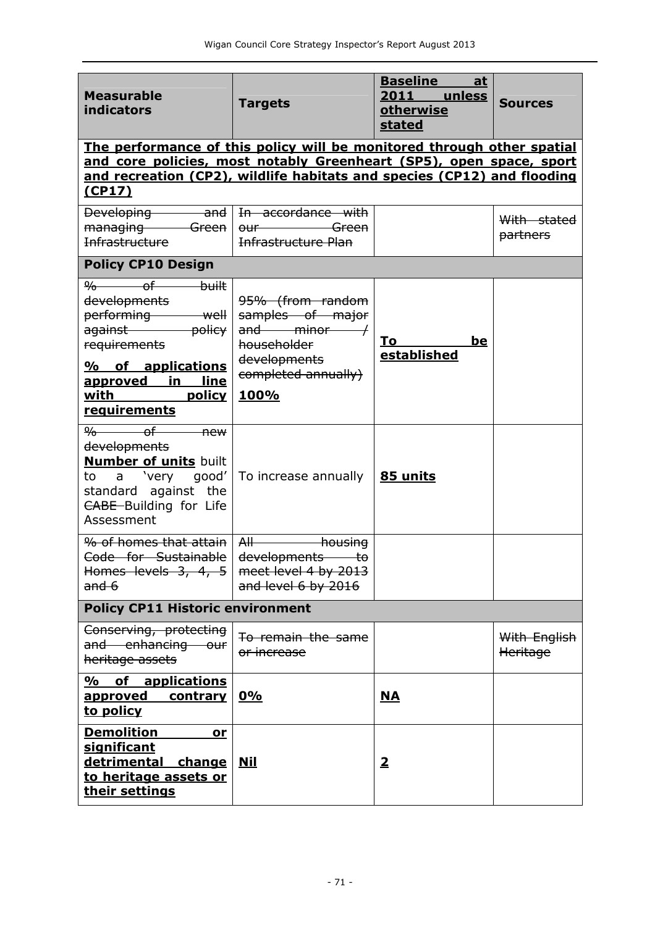| <b>Measurable</b><br>indicators                                                                                                                                                                                                    | <b>Targets</b>                                                                         | <b>Baseline</b><br>at<br>2011 unless<br><b>otherwise</b><br>stated | <b>Sources</b>           |  |
|------------------------------------------------------------------------------------------------------------------------------------------------------------------------------------------------------------------------------------|----------------------------------------------------------------------------------------|--------------------------------------------------------------------|--------------------------|--|
| The performance of this policy will be monitored through other spatial<br>and core policies, most notably Greenheart (SP5), open space, sport<br>and recreation (CP2), wildlife habitats and species (CP12) and flooding<br>(CP17) |                                                                                        |                                                                    |                          |  |
| Developing and In accordance with<br>managing Green<br>Infrastructure                                                                                                                                                              | <del>Green</del><br>$0$ ur<br>Infrastructure Plan                                      |                                                                    | With stated<br>partners  |  |
| <b>Policy CP10 Design</b>                                                                                                                                                                                                          |                                                                                        |                                                                    |                          |  |
| $\frac{9}{6}$ of<br><del>built</del><br><del>developments</del><br>performing well<br>against policy<br>requirements                                                                                                               | 95% (from random<br>samples of major<br>$and$ minor $/$<br>householder<br>developments | To<br>be<br>established                                            |                          |  |
| <u>% of applications</u><br>approved in line<br><u>with policy</u><br><u>requirements</u>                                                                                                                                          | completed annually)<br><u>100%</u>                                                     |                                                                    |                          |  |
| $\frac{\alpha}{\alpha}$ of new<br>developments<br><b>Number of units built</b><br>to a 'very good'<br>standard against the<br>CABE-Building for Life<br>Assessment                                                                 | To increase annually                                                                   | 85 units                                                           |                          |  |
| % of homes that attain I<br>Code for Sustainable<br>Homes levels 3, 4, 5 meet level 4 by 2013<br>and 6                                                                                                                             | $\mathsf{H}$<br>housing<br><del>developments</del><br>t٥<br>and level 6 by 2016        |                                                                    |                          |  |
| <b>Policy CP11 Historic environment</b>                                                                                                                                                                                            |                                                                                        |                                                                    |                          |  |
| Conserving, protecting<br>and enhancing our<br>heritage assets                                                                                                                                                                     | To remain the same<br>or increase                                                      |                                                                    | With English<br>Heritage |  |
| % of applications<br>approved<br><u>contrary</u><br>to policy                                                                                                                                                                      | 0%                                                                                     | <u>NA</u>                                                          |                          |  |
| <b>Demolition</b><br>or<br><u>significant</u><br>detrimental change<br>to heritage assets or<br>their settings                                                                                                                     | <u>Nil</u>                                                                             | $\overline{\mathbf{2}}$                                            |                          |  |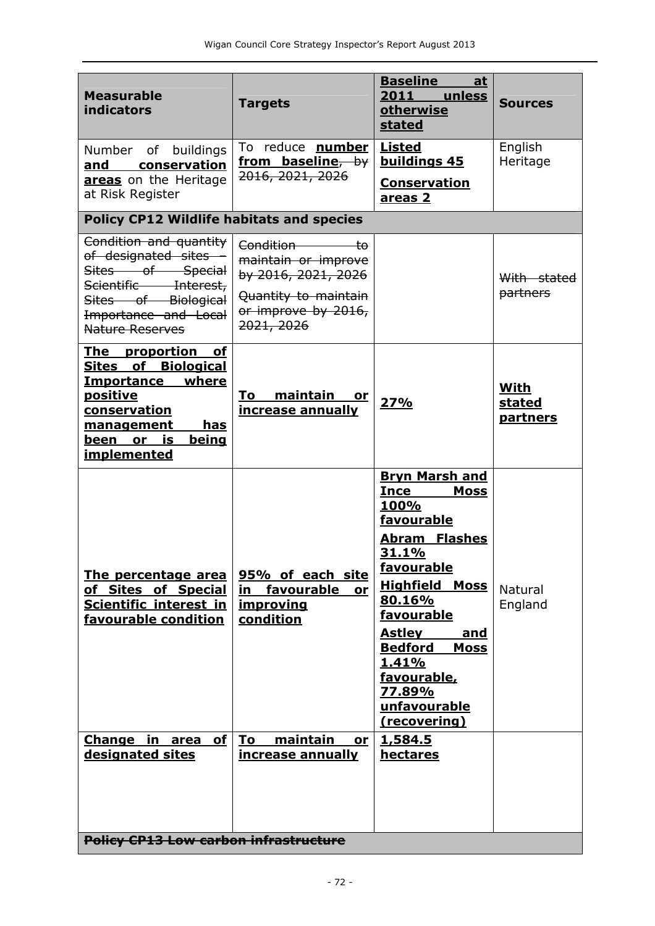| <b>Measurable</b><br>indicators                                                                                                                                                    | <b>Targets</b>                                                                                                          | <b>Baseline</b><br>at<br>2011 unless<br>otherwise<br>stated                                                                                                                                                                                                                                                               | <b>Sources</b>                    |  |
|------------------------------------------------------------------------------------------------------------------------------------------------------------------------------------|-------------------------------------------------------------------------------------------------------------------------|---------------------------------------------------------------------------------------------------------------------------------------------------------------------------------------------------------------------------------------------------------------------------------------------------------------------------|-----------------------------------|--|
| buildings<br>Number of<br>conservation<br>and<br>areas on the Heritage<br>at Risk Register                                                                                         | To reduce <b>number</b><br>from baseline, by<br>2016, 2021, 2026                                                        | <b>Listed</b><br>buildings 45<br><b>Conservation</b><br><u>areas 2</u>                                                                                                                                                                                                                                                    | English<br>Heritage               |  |
| <b>Policy CP12 Wildlife habitats and species</b>                                                                                                                                   |                                                                                                                         |                                                                                                                                                                                                                                                                                                                           |                                   |  |
| Condition and quantity<br>of designated sites -<br>Sites of Special<br>Scientific Interest,<br>Sites of Biological<br>Importance and Local<br><b>Nature Reserves</b>               | Condition to<br>maintain or improve<br>by 2016, 2021, 2026<br>Quantity to maintain<br>or improve by 2016,<br>2021, 2026 |                                                                                                                                                                                                                                                                                                                           | With stated<br>partners           |  |
| The proportion of<br><b>Sites of Biological</b><br>Importance where<br><u>positive</u><br>conservation<br>management<br>has<br>being<br>is<br><u>been or</u><br><u>implemented</u> | maintain<br>To<br>or<br>increase annually                                                                               | 27%                                                                                                                                                                                                                                                                                                                       | With<br>stated<br><b>partners</b> |  |
| The percentage area<br>of Sites of Special<br>Scientific interest in<br>favourable condition                                                                                       | 95% of each site<br>in<br>favourable<br>or<br><u>improving</u><br>condition                                             | <b>Bryn Marsh and</b><br><b>Ince</b><br><b>Moss</b><br>100%<br>favourable<br>Abram Flashes<br><u>31.1%</u><br>favourable<br><b>Highfield Moss</b><br>80.16%<br>favourable<br><b>Astley</b><br><u>and</u><br><b>Bedford</b><br><b>Moss</b><br><u>1.41%</u><br>favourable,<br>77.89%<br>unfavourable<br><u>(recovering)</u> | Natural<br>England                |  |
| Change in area<br>of <sub>l</sub><br>designated sites                                                                                                                              | maintain<br>To<br>or<br>increase annually                                                                               | 1,584.5<br><u>hectares</u>                                                                                                                                                                                                                                                                                                |                                   |  |
| <b>Policy CP13 Low carbon infrastructure</b>                                                                                                                                       |                                                                                                                         |                                                                                                                                                                                                                                                                                                                           |                                   |  |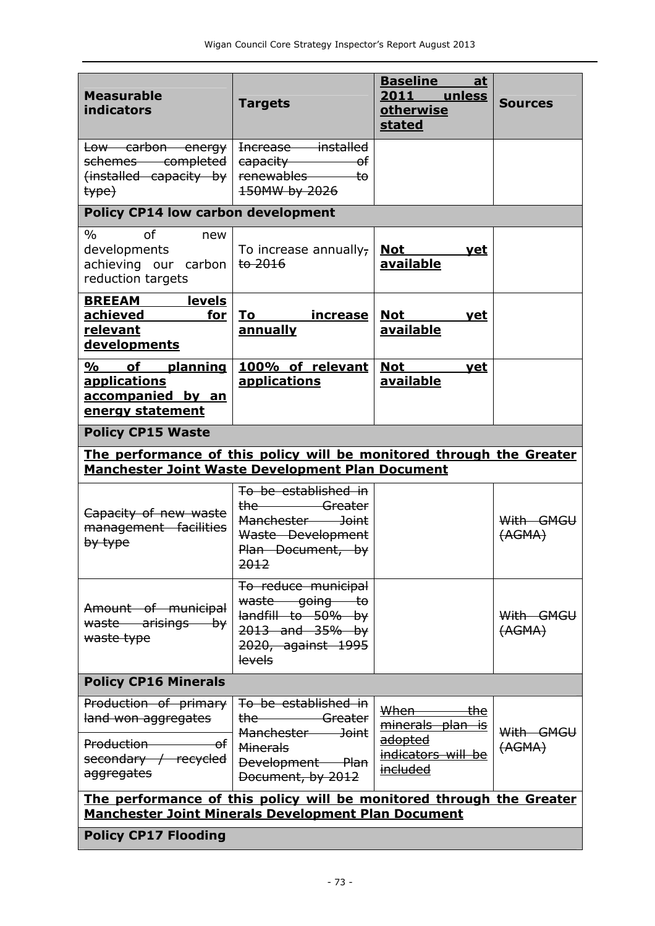| <b>Measurable</b><br>indicators                                                                                                 | <b>Targets</b>                                                                                                                        | <b>Baseline</b><br>at<br>2011 unless<br>otherwise<br><b>stated</b>                      | <b>Sources</b>      |  |
|---------------------------------------------------------------------------------------------------------------------------------|---------------------------------------------------------------------------------------------------------------------------------------|-----------------------------------------------------------------------------------------|---------------------|--|
| Low carbon energy<br>schemes completed                                                                                          | Increase installed<br>capacity <b>capacity</b><br><del>o</del> f                                                                      |                                                                                         |                     |  |
| (installed capacity by<br>type)                                                                                                 | renewables to<br>150MW by 2026                                                                                                        |                                                                                         |                     |  |
| <b>Policy CP14 low carbon development</b>                                                                                       |                                                                                                                                       |                                                                                         |                     |  |
| $\frac{0}{0}$<br>$\sigma$ f<br>new<br>developments<br>achieving our carbon<br>reduction targets                                 | To increase annually,<br>$t0$ 2016                                                                                                    | <u>Not</u><br><u>vet</u><br><b>available</b>                                            |                     |  |
| <u>____levels</u><br><b>BREEAM</b><br><u>achieved</u><br><u>for</u><br>relevant<br><b>developments</b>                          | increase<br>To<br>annually                                                                                                            | <b>Not</b><br><u>vet</u><br><b>available</b>                                            |                     |  |
| of planning<br>%<br><u>applications</u><br>accompanied by an<br><u>energy statement</u>                                         | 100% of relevant<br>applications                                                                                                      | <b>Not</b><br><u>vet</u><br><b>available</b>                                            |                     |  |
| <b>Policy CP15 Waste</b>                                                                                                        |                                                                                                                                       |                                                                                         |                     |  |
| The performance of this policy will be monitored through the Greater<br><b>Manchester Joint Waste Development Plan Document</b> |                                                                                                                                       |                                                                                         |                     |  |
| Capacity of new waste<br>management facilities<br>by type                                                                       | To be established in<br>the Greater<br>Manchester Joint<br>Waste Development<br>Plan Document, by<br>2012                             |                                                                                         | With GMGU<br>(AGMA) |  |
| Amount of municipal<br>waste arisings by<br>waste type                                                                          | To reduce municipal<br>waste going to<br>landfill to 50% by<br>$2013$ and $35\%$ by<br><del>2020, against 1995</del><br><b>levels</b> |                                                                                         | With GMGU<br>(AGMA) |  |
| <b>Policy CP16 Minerals</b>                                                                                                     |                                                                                                                                       |                                                                                         |                     |  |
| Production of primary<br>land won aggregates<br>Production <b>Production</b><br>−of<br>secondary / recycled<br>aggregates       | To be established in<br>Greater<br><del>the -</del><br>Manchester Joint<br><b>Minerals</b><br>Development Plan<br>Document, by 2012   | When<br><del>the</del><br>minerals plan is<br>adopted<br>indicators will be<br>included | With GMGU<br>(AGMA) |  |
| The performance of this policy will be monitored through the Greater<br>Manchester Joint Minerals Development Plan Document     |                                                                                                                                       |                                                                                         |                     |  |

**Policy CP17 Flooding**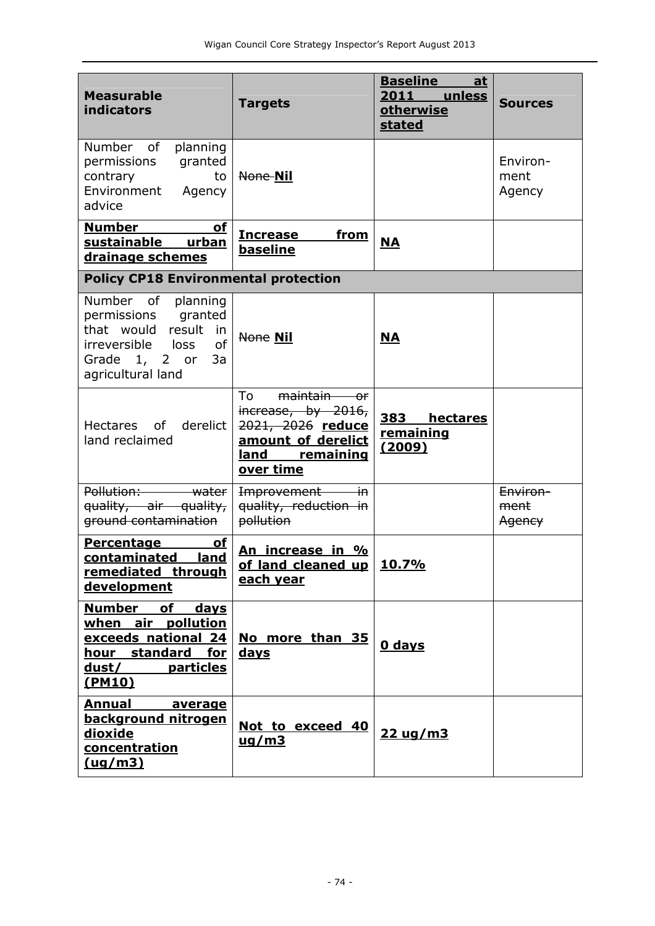| <b>Measurable</b><br>indicators                                                                                                                | <b>Targets</b>                                                                                                    | <b>Baseline</b><br>at<br>2011 unless<br><b>otherwise</b><br><b>stated</b> | <b>Sources</b>             |
|------------------------------------------------------------------------------------------------------------------------------------------------|-------------------------------------------------------------------------------------------------------------------|---------------------------------------------------------------------------|----------------------------|
| Number of<br>planning<br>permissions<br>granted<br>contrary<br>to<br>Environment<br>Agency<br>advice                                           | None Nil                                                                                                          |                                                                           | Environ-<br>ment<br>Agency |
| <b>Number</b><br>of<br>sustainable urban<br>drainage schemes                                                                                   | from<br><b>Increase</b><br>baseline                                                                               | <b>NA</b>                                                                 |                            |
| <b>Policy CP18 Environmental protection</b>                                                                                                    |                                                                                                                   |                                                                           |                            |
| Number of planning<br>permissions granted<br>that would result<br>in<br>of<br>irreversible<br>loss<br>Grade 1, 2 or<br>3a<br>agricultural land | <b>None Nil</b>                                                                                                   | <b>NA</b>                                                                 |                            |
| Hectares of<br>derelict<br>land reclaimed                                                                                                      | To<br>maintain or<br>increase, by 2016,<br>2021, 2026 reduce<br>amount of derelict<br>land remaining<br>over time | 383 hectares<br>remaining<br><u>(2009)</u>                                |                            |
| Pollution: water<br>quality, air quality,<br>ground contamination                                                                              | $\overline{\mathsf{in}}$<br>Improvement<br>quality, reduction in<br>pollution                                     |                                                                           | Environ-<br>ment<br>Agency |
| <b>Percentage</b><br>οf<br>contaminated<br>land<br>remediated through<br>development                                                           | An increase in %<br>of land cleaned up<br>each year                                                               | 10.7%                                                                     |                            |
| <b>Number</b><br>of<br>days<br>when air pollution<br>exceeds national 24<br>hour standard for<br>dust/<br>particles<br><u>(PM10)</u>           | No more than 35<br><u>days</u>                                                                                    | <b>0 days</b>                                                             |                            |
| <b>Annual</b><br>average<br>background nitrogen<br><b>dioxide</b><br>concentration<br>(ug/m3)                                                  | Not to exceed 40<br>$\frac{uq}{m3}$                                                                               | $22 \, \text{ug/m3}$                                                      |                            |